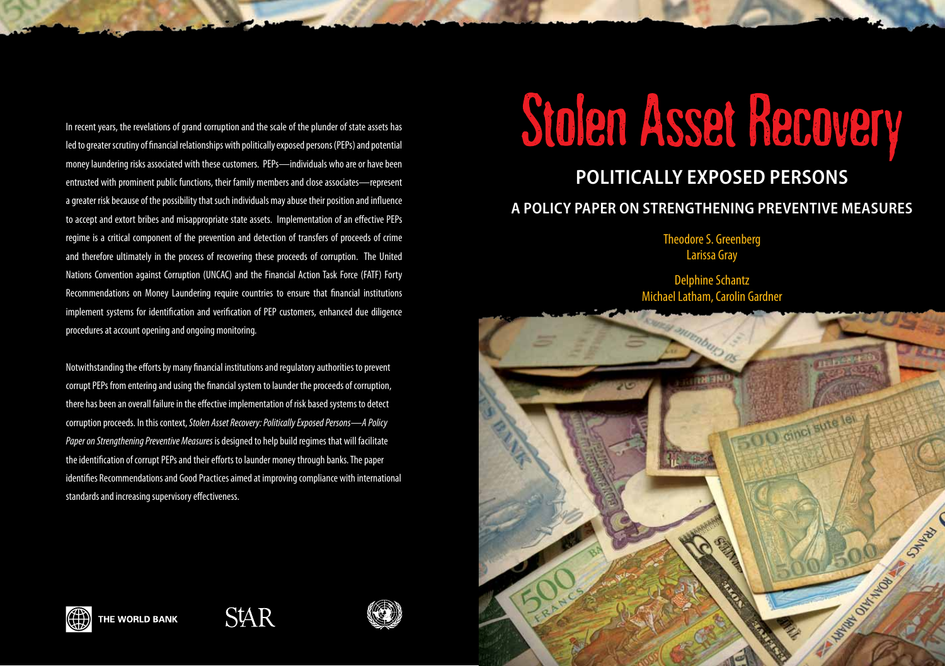# Stolen Asset Recovery

### **Politically Exposed Persons**

#### **A Policy Paper on Strengthening Preventive Measures**

Theodore S. Greenberg Larissa Gray

Delphine Schantz Michael Latham, Carolin Gardner

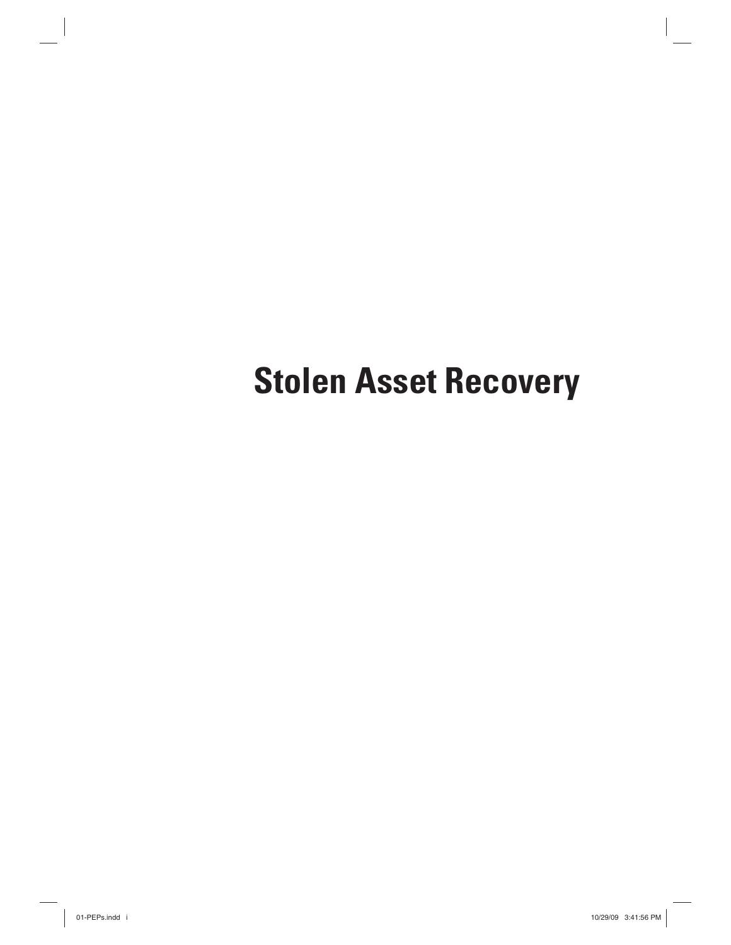# **Stolen Asset Recovery**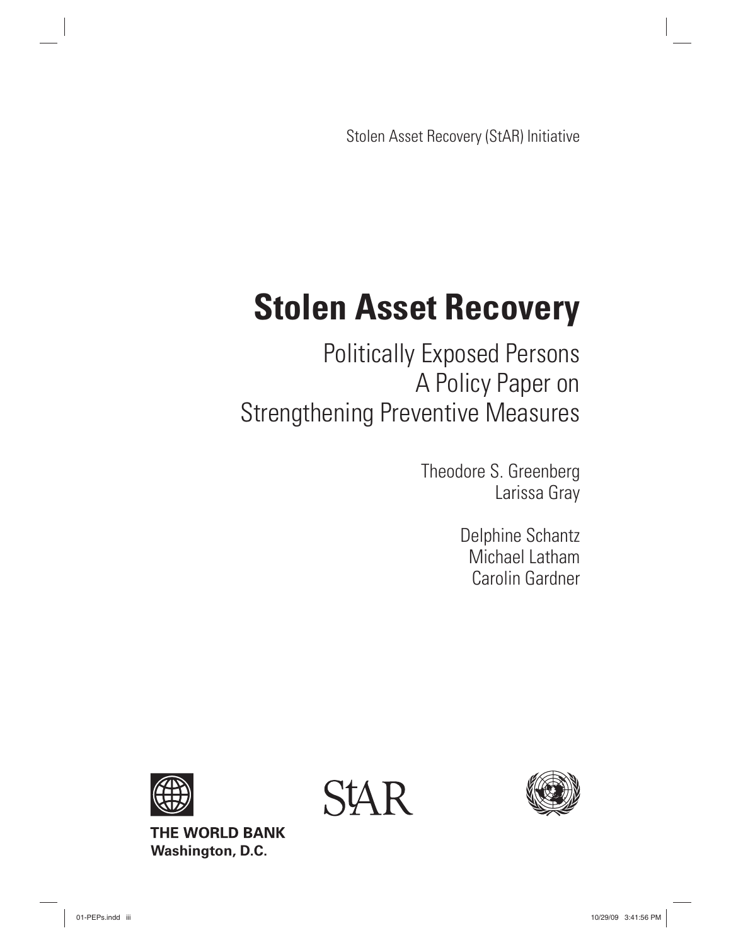Stolen Asset Recovery (StAR) Initiative

# **Stolen Asset Recovery**

Politically Exposed Persons A Policy Paper on Strengthening Preventive Measures

> Theodore S. Greenberg Larissa Gray

> > Delphine Schantz Michael Latham Carolin Gardner



**THE WORLD BANK Washington, D.C.**



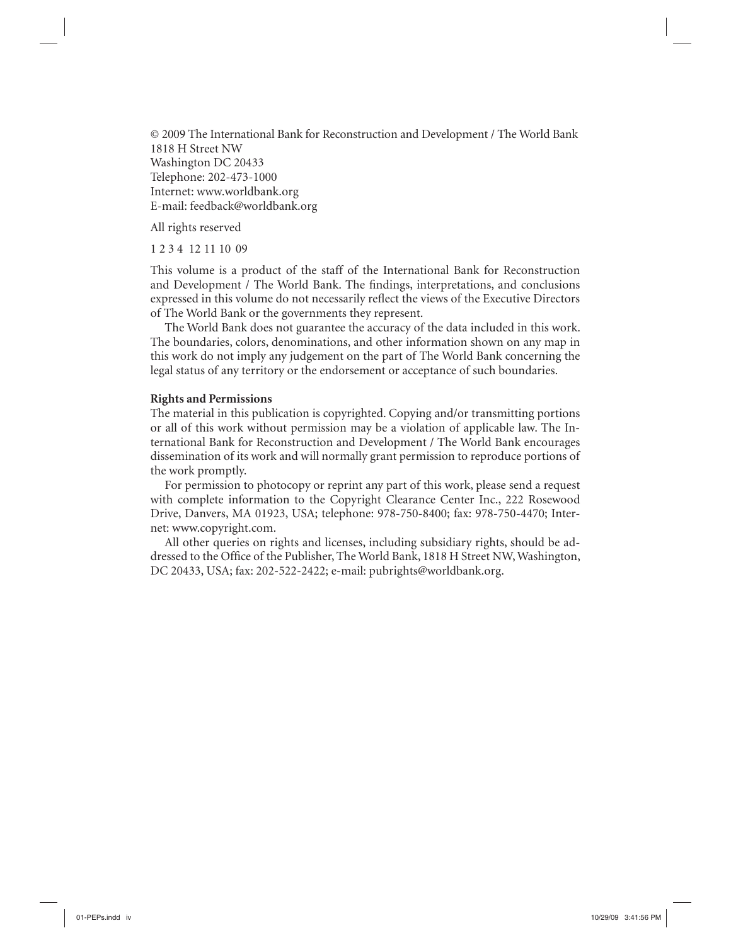© 2009 The International Bank for Reconstruction and Development / The World Bank 1818 H Street NW Washington DC 20433 Telephone: 202-473-1000 Internet: www.worldbank.org E-mail: feedback@worldbank.org

All rights reserved

#### 1 2 3 4 12 11 10 09

This volume is a product of the staff of the International Bank for Reconstruction and Development / The World Bank. The findings, interpretations, and conclusions expressed in this volume do not necessarily reflect the views of the Executive Directors of The World Bank or the governments they represent.

The World Bank does not guarantee the accuracy of the data included in this work. The boundaries, colors, denominations, and other information shown on any map in this work do not imply any judgement on the part of The World Bank concerning the legal status of any territory or the endorsement or acceptance of such boundaries.

#### **Rights and Permissions**

The material in this publication is copyrighted. Copying and/or transmitting portions or all of this work without permission may be a violation of applicable law. The International Bank for Reconstruction and Development / The World Bank encourages dissemination of its work and will normally grant permission to reproduce portions of the work promptly.

For permission to photocopy or reprint any part of this work, please send a request with complete information to the Copyright Clearance Center Inc., 222 Rosewood Drive, Danvers, MA 01923, USA; telephone: 978-750-8400; fax: 978-750-4470; Internet: www.copyright.com.

All other queries on rights and licenses, including subsidiary rights, should be addressed to the Office of the Publisher, The World Bank, 1818 H Street NW, Washington, DC 20433, USA; fax: 202-522-2422; e-mail: pubrights@worldbank.org.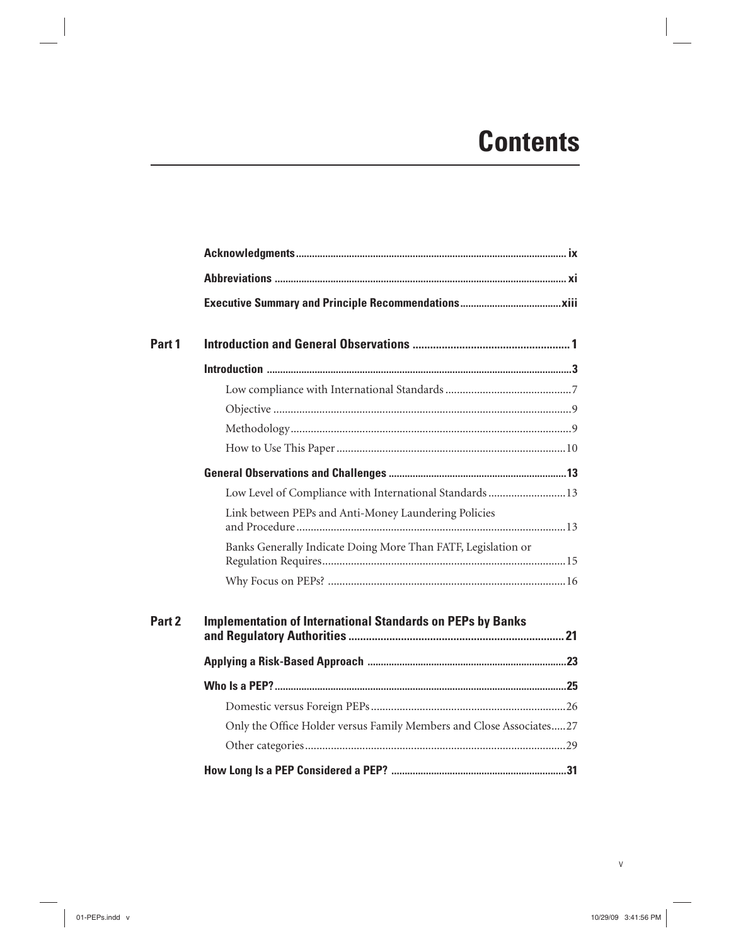# **Contents**

| Part 1            |                                                                     |  |
|-------------------|---------------------------------------------------------------------|--|
|                   |                                                                     |  |
|                   |                                                                     |  |
|                   |                                                                     |  |
|                   |                                                                     |  |
|                   |                                                                     |  |
|                   |                                                                     |  |
|                   | Low Level of Compliance with International Standards 13             |  |
|                   | Link between PEPs and Anti-Money Laundering Policies                |  |
|                   | Banks Generally Indicate Doing More Than FATF, Legislation or       |  |
|                   |                                                                     |  |
| Part <sub>2</sub> | <b>Implementation of International Standards on PEPs by Banks</b>   |  |
|                   |                                                                     |  |
|                   |                                                                     |  |
|                   |                                                                     |  |
|                   | Only the Office Holder versus Family Members and Close Associates27 |  |
|                   |                                                                     |  |
|                   |                                                                     |  |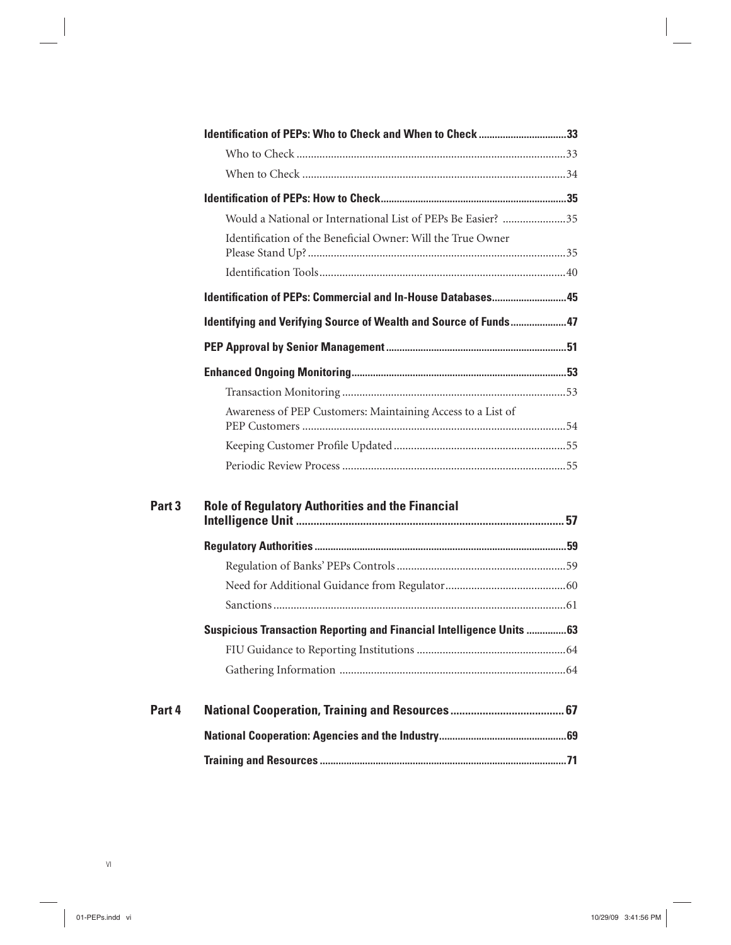| <b>Identification of PEPs: Who to Check and When to Check 33</b> |  |
|------------------------------------------------------------------|--|
|                                                                  |  |
|                                                                  |  |
|                                                                  |  |
| Would a National or International List of PEPs Be Easier? 35     |  |
| Identification of the Beneficial Owner: Will the True Owner      |  |
|                                                                  |  |
| Identification of PEPs: Commercial and In-House Databases 45     |  |
| Identifying and Verifying Source of Wealth and Source of Funds47 |  |
|                                                                  |  |
|                                                                  |  |
|                                                                  |  |
|                                                                  |  |
| Awareness of PEP Customers: Maintaining Access to a List of      |  |
|                                                                  |  |
|                                                                  |  |

| Part 3 | <b>Role of Regulatory Authorities and the Financial</b> |  |
|--------|---------------------------------------------------------|--|
|        |                                                         |  |

|        | Suspicious Transaction Reporting and Financial Intelligence Units  63 |
|--------|-----------------------------------------------------------------------|
|        |                                                                       |
|        |                                                                       |
| Part 4 |                                                                       |
|        |                                                                       |
|        |                                                                       |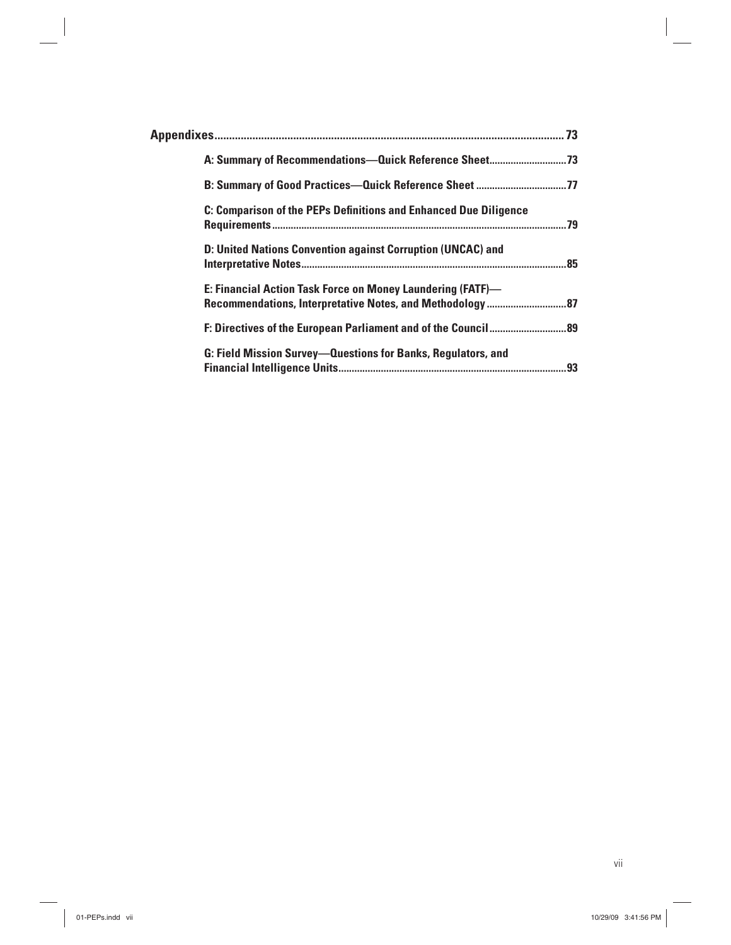| B: Summary of Good Practices--- Quick Reference Sheet 77         |  |
|------------------------------------------------------------------|--|
| C: Comparison of the PEPs Definitions and Enhanced Due Diligence |  |
| D: United Nations Convention against Corruption (UNCAC) and      |  |
| E: Financial Action Task Force on Money Laundering (FATF)—       |  |
|                                                                  |  |
| G: Field Mission Survey-Questions for Banks, Regulators, and     |  |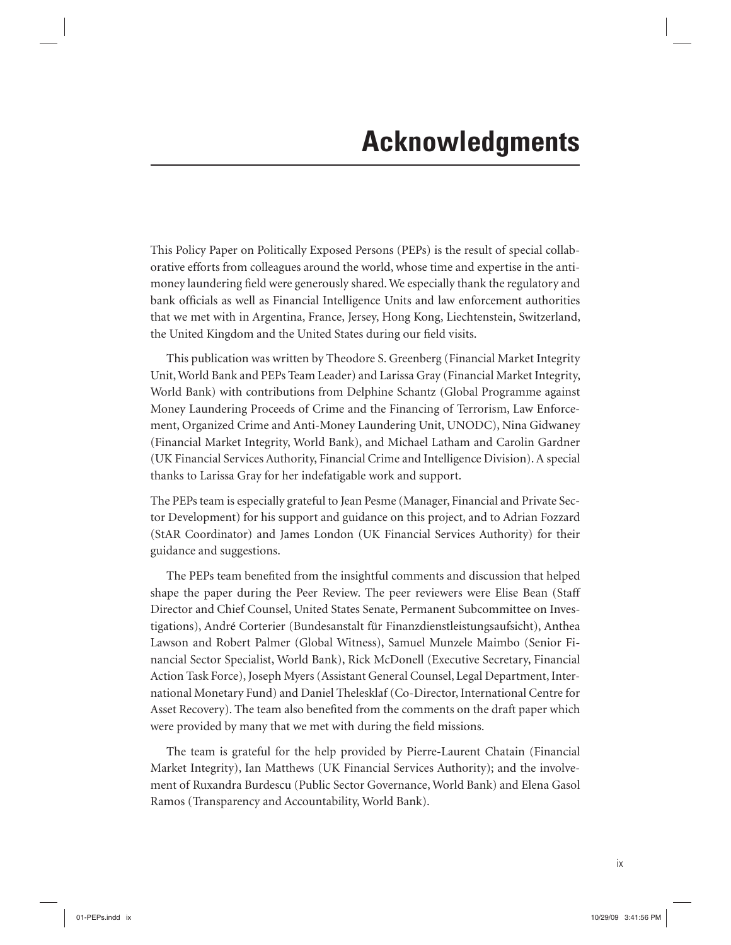This Policy Paper on Politically Exposed Persons (PEPs) is the result of special collaborative efforts from colleagues around the world, whose time and expertise in the antimoney laundering field were generously shared. We especially thank the regulatory and bank officials as well as Financial Intelligence Units and law enforcement authorities that we met with in Argentina, France, Jersey, Hong Kong, Liechtenstein, Switzerland, the United Kingdom and the United States during our field visits.

This publication was written by Theodore S. Greenberg (Financial Market Integrity Unit, World Bank and PEPs Team Leader) and Larissa Gray (Financial Market Integrity, World Bank) with contributions from Delphine Schantz (Global Programme against Money Laundering Proceeds of Crime and the Financing of Terrorism, Law Enforcement, Organized Crime and Anti-Money Laundering Unit, UNODC), Nina Gidwaney (Financial Market Integrity, World Bank), and Michael Latham and Carolin Gardner (UK Financial Services Authority, Financial Crime and Intelligence Division). A special thanks to Larissa Gray for her indefatigable work and support.

The PEPs team is especially grateful to Jean Pesme (Manager, Financial and Private Sector Development) for his support and guidance on this project, and to Adrian Fozzard (StAR Coordinator) and James London (UK Financial Services Authority) for their guidance and suggestions.

The PEPs team benefited from the insightful comments and discussion that helped shape the paper during the Peer Review. The peer reviewers were Elise Bean (Staff Director and Chief Counsel, United States Senate, Permanent Subcommittee on Investigations), André Corterier (Bundesanstalt für Finanzdienstleistungsaufsicht), Anthea Lawson and Robert Palmer (Global Witness), Samuel Munzele Maimbo (Senior Financial Sector Specialist, World Bank), Rick McDonell (Executive Secretary, Financial Action Task Force), Joseph Myers (Assistant General Counsel, Legal Department, International Monetary Fund) and Daniel Thelesklaf (Co-Director, International Centre for Asset Recovery). The team also benefited from the comments on the draft paper which were provided by many that we met with during the field missions.

The team is grateful for the help provided by Pierre-Laurent Chatain (Financial Market Integrity), Ian Matthews (UK Financial Services Authority); and the involvement of Ruxandra Burdescu (Public Sector Governance, World Bank) and Elena Gasol Ramos (Transparency and Accountability, World Bank).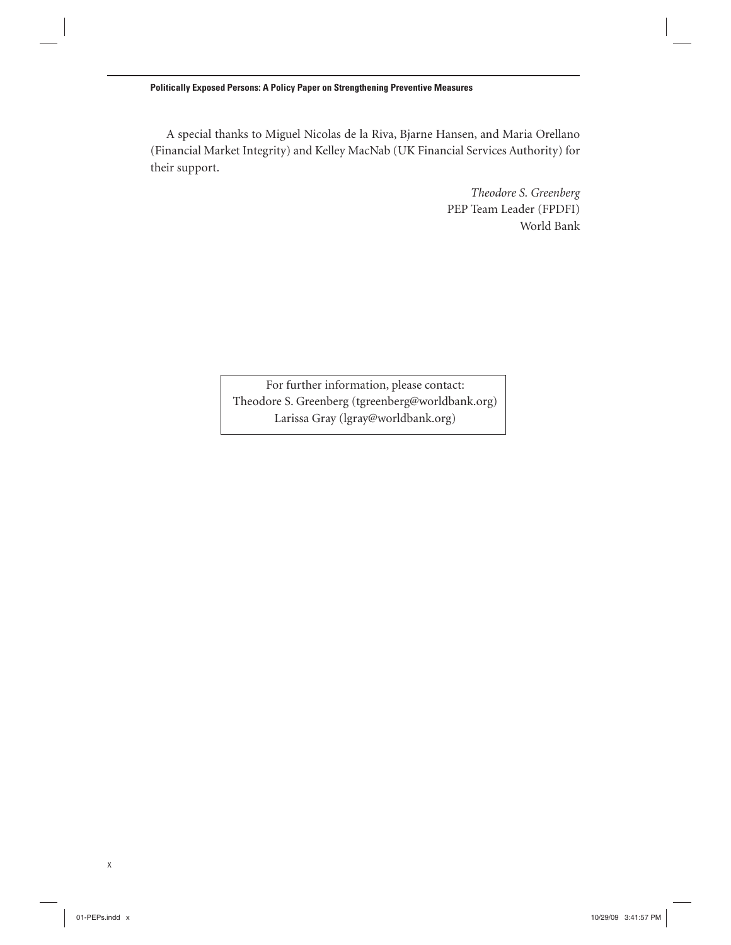A special thanks to Miguel Nicolas de la Riva, Bjarne Hansen, and Maria Orellano (Financial Market Integrity) and Kelley MacNab (UK Financial Services Authority) for their support.

> *Theodore S. Greenberg* PEP Team Leader (FPDFI) World Bank

For further information, please contact: Theodore S. Greenberg (tgreenberg@worldbank.org) Larissa Gray (lgray@worldbank.org)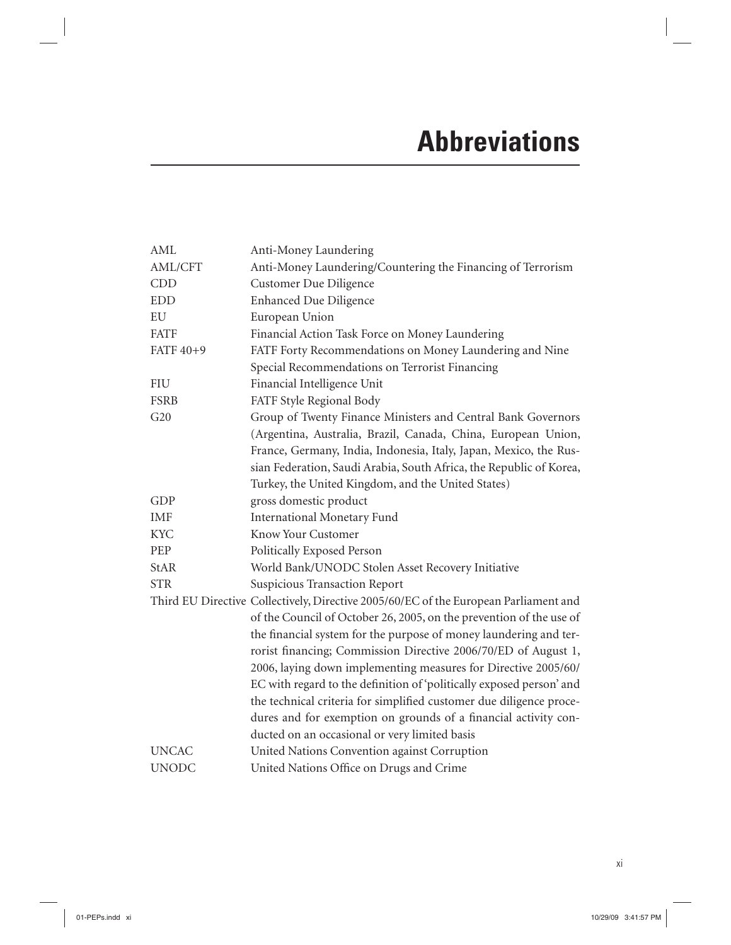| AML          | Anti-Money Laundering                                                                |
|--------------|--------------------------------------------------------------------------------------|
| AML/CFT      | Anti-Money Laundering/Countering the Financing of Terrorism                          |
| CDD          | Customer Due Diligence                                                               |
| <b>EDD</b>   | <b>Enhanced Due Diligence</b>                                                        |
| EU           | European Union                                                                       |
| <b>FATF</b>  | Financial Action Task Force on Money Laundering                                      |
| FATF 40+9    | FATF Forty Recommendations on Money Laundering and Nine                              |
|              | Special Recommendations on Terrorist Financing                                       |
| <b>FIU</b>   | Financial Intelligence Unit                                                          |
| <b>FSRB</b>  | FATF Style Regional Body                                                             |
| G20          | Group of Twenty Finance Ministers and Central Bank Governors                         |
|              | (Argentina, Australia, Brazil, Canada, China, European Union,                        |
|              | France, Germany, India, Indonesia, Italy, Japan, Mexico, the Rus-                    |
|              | sian Federation, Saudi Arabia, South Africa, the Republic of Korea,                  |
|              | Turkey, the United Kingdom, and the United States)                                   |
| GDP          | gross domestic product                                                               |
| IMF          | <b>International Monetary Fund</b>                                                   |
| <b>KYC</b>   | Know Your Customer                                                                   |
| PEP          | Politically Exposed Person                                                           |
| <b>StAR</b>  | World Bank/UNODC Stolen Asset Recovery Initiative                                    |
| <b>STR</b>   | Suspicious Transaction Report                                                        |
|              | Third EU Directive Collectively, Directive 2005/60/EC of the European Parliament and |
|              | of the Council of October 26, 2005, on the prevention of the use of                  |
|              | the financial system for the purpose of money laundering and ter-                    |
|              | rorist financing; Commission Directive 2006/70/ED of August 1,                       |
|              | 2006, laying down implementing measures for Directive 2005/60/                       |
|              | EC with regard to the definition of 'politically exposed person' and                 |
|              | the technical criteria for simplified customer due diligence proce-                  |
|              | dures and for exemption on grounds of a financial activity con-                      |
|              | ducted on an occasional or very limited basis                                        |
| <b>UNCAC</b> | United Nations Convention against Corruption                                         |
| <b>UNODC</b> | United Nations Office on Drugs and Crime                                             |
|              |                                                                                      |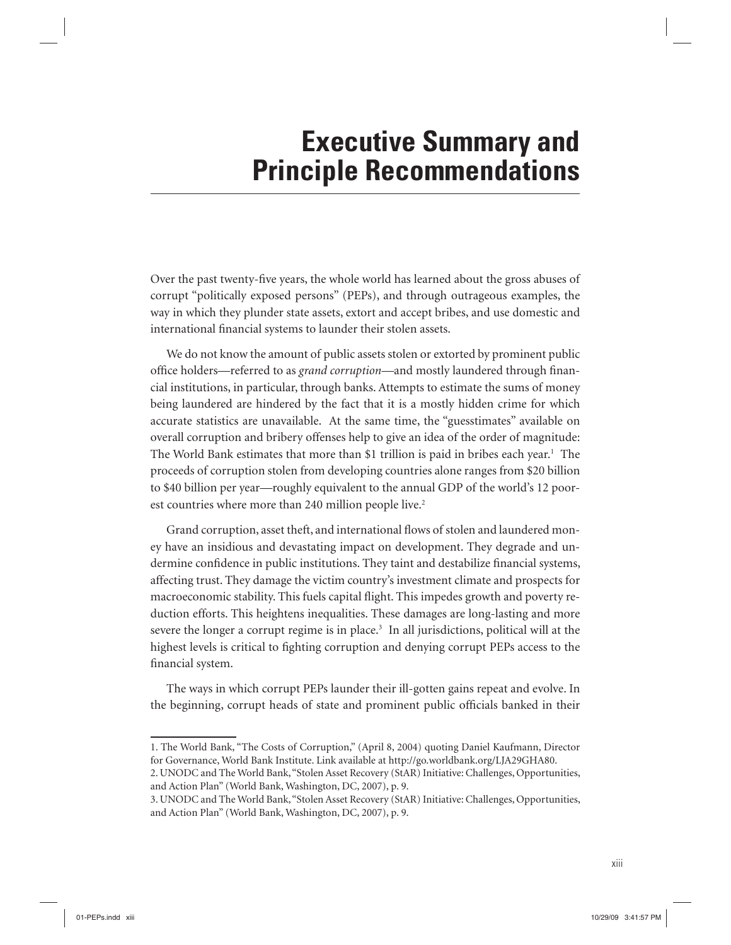### **Executive Summary and Principle Recommendations**

Over the past twenty-five years, the whole world has learned about the gross abuses of corrupt "politically exposed persons" (PEPs), and through outrageous examples, the way in which they plunder state assets, extort and accept bribes, and use domestic and international financial systems to launder their stolen assets.

We do not know the amount of public assets stolen or extorted by prominent public office holders—referred to as *grand corruption*—and mostly laundered through financial institutions, in particular, through banks. Attempts to estimate the sums of money being laundered are hindered by the fact that it is a mostly hidden crime for which accurate statistics are unavailable. At the same time, the "guesstimates" available on overall corruption and bribery offenses help to give an idea of the order of magnitude: The World Bank estimates that more than \$1 trillion is paid in bribes each year.<sup>1</sup> The proceeds of corruption stolen from developing countries alone ranges from \$20 billion to \$40 billion per year—roughly equivalent to the annual GDP of the world's 12 poorest countries where more than 240 million people live.<sup>2</sup>

Grand corruption, asset theft, and international flows of stolen and laundered money have an insidious and devastating impact on development. They degrade and undermine confidence in public institutions. They taint and destabilize financial systems, affecting trust. They damage the victim country's investment climate and prospects for macroeconomic stability. This fuels capital flight. This impedes growth and poverty reduction efforts. This heightens inequalities. These damages are long-lasting and more severe the longer a corrupt regime is in place.<sup>3</sup> In all jurisdictions, political will at the highest levels is critical to fighting corruption and denying corrupt PEPs access to the financial system.

The ways in which corrupt PEPs launder their ill-gotten gains repeat and evolve. In the beginning, corrupt heads of state and prominent public officials banked in their

<sup>1.</sup> The World Bank, "The Costs of Corruption," (April 8, 2004) quoting Daniel Kaufmann, Director for Governance, World Bank Institute. Link available at http://go.worldbank.org/LJA29GHA80.

<sup>2.</sup> UNODC and The World Bank, "Stolen Asset Recovery (StAR) Initiative: Challenges, Opportunities, and Action Plan" (World Bank, Washington, DC, 2007), p. 9.

<sup>3.</sup> UNODC and The World Bank, "Stolen Asset Recovery (StAR) Initiative: Challenges, Opportunities, and Action Plan" (World Bank, Washington, DC, 2007), p. 9.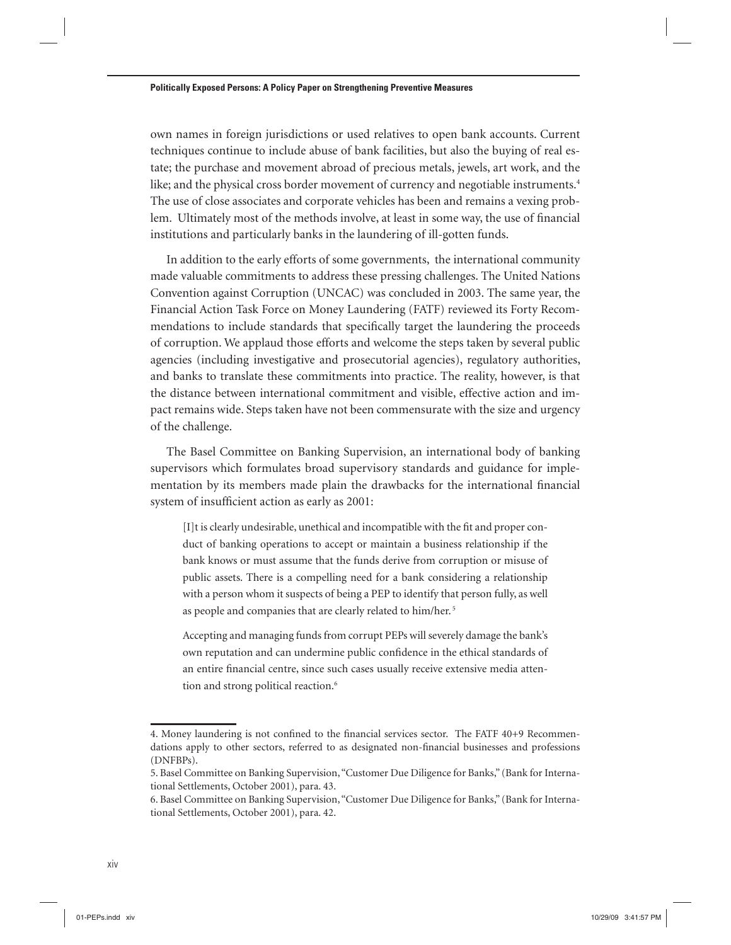own names in foreign jurisdictions or used relatives to open bank accounts. Current techniques continue to include abuse of bank facilities, but also the buying of real estate; the purchase and movement abroad of precious metals, jewels, art work, and the like; and the physical cross border movement of currency and negotiable instruments.4 The use of close associates and corporate vehicles has been and remains a vexing problem. Ultimately most of the methods involve, at least in some way, the use of financial institutions and particularly banks in the laundering of ill-gotten funds.

In addition to the early efforts of some governments, the international community made valuable commitments to address these pressing challenges. The United Nations Convention against Corruption (UNCAC) was concluded in 2003. The same year, the Financial Action Task Force on Money Laundering (FATF) reviewed its Forty Recommendations to include standards that specifically target the laundering the proceeds of corruption. We applaud those efforts and welcome the steps taken by several public agencies (including investigative and prosecutorial agencies), regulatory authorities, and banks to translate these commitments into practice. The reality, however, is that the distance between international commitment and visible, effective action and impact remains wide. Steps taken have not been commensurate with the size and urgency of the challenge.

The Basel Committee on Banking Supervision, an international body of banking supervisors which formulates broad supervisory standards and guidance for implementation by its members made plain the drawbacks for the international financial system of insufficient action as early as 2001:

[I]t is clearly undesirable, unethical and incompatible with the fit and proper conduct of banking operations to accept or maintain a business relationship if the bank knows or must assume that the funds derive from corruption or misuse of public assets. There is a compelling need for a bank considering a relationship with a person whom it suspects of being a PEP to identify that person fully, as well as people and companies that are clearly related to him/her.<sup>5</sup>

Accepting and managing funds from corrupt PEPs will severely damage the bank's own reputation and can undermine public confidence in the ethical standards of an entire financial centre, since such cases usually receive extensive media attention and strong political reaction.<sup>6</sup>

<sup>4.</sup> Money laundering is not confined to the financial services sector. The FATF 40+9 Recommendations apply to other sectors, referred to as designated non-financial businesses and professions (DNFBPs).

<sup>5.</sup> Basel Committee on Banking Supervision, "Customer Due Diligence for Banks," (Bank for International Settlements, October 2001), para. 43.

<sup>6.</sup> Basel Committee on Banking Supervision, "Customer Due Diligence for Banks," (Bank for International Settlements, October 2001), para. 42.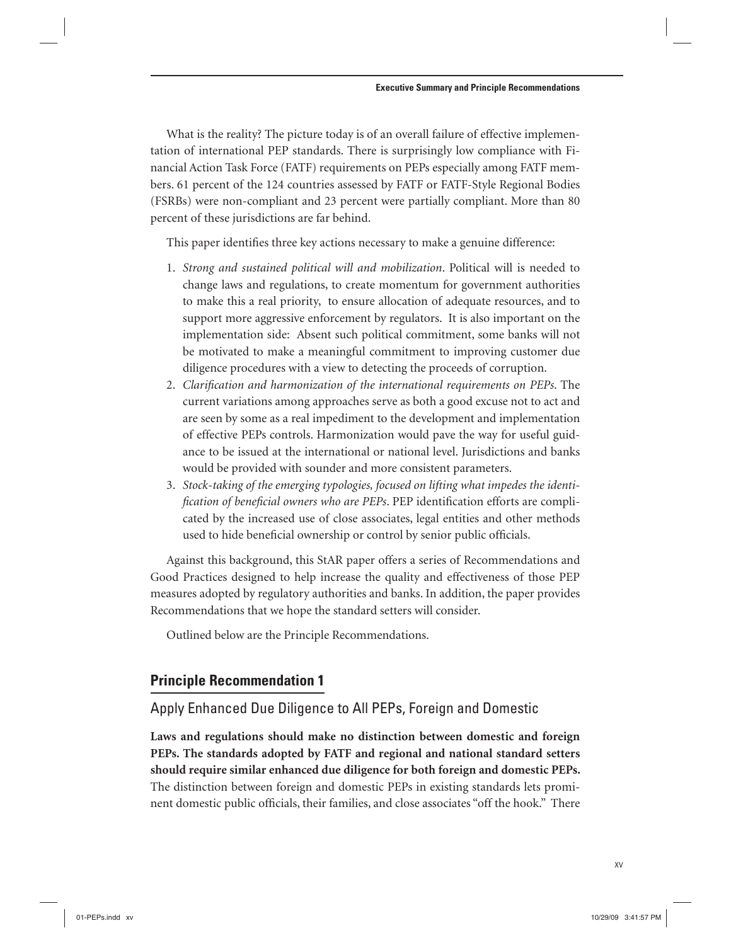What is the reality? The picture today is of an overall failure of effective implementation of international PEP standards. There is surprisingly low compliance with Financial Action Task Force (FATF) requirements on PEPs especially among FATF members. 61 percent of the 124 countries assessed by FATF or FATF-Style Regional Bodies (FSRBs) were non-compliant and 23 percent were partially compliant. More than 80 percent of these jurisdictions are far behind.

This paper identifies three key actions necessary to make a genuine difference:

- 1. *Strong and sustained political will and mobilization*. Political will is needed to change laws and regulations, to create momentum for government authorities to make this a real priority, to ensure allocation of adequate resources, and to support more aggressive enforcement by regulators. It is also important on the implementation side: Absent such political commitment, some banks will not be motivated to make a meaningful commitment to improving customer due diligence procedures with a view to detecting the proceeds of corruption.
- 2. *Clarifi cation and harmonization of the international requirements on PEPs*. The current variations among approaches serve as both a good excuse not to act and are seen by some as a real impediment to the development and implementation of effective PEPs controls. Harmonization would pave the way for useful guidance to be issued at the international or national level. Jurisdictions and banks would be provided with sounder and more consistent parameters.
- 3. *Stock-taking of the emerging typologies, focused on lifting what impedes the identification of beneficial owners who are PEPs*. PEP identification efforts are complicated by the increased use of close associates, legal entities and other methods used to hide beneficial ownership or control by senior public officials.

Against this background, this StAR paper offers a series of Recommendations and Good Practices designed to help increase the quality and effectiveness of those PEP measures adopted by regulatory authorities and banks. In addition, the paper provides Recommendations that we hope the standard setters will consider.

Outlined below are the Principle Recommendations.

#### **Principle Recommendation 1**

#### Apply Enhanced Due Diligence to All PEPs, Foreign and Domestic

**Laws and regulations should make no distinction between domestic and foreign PEPs. The standards adopted by FATF and regional and national standard setters should require similar enhanced due diligence for both foreign and domestic PEPs.**  The distinction between foreign and domestic PEPs in existing standards lets prominent domestic public officials, their families, and close associates "off the hook." There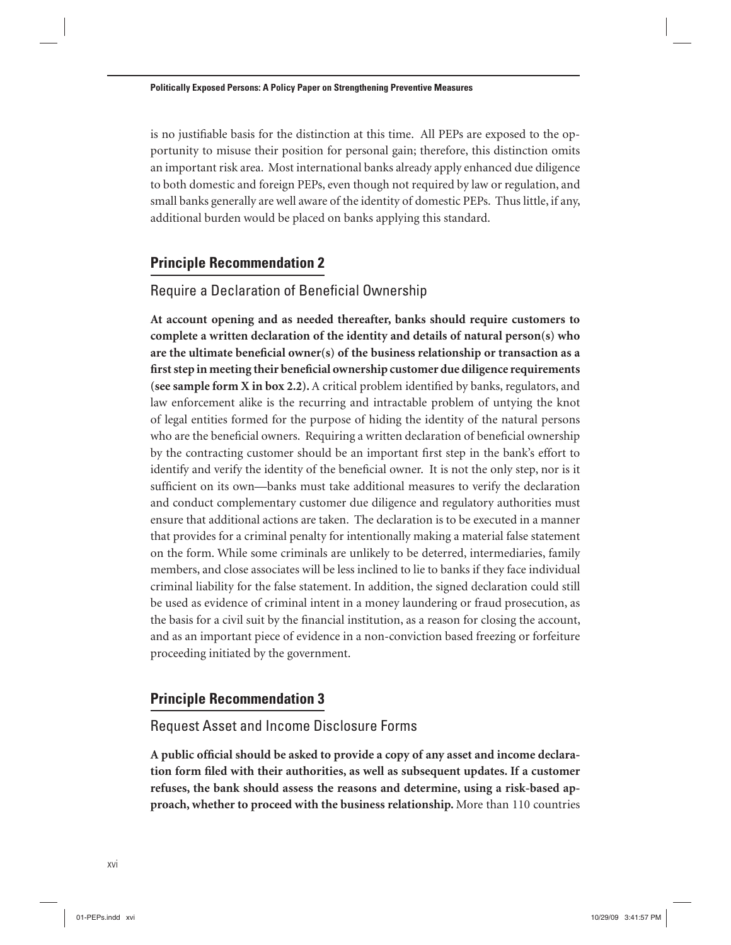is no justifiable basis for the distinction at this time. All PEPs are exposed to the opportunity to misuse their position for personal gain; therefore, this distinction omits an important risk area. Most international banks already apply enhanced due diligence to both domestic and foreign PEPs, even though not required by law or regulation, and small banks generally are well aware of the identity of domestic PEPs. Thus little, if any, additional burden would be placed on banks applying this standard.

#### **Principle Recommendation 2**

#### Require a Declaration of Beneficial Ownership

**At account opening and as needed thereafter, banks should require customers to complete a written declaration of the identity and details of natural person(s) who**  are the ultimate beneficial owner(s) of the business relationship or transaction as a first step in meeting their beneficial ownership customer due diligence requirements **(see sample form X in box 2.2).** A critical problem identified by banks, regulators, and law enforcement alike is the recurring and intractable problem of untying the knot of legal entities formed for the purpose of hiding the identity of the natural persons who are the beneficial owners. Requiring a written declaration of beneficial ownership by the contracting customer should be an important first step in the bank's effort to identify and verify the identity of the beneficial owner. It is not the only step, nor is it sufficient on its own—banks must take additional measures to verify the declaration and conduct complementary customer due diligence and regulatory authorities must ensure that additional actions are taken. The declaration is to be executed in a manner that provides for a criminal penalty for intentionally making a material false statement on the form. While some criminals are unlikely to be deterred, intermediaries, family members, and close associates will be less inclined to lie to banks if they face individual criminal liability for the false statement. In addition, the signed declaration could still be used as evidence of criminal intent in a money laundering or fraud prosecution, as the basis for a civil suit by the financial institution, as a reason for closing the account, and as an important piece of evidence in a non-conviction based freezing or forfeiture proceeding initiated by the government.

#### **Principle Recommendation 3**

#### Request Asset and Income Disclosure Forms

A public official should be asked to provide a copy of any asset and income declaration form filed with their authorities, as well as subsequent updates. If a customer **refuses, the bank should assess the reasons and determine, using a risk-based approach, whether to proceed with the business relationship.** More than 110 countries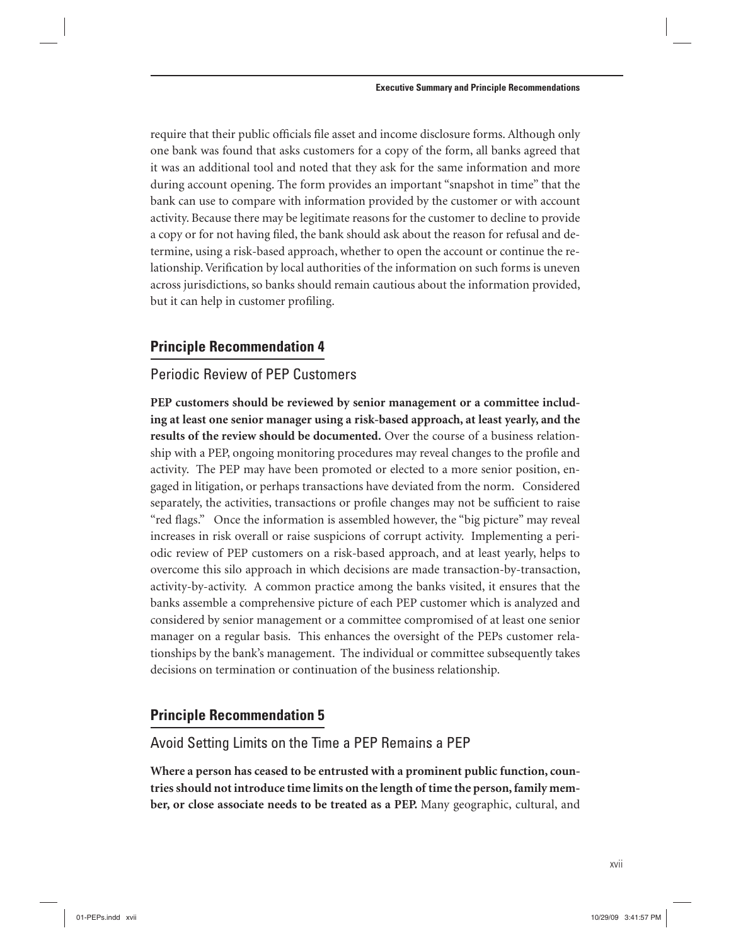require that their public officials file asset and income disclosure forms. Although only one bank was found that asks customers for a copy of the form, all banks agreed that it was an additional tool and noted that they ask for the same information and more during account opening. The form provides an important "snapshot in time" that the bank can use to compare with information provided by the customer or with account activity. Because there may be legitimate reasons for the customer to decline to provide a copy or for not having filed, the bank should ask about the reason for refusal and determine, using a risk-based approach, whether to open the account or continue the relationship. Verification by local authorities of the information on such forms is uneven across jurisdictions, so banks should remain cautious about the information provided, but it can help in customer profiling.

#### **Principle Recommendation 4**

#### Periodic Review of PEP Customers

**PEP customers should be reviewed by senior management or a committee including at least one senior manager using a risk-based approach, at least yearly, and the results of the review should be documented.** Over the course of a business relationship with a PEP, ongoing monitoring procedures may reveal changes to the profile and activity. The PEP may have been promoted or elected to a more senior position, engaged in litigation, or perhaps transactions have deviated from the norm. Considered separately, the activities, transactions or profile changes may not be sufficient to raise "red flags." Once the information is assembled however, the "big picture" may reveal increases in risk overall or raise suspicions of corrupt activity. Implementing a periodic review of PEP customers on a risk-based approach, and at least yearly, helps to overcome this silo approach in which decisions are made transaction-by-transaction, activity-by-activity. A common practice among the banks visited, it ensures that the banks assemble a comprehensive picture of each PEP customer which is analyzed and considered by senior management or a committee compromised of at least one senior manager on a regular basis. This enhances the oversight of the PEPs customer relationships by the bank's management. The individual or committee subsequently takes decisions on termination or continuation of the business relationship.

#### **Principle Recommendation 5**

#### Avoid Setting Limits on the Time a PEP Remains a PEP

**Where a person has ceased to be entrusted with a prominent public function, countries should not introduce time limits on the length of time the person, family member, or close associate needs to be treated as a PEP.** Many geographic, cultural, and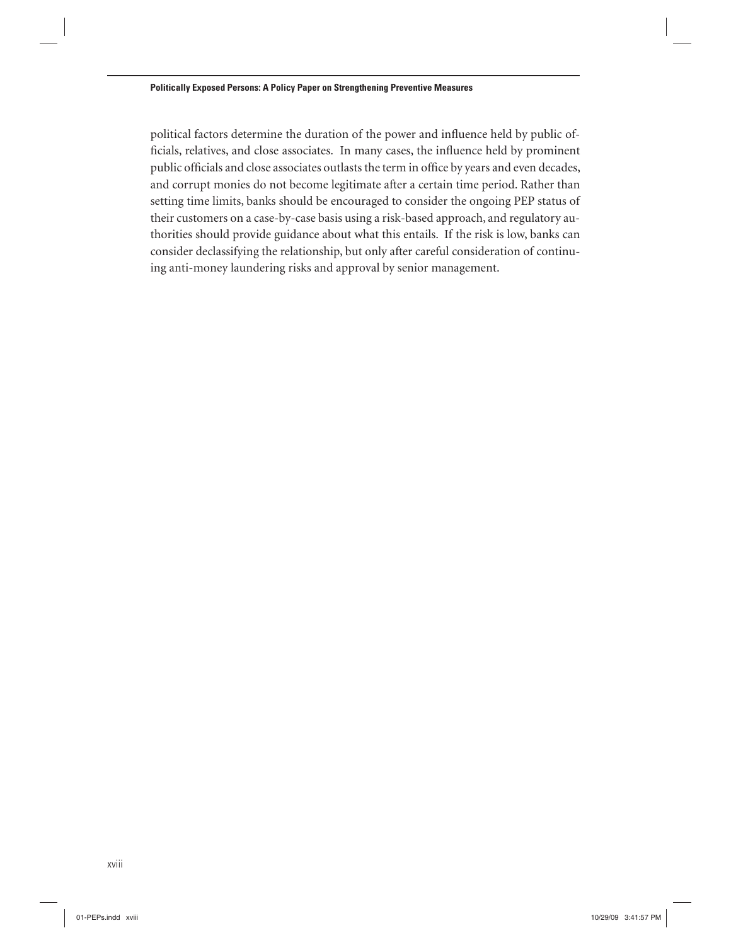political factors determine the duration of the power and influence held by public officials, relatives, and close associates. In many cases, the influence held by prominent public officials and close associates outlasts the term in office by years and even decades, and corrupt monies do not become legitimate after a certain time period. Rather than setting time limits, banks should be encouraged to consider the ongoing PEP status of their customers on a case-by-case basis using a risk-based approach, and regulatory authorities should provide guidance about what this entails. If the risk is low, banks can consider declassifying the relationship, but only after careful consideration of continuing anti-money laundering risks and approval by senior management.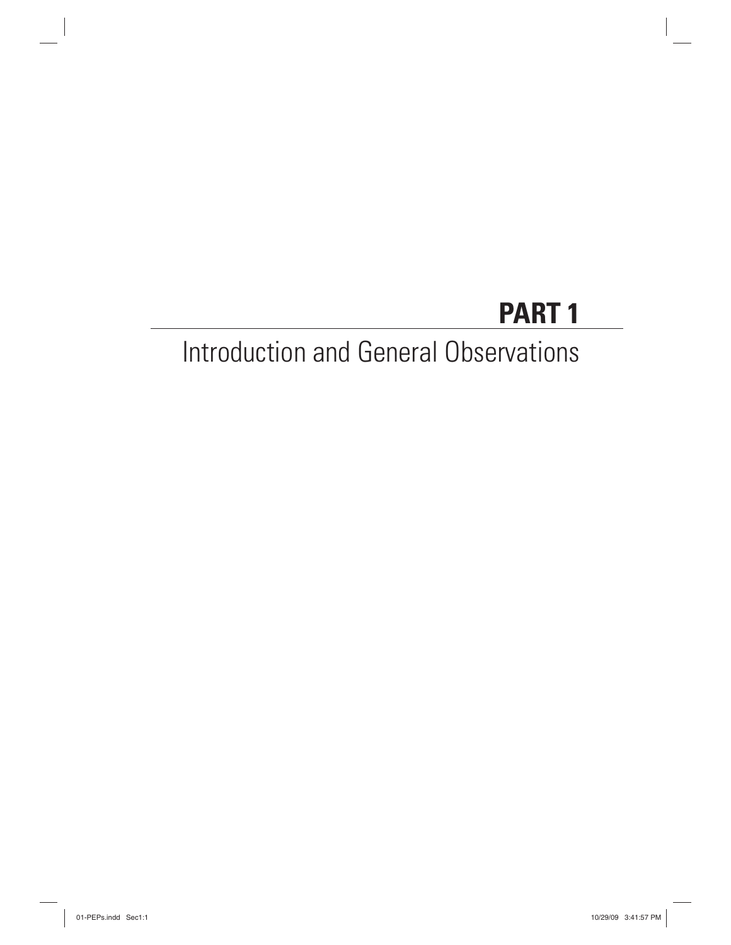# **PART 1**

# Introduction and General Observations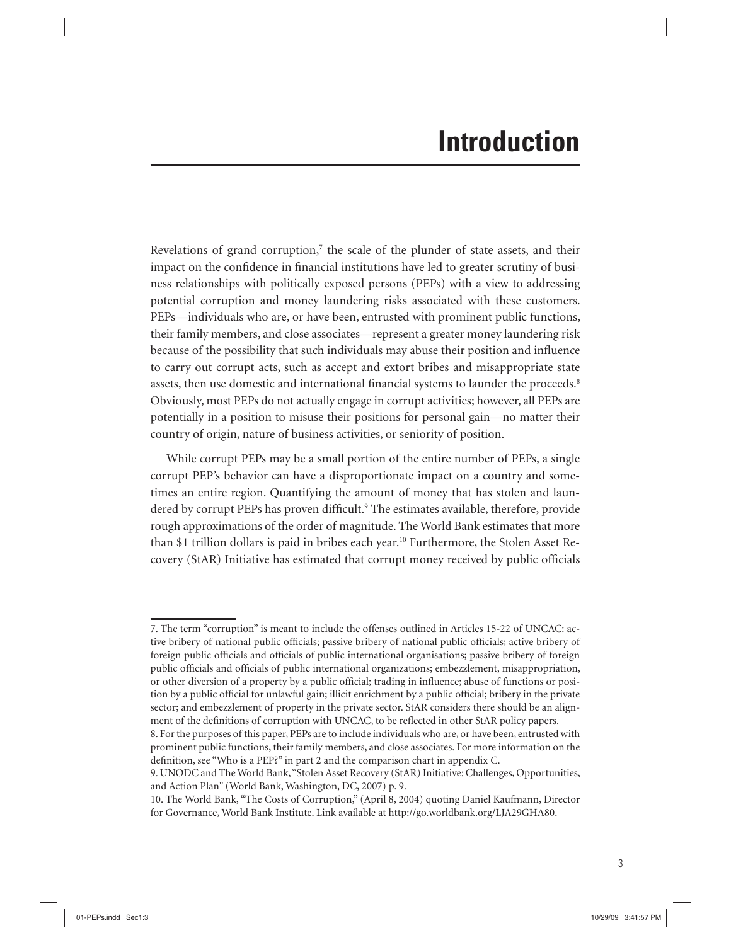Revelations of grand corruption,<sup>7</sup> the scale of the plunder of state assets, and their impact on the confidence in financial institutions have led to greater scrutiny of business relationships with politically exposed persons (PEPs) with a view to addressing potential corruption and money laundering risks associated with these customers. PEPs—individuals who are, or have been, entrusted with prominent public functions, their family members, and close associates—represent a greater money laundering risk because of the possibility that such individuals may abuse their position and influence to carry out corrupt acts, such as accept and extort bribes and misappropriate state assets, then use domestic and international financial systems to launder the proceeds.<sup>8</sup> Obviously, most PEPs do not actually engage in corrupt activities; however, all PEPs are potentially in a position to misuse their positions for personal gain—no matter their country of origin, nature of business activities, or seniority of position.

While corrupt PEPs may be a small portion of the entire number of PEPs, a single corrupt PEP's behavior can have a disproportionate impact on a country and sometimes an entire region. Quantifying the amount of money that has stolen and laundered by corrupt PEPs has proven difficult.<sup>9</sup> The estimates available, therefore, provide rough approximations of the order of magnitude. The World Bank estimates that more than \$1 trillion dollars is paid in bribes each year.<sup>10</sup> Furthermore, the Stolen Asset Recovery (StAR) Initiative has estimated that corrupt money received by public officials

<sup>7.</sup> The term "corruption" is meant to include the offenses outlined in Articles 15-22 of UNCAC: active bribery of national public officials; passive bribery of national public officials; active bribery of foreign public officials and officials of public international organisations; passive bribery of foreign public officials and officials of public international organizations; embezzlement, misappropriation, or other diversion of a property by a public official; trading in influence; abuse of functions or position by a public official for unlawful gain; illicit enrichment by a public official; bribery in the private sector; and embezzlement of property in the private sector. StAR considers there should be an alignment of the definitions of corruption with UNCAC, to be reflected in other StAR policy papers.

<sup>8.</sup> For the purposes of this paper, PEPs are to include individuals who are, or have been, entrusted with prominent public functions, their family members, and close associates. For more information on the definition, see "Who is a PEP?" in part 2 and the comparison chart in appendix C.

<sup>9.</sup> UNODC and The World Bank, "Stolen Asset Recovery (StAR) Initiative: Challenges, Opportunities, and Action Plan" (World Bank, Washington, DC, 2007) p. 9.

<sup>10.</sup> The World Bank, "The Costs of Corruption," (April 8, 2004) quoting Daniel Kaufmann, Director for Governance, World Bank Institute. Link available at http://go.worldbank.org/LJA29GHA80.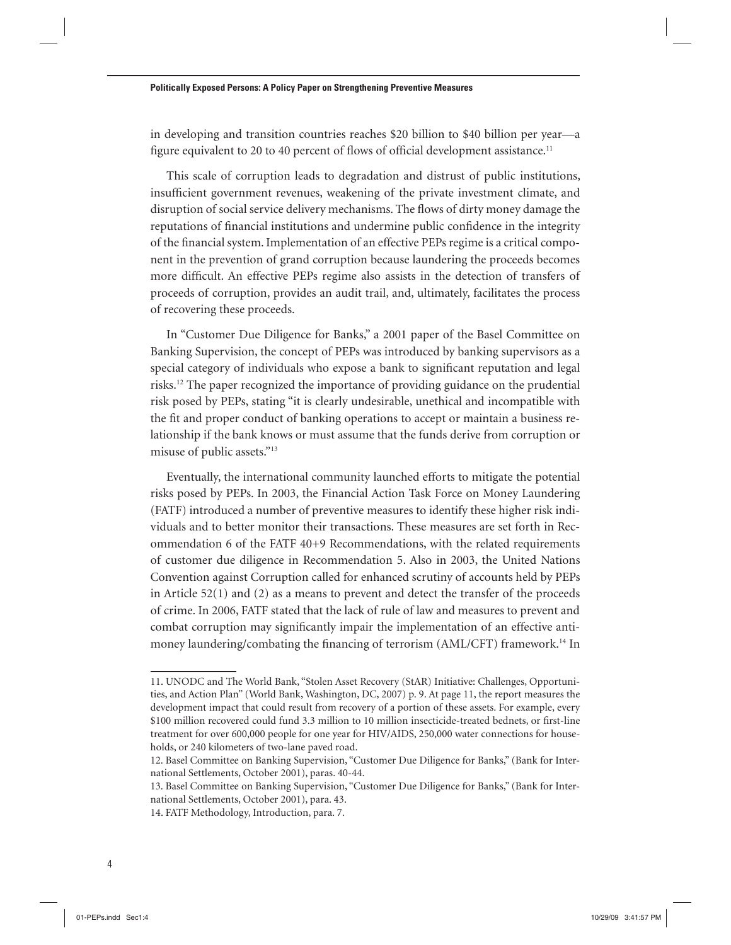in developing and transition countries reaches \$20 billion to \$40 billion per year—a figure equivalent to 20 to 40 percent of flows of official development assistance.<sup>11</sup>

This scale of corruption leads to degradation and distrust of public institutions, insufficient government revenues, weakening of the private investment climate, and disruption of social service delivery mechanisms. The flows of dirty money damage the reputations of financial institutions and undermine public confidence in the integrity of the financial system. Implementation of an effective PEPs regime is a critical component in the prevention of grand corruption because laundering the proceeds becomes more difficult. An effective PEPs regime also assists in the detection of transfers of proceeds of corruption, provides an audit trail, and, ultimately, facilitates the process of recovering these proceeds.

In "Customer Due Diligence for Banks," a 2001 paper of the Basel Committee on Banking Supervision, the concept of PEPs was introduced by banking supervisors as a special category of individuals who expose a bank to significant reputation and legal risks.12 The paper recognized the importance of providing guidance on the prudential risk posed by PEPs, stating "it is clearly undesirable, unethical and incompatible with the fit and proper conduct of banking operations to accept or maintain a business relationship if the bank knows or must assume that the funds derive from corruption or misuse of public assets."13

Eventually, the international community launched efforts to mitigate the potential risks posed by PEPs. In 2003, the Financial Action Task Force on Money Laundering (FATF) introduced a number of preventive measures to identify these higher risk individuals and to better monitor their transactions. These measures are set forth in Recommendation 6 of the FATF 40+9 Recommendations, with the related requirements of customer due diligence in Recommendation 5. Also in 2003, the United Nations Convention against Corruption called for enhanced scrutiny of accounts held by PEPs in Article  $52(1)$  and  $(2)$  as a means to prevent and detect the transfer of the proceeds of crime. In 2006, FATF stated that the lack of rule of law and measures to prevent and combat corruption may significantly impair the implementation of an effective antimoney laundering/combating the financing of terrorism ( $AML/CFT$ ) framework.<sup>14</sup> In

<sup>11.</sup> UNODC and The World Bank, "Stolen Asset Recovery (StAR) Initiative: Challenges, Opportunities, and Action Plan" (World Bank, Washington, DC, 2007) p. 9. At page 11, the report measures the development impact that could result from recovery of a portion of these assets. For example, every \$100 million recovered could fund 3.3 million to 10 million insecticide-treated bednets, or first-line treatment for over 600,000 people for one year for HIV/AIDS, 250,000 water connections for households, or 240 kilometers of two-lane paved road.

<sup>12.</sup> Basel Committee on Banking Supervision, "Customer Due Diligence for Banks," (Bank for International Settlements, October 2001), paras. 40-44.

<sup>13.</sup> Basel Committee on Banking Supervision, "Customer Due Diligence for Banks," (Bank for International Settlements, October 2001), para. 43.

<sup>14.</sup> FATF Methodology, Introduction, para. 7.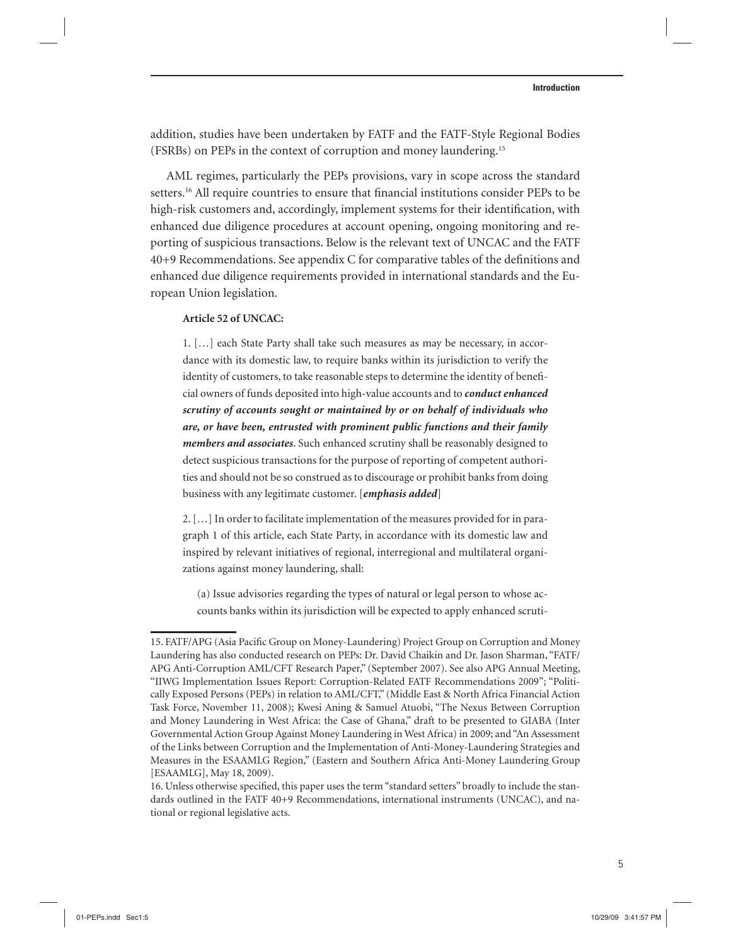addition, studies have been undertaken by FATF and the FATF-Style Regional Bodies (FSRBs) on PEPs in the context of corruption and money laundering.15

AML regimes, particularly the PEPs provisions, vary in scope across the standard setters.<sup>16</sup> All require countries to ensure that financial institutions consider PEPs to be high-risk customers and, accordingly, implement systems for their identification, with enhanced due diligence procedures at account opening, ongoing monitoring and reporting of suspicious transactions. Below is the relevant text of UNCAC and the FATF  $40+9$  Recommendations. See appendix C for comparative tables of the definitions and enhanced due diligence requirements provided in international standards and the European Union legislation.

#### **Article 52 of UNCAC:**

1. […] each State Party shall take such measures as may be necessary, in accordance with its domestic law, to require banks within its jurisdiction to verify the identity of customers, to take reasonable steps to determine the identity of beneficial owners of funds deposited into high-value accounts and to *conduct enhanced scrutiny of accounts sought or maintained by or on behalf of individuals who are, or have been, entrusted with prominent public functions and their family members and associates*. Such enhanced scrutiny shall be reasonably designed to detect suspicious transactions for the purpose of reporting of competent authorities and should not be so construed as to discourage or prohibit banks from doing business with any legitimate customer. [*emphasis added*]

2. […] In order to facilitate implementation of the measures provided for in paragraph 1 of this article, each State Party, in accordance with its domestic law and inspired by relevant initiatives of regional, interregional and multilateral organizations against money laundering, shall:

(a) Issue advisories regarding the types of natural or legal person to whose accounts banks within its jurisdiction will be expected to apply enhanced scruti-

<sup>15.</sup> FATF/APG (Asia Pacific Group on Money-Laundering) Project Group on Corruption and Money Laundering has also conducted research on PEPs: Dr. David Chaikin and Dr. Jason Sharman, "FATF/ APG Anti-Corruption AML/CFT Research Paper," (September 2007). See also APG Annual Meeting, "IIWG Implementation Issues Report: Corruption-Related FATF Recommendations 2009"; "Politically Exposed Persons (PEPs) in relation to AML/CFT," (Middle East & North Africa Financial Action Task Force, November 11, 2008); Kwesi Aning & Samuel Atuobi, "The Nexus Between Corruption and Money Laundering in West Africa: the Case of Ghana," draft to be presented to GIABA (Inter Governmental Action Group Against Money Laundering in West Africa) in 2009; and "An Assessment of the Links between Corruption and the Implementation of Anti-Money-Laundering Strategies and Measures in the ESAAMLG Region," (Eastern and Southern Africa Anti-Money Laundering Group [ESAAMLG], May 18, 2009).

<sup>16.</sup> Unless otherwise specified, this paper uses the term "standard setters" broadly to include the standards outlined in the FATF 40+9 Recommendations, international instruments (UNCAC), and national or regional legislative acts.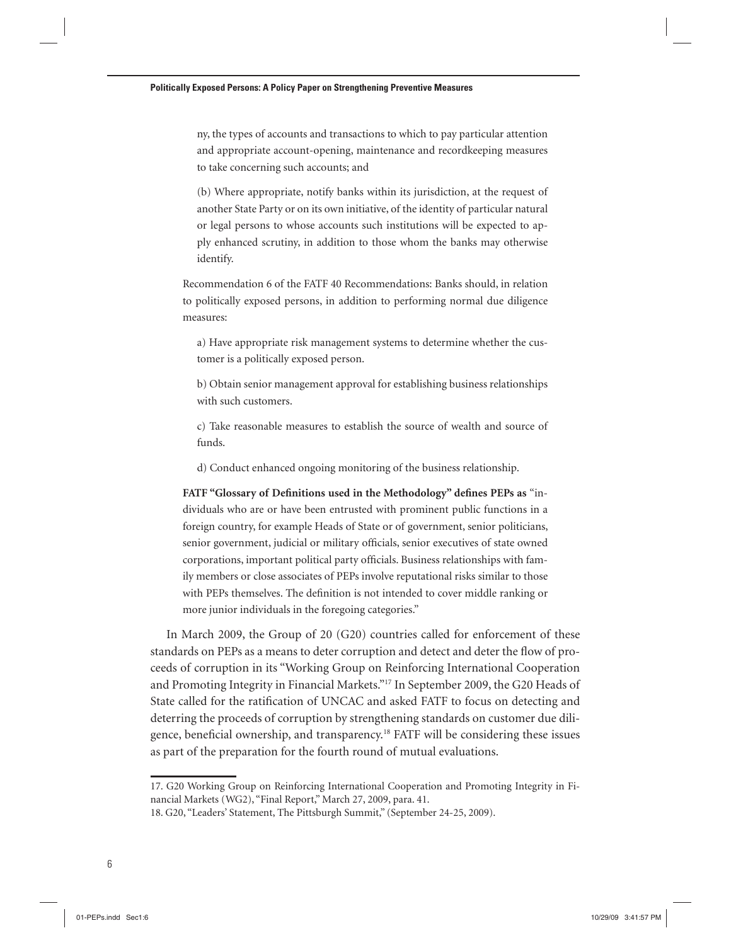ny, the types of accounts and transactions to which to pay particular attention and appropriate account-opening, maintenance and recordkeeping measures to take concerning such accounts; and

(b) Where appropriate, notify banks within its jurisdiction, at the request of another State Party or on its own initiative, of the identity of particular natural or legal persons to whose accounts such institutions will be expected to apply enhanced scrutiny, in addition to those whom the banks may otherwise identify.

Recommendation 6 of the FATF 40 Recommendations: Banks should, in relation to politically exposed persons, in addition to performing normal due diligence measures:

a) Have appropriate risk management systems to determine whether the customer is a politically exposed person.

b) Obtain senior management approval for establishing business relationships with such customers.

c) Take reasonable measures to establish the source of wealth and source of funds.

d) Conduct enhanced ongoing monitoring of the business relationship.

FATF "Glossary of Definitions used in the Methodology" defines PEPs as "individuals who are or have been entrusted with prominent public functions in a foreign country, for example Heads of State or of government, senior politicians, senior government, judicial or military officials, senior executives of state owned corporations, important political party officials. Business relationships with family members or close associates of PEPs involve reputational risks similar to those with PEPs themselves. The definition is not intended to cover middle ranking or more junior individuals in the foregoing categories."

In March 2009, the Group of 20 (G20) countries called for enforcement of these standards on PEPs as a means to deter corruption and detect and deter the flow of proceeds of corruption in its "Working Group on Reinforcing International Cooperation and Promoting Integrity in Financial Markets."17 In September 2009, the G20 Heads of State called for the ratification of UNCAC and asked FATF to focus on detecting and deterring the proceeds of corruption by strengthening standards on customer due diligence, beneficial ownership, and transparency.<sup>18</sup> FATF will be considering these issues as part of the preparation for the fourth round of mutual evaluations.

<sup>17.</sup> G20 Working Group on Reinforcing International Cooperation and Promoting Integrity in Financial Markets (WG2), "Final Report," March 27, 2009, para. 41.

<sup>18.</sup> G20, "Leaders' Statement, The Pittsburgh Summit," (September 24-25, 2009).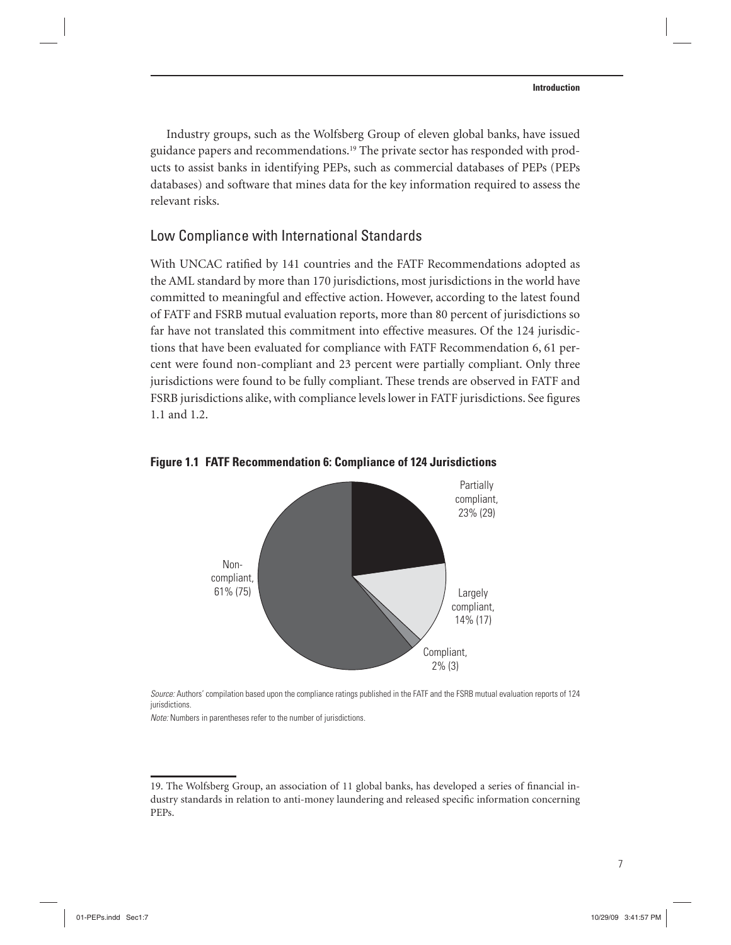Industry groups, such as the Wolfsberg Group of eleven global banks, have issued guidance papers and recommendations.<sup>19</sup> The private sector has responded with products to assist banks in identifying PEPs, such as commercial databases of PEPs (PEPs databases) and software that mines data for the key information required to assess the relevant risks.

#### Low Compliance with International Standards

With UNCAC ratified by 141 countries and the FATF Recommendations adopted as the AML standard by more than 170 jurisdictions, most jurisdictions in the world have committed to meaningful and effective action. However, according to the latest found of FATF and FSRB mutual evaluation reports, more than 80 percent of jurisdictions so far have not translated this commitment into effective measures. Of the 124 jurisdictions that have been evaluated for compliance with FATF Recommendation 6, 61 percent were found non-compliant and 23 percent were partially compliant. Only three jurisdictions were found to be fully compliant. These trends are observed in FATF and FSRB jurisdictions alike, with compliance levels lower in FATF jurisdictions. See figures 1.1 and 1.2.



#### **Figure 1.1 FATF Recommendation 6: Compliance of 124 Jurisdictions**

*Source:* Authors' compilation based upon the compliance ratings published in the FATF and the FSRB mutual evaluation reports of 124 jurisdictions.

*Note:* Numbers in parentheses refer to the number of jurisdictions.

<sup>19.</sup> The Wolfsberg Group, an association of 11 global banks, has developed a series of financial industry standards in relation to anti-money laundering and released specific information concerning PEPs.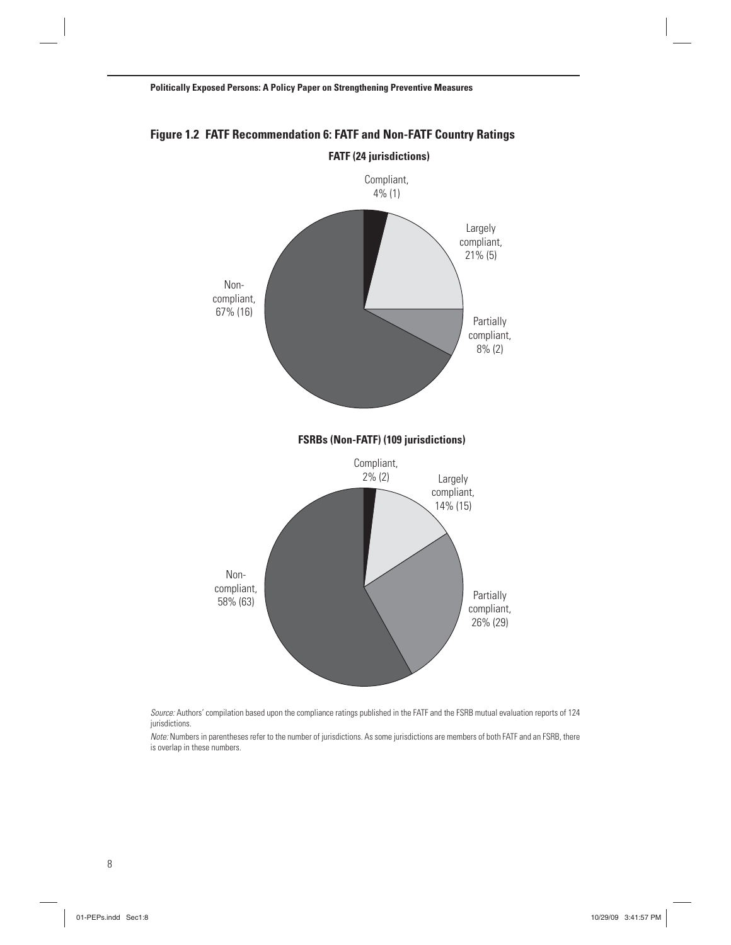

#### **Figure 1.2 FATF Recommendation 6: FATF and Non-FATF Country Ratings**

*Source:* Authors' compilation based upon the compliance ratings published in the FATF and the FSRB mutual evaluation reports of 124 jurisdictions.

*Note:* Numbers in parentheses refer to the number of jurisdictions. As some jurisdictions are members of both FATF and an FSRB, there is overlap in these numbers.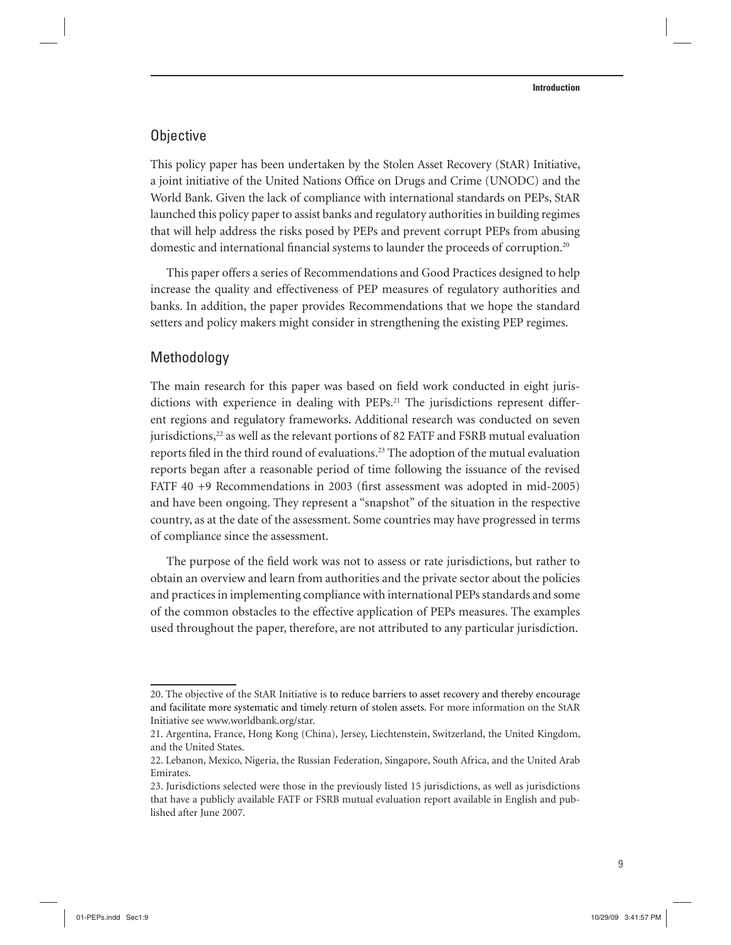#### **Objective**

This policy paper has been undertaken by the Stolen Asset Recovery (StAR) Initiative, a joint initiative of the United Nations Office on Drugs and Crime (UNODC) and the World Bank. Given the lack of compliance with international standards on PEPs, StAR launched this policy paper to assist banks and regulatory authorities in building regimes that will help address the risks posed by PEPs and prevent corrupt PEPs from abusing domestic and international financial systems to launder the proceeds of corruption.<sup>20</sup>

This paper offers a series of Recommendations and Good Practices designed to help increase the quality and effectiveness of PEP measures of regulatory authorities and banks. In addition, the paper provides Recommendations that we hope the standard setters and policy makers might consider in strengthening the existing PEP regimes.

#### Methodology

The main research for this paper was based on field work conducted in eight jurisdictions with experience in dealing with PEPs.<sup>21</sup> The jurisdictions represent different regions and regulatory frameworks. Additional research was conducted on seven jurisdictions, $22$  as well as the relevant portions of 82 FATF and FSRB mutual evaluation reports filed in the third round of evaluations.<sup>23</sup> The adoption of the mutual evaluation reports began after a reasonable period of time following the issuance of the revised FATF  $40 + 9$  Recommendations in 2003 (first assessment was adopted in mid-2005) and have been ongoing. They represent a "snapshot" of the situation in the respective country, as at the date of the assessment. Some countries may have progressed in terms of compliance since the assessment.

The purpose of the field work was not to assess or rate jurisdictions, but rather to obtain an overview and learn from authorities and the private sector about the policies and practices in implementing compliance with international PEPs standards and some of the common obstacles to the effective application of PEPs measures. The examples used throughout the paper, therefore, are not attributed to any particular jurisdiction.

<sup>20.</sup> The objective of the StAR Initiative is to reduce barriers to asset recovery and thereby encourage and facilitate more systematic and timely return of stolen assets. For more information on the StAR Initiative see www.worldbank.org/star.

<sup>21.</sup> Argentina, France, Hong Kong (China), Jersey, Liechtenstein, Switzerland, the United Kingdom, and the United States.

<sup>22.</sup> Lebanon, Mexico, Nigeria, the Russian Federation, Singapore, South Africa, and the United Arab Emirates.

<sup>23.</sup> Jurisdictions selected were those in the previously listed 15 jurisdictions, as well as jurisdictions that have a publicly available FATF or FSRB mutual evaluation report available in English and published after June 2007.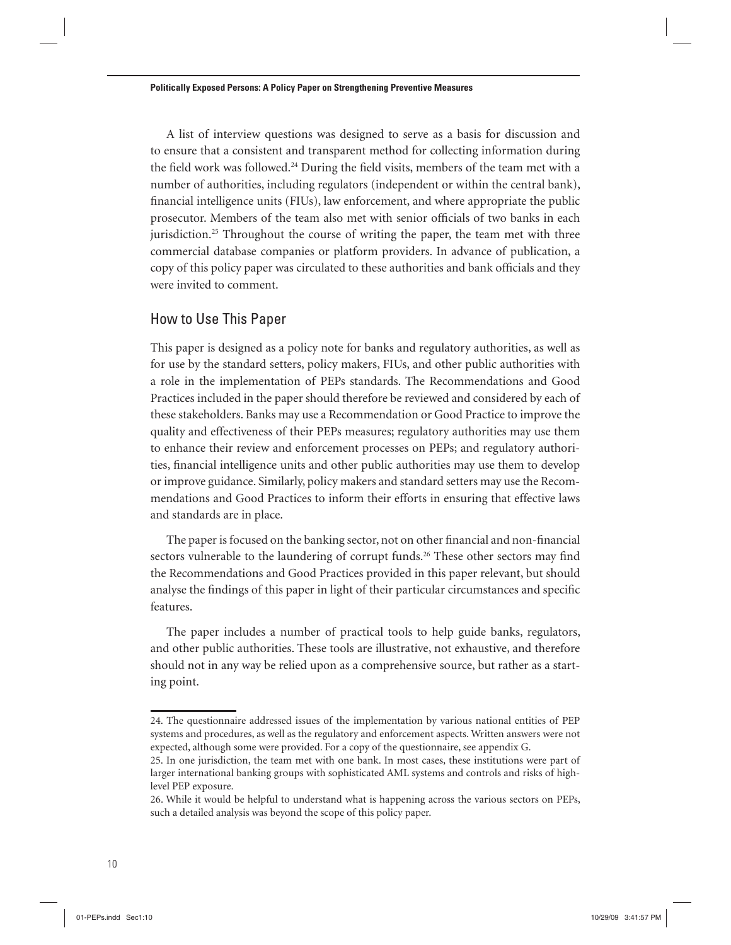A list of interview questions was designed to serve as a basis for discussion and to ensure that a consistent and transparent method for collecting information during the field work was followed.<sup>24</sup> During the field visits, members of the team met with a number of authorities, including regulators (independent or within the central bank), financial intelligence units (FIUs), law enforcement, and where appropriate the public prosecutor. Members of the team also met with senior officials of two banks in each jurisdiction.25 Throughout the course of writing the paper, the team met with three commercial database companies or platform providers. In advance of publication, a copy of this policy paper was circulated to these authorities and bank officials and they were invited to comment.

#### How to Use This Paper

This paper is designed as a policy note for banks and regulatory authorities, as well as for use by the standard setters, policy makers, FIUs, and other public authorities with a role in the implementation of PEPs standards. The Recommendations and Good Practices included in the paper should therefore be reviewed and considered by each of these stakeholders. Banks may use a Recommendation or Good Practice to improve the quality and effectiveness of their PEPs measures; regulatory authorities may use them to enhance their review and enforcement processes on PEPs; and regulatory authorities, financial intelligence units and other public authorities may use them to develop or improve guidance. Similarly, policy makers and standard setters may use the Recommendations and Good Practices to inform their efforts in ensuring that effective laws and standards are in place.

The paper is focused on the banking sector, not on other financial and non-financial sectors vulnerable to the laundering of corrupt funds.<sup>26</sup> These other sectors may find the Recommendations and Good Practices provided in this paper relevant, but should analyse the findings of this paper in light of their particular circumstances and specific features.

The paper includes a number of practical tools to help guide banks, regulators, and other public authorities. These tools are illustrative, not exhaustive, and therefore should not in any way be relied upon as a comprehensive source, but rather as a starting point.

<sup>24.</sup> The questionnaire addressed issues of the implementation by various national entities of PEP systems and procedures, as well as the regulatory and enforcement aspects. Written answers were not expected, although some were provided. For a copy of the questionnaire, see appendix G.

<sup>25.</sup> In one jurisdiction, the team met with one bank. In most cases, these institutions were part of larger international banking groups with sophisticated AML systems and controls and risks of highlevel PEP exposure.

<sup>26.</sup> While it would be helpful to understand what is happening across the various sectors on PEPs, such a detailed analysis was beyond the scope of this policy paper.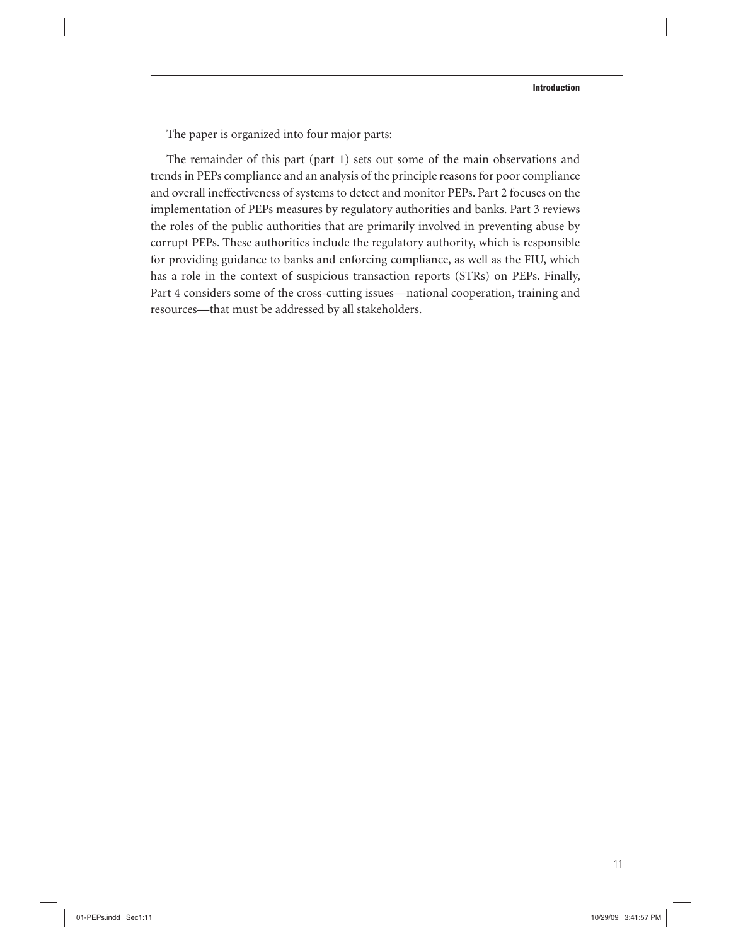The paper is organized into four major parts:

The remainder of this part (part 1) sets out some of the main observations and trends in PEPs compliance and an analysis of the principle reasons for poor compliance and overall ineffectiveness of systems to detect and monitor PEPs. Part 2 focuses on the implementation of PEPs measures by regulatory authorities and banks. Part 3 reviews the roles of the public authorities that are primarily involved in preventing abuse by corrupt PEPs. These authorities include the regulatory authority, which is responsible for providing guidance to banks and enforcing compliance, as well as the FIU, which has a role in the context of suspicious transaction reports (STRs) on PEPs. Finally, Part 4 considers some of the cross-cutting issues—national cooperation, training and resources—that must be addressed by all stakeholders.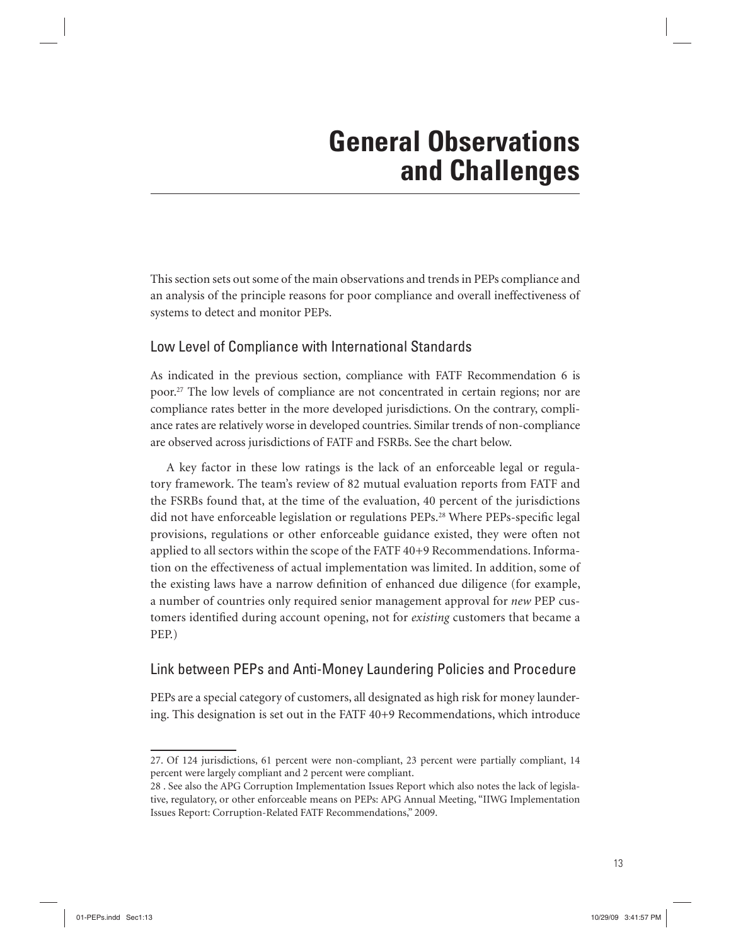## **General Observations and Challenges**

This section sets out some of the main observations and trends in PEPs compliance and an analysis of the principle reasons for poor compliance and overall ineffectiveness of systems to detect and monitor PEPs.

#### Low Level of Compliance with International Standards

As indicated in the previous section, compliance with FATF Recommendation 6 is poor.<sup>27</sup> The low levels of compliance are not concentrated in certain regions; nor are compliance rates better in the more developed jurisdictions. On the contrary, compliance rates are relatively worse in developed countries. Similar trends of non-compliance are observed across jurisdictions of FATF and FSRBs. See the chart below.

A key factor in these low ratings is the lack of an enforceable legal or regulatory framework. The team's review of 82 mutual evaluation reports from FATF and the FSRBs found that, at the time of the evaluation, 40 percent of the jurisdictions did not have enforceable legislation or regulations PEPs.<sup>28</sup> Where PEPs-specific legal provisions, regulations or other enforceable guidance existed, they were often not applied to all sectors within the scope of the FATF 40+9 Recommendations. Information on the effectiveness of actual implementation was limited. In addition, some of the existing laws have a narrow definition of enhanced due diligence (for example, a number of countries only required senior management approval for *new* PEP customers identified during account opening, not for *existing* customers that became a PEP.)

#### Link between PEPs and Anti-Money Laundering Policies and Procedure

PEPs are a special category of customers, all designated as high risk for money laundering. This designation is set out in the FATF 40+9 Recommendations, which introduce

<sup>27.</sup> Of 124 jurisdictions, 61 percent were non-compliant, 23 percent were partially compliant, 14 percent were largely compliant and 2 percent were compliant.

<sup>28 .</sup> See also the APG Corruption Implementation Issues Report which also notes the lack of legislative, regulatory, or other enforceable means on PEPs: APG Annual Meeting, "IIWG Implementation Issues Report: Corruption-Related FATF Recommendations," 2009.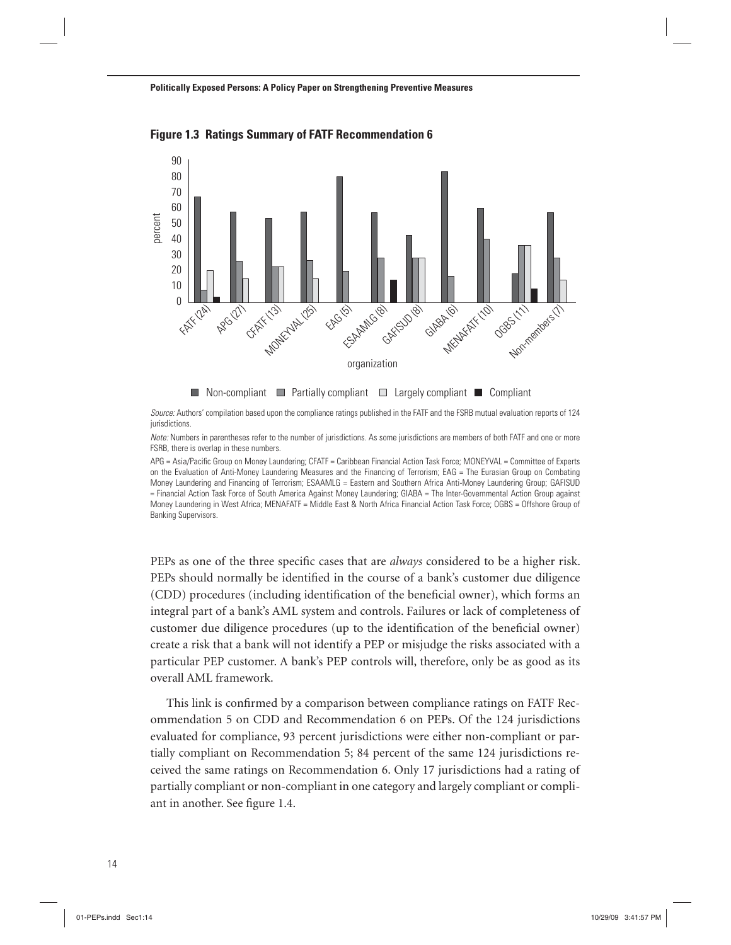

**Figure 1.3 Ratings Summary of FATF Recommendation 6** 

*Source:* Authors' compilation based upon the compliance ratings published in the FATF and the FSRB mutual evaluation reports of 124 jurisdictions.

*Note:* Numbers in parentheses refer to the number of jurisdictions. As some jurisdictions are members of both FATF and one or more FSRB, there is overlap in these numbers.

APG = Asia/Pacifi c Group on Money Laundering; CFATF = Caribbean Financial Action Task Force; MONEYVAL = Committee of Experts on the Evaluation of Anti-Money Laundering Measures and the Financing of Terrorism; EAG = The Eurasian Group on Combating Money Laundering and Financing of Terrorism; ESAAMLG = Eastern and Southern Africa Anti-Money Laundering Group; GAFISUD = Financial Action Task Force of South America Against Money Laundering; GIABA = The Inter-Governmental Action Group against Money Laundering in West Africa; MENAFATF = Middle East & North Africa Financial Action Task Force; OGBS = Offshore Group of Banking Supervisors.

PEPs as one of the three specific cases that are *always* considered to be a higher risk. PEPs should normally be identified in the course of a bank's customer due diligence (CDD) procedures (including identification of the beneficial owner), which forms an integral part of a bank's AML system and controls. Failures or lack of completeness of customer due diligence procedures (up to the identification of the beneficial owner) create a risk that a bank will not identify a PEP or misjudge the risks associated with a particular PEP customer. A bank's PEP controls will, therefore, only be as good as its overall AML framework.

This link is confirmed by a comparison between compliance ratings on FATF Recommendation 5 on CDD and Recommendation 6 on PEPs. Of the 124 jurisdictions evaluated for compliance, 93 percent jurisdictions were either non-compliant or partially compliant on Recommendation 5; 84 percent of the same 124 jurisdictions received the same ratings on Recommendation 6. Only 17 jurisdictions had a rating of partially compliant or non-compliant in one category and largely compliant or compliant in another. See figure 1.4.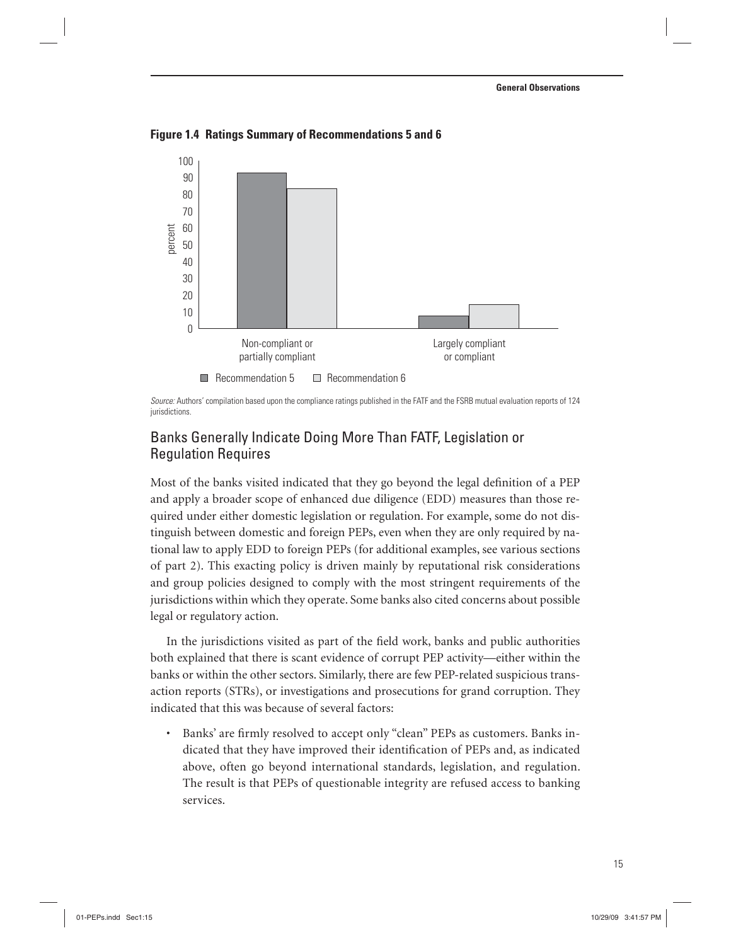

**Figure 1.4 Ratings Summary of Recommendations 5 and 6**

*Source:* Authors' compilation based upon the compliance ratings published in the FATF and the FSRB mutual evaluation reports of 124 jurisdictions.

#### Banks Generally Indicate Doing More Than FATF, Legislation or Regulation Requires

Most of the banks visited indicated that they go beyond the legal definition of a PEP and apply a broader scope of enhanced due diligence (EDD) measures than those required under either domestic legislation or regulation. For example, some do not distinguish between domestic and foreign PEPs, even when they are only required by national law to apply EDD to foreign PEPs (for additional examples, see various sections of part 2). This exacting policy is driven mainly by reputational risk considerations and group policies designed to comply with the most stringent requirements of the jurisdictions within which they operate. Some banks also cited concerns about possible legal or regulatory action.

In the jurisdictions visited as part of the field work, banks and public authorities both explained that there is scant evidence of corrupt PEP activity—either within the banks or within the other sectors. Similarly, there are few PEP-related suspicious transaction reports (STRs), or investigations and prosecutions for grand corruption. They indicated that this was because of several factors:

Banks' are firmly resolved to accept only "clean" PEPs as customers. Banks indicated that they have improved their identification of PEPs and, as indicated above, often go beyond international standards, legislation, and regulation. The result is that PEPs of questionable integrity are refused access to banking services.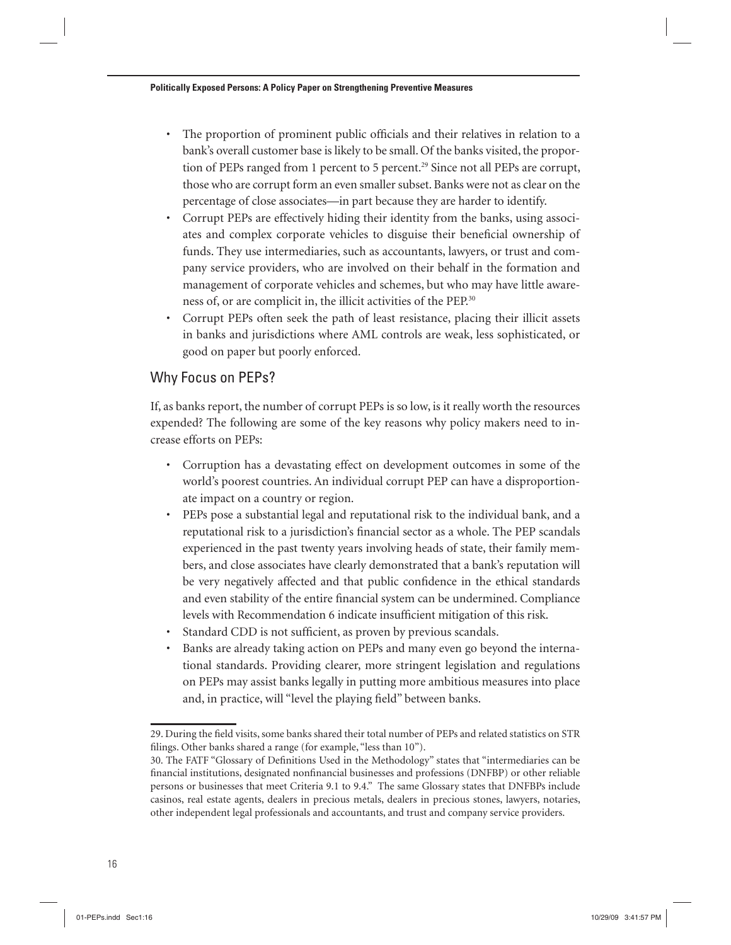- The proportion of prominent public officials and their relatives in relation to a bank's overall customer base is likely to be small. Of the banks visited, the proportion of PEPs ranged from 1 percent to 5 percent.<sup>29</sup> Since not all PEPs are corrupt, those who are corrupt form an even smaller subset. Banks were not as clear on the percentage of close associates—in part because they are harder to identify.
- Corrupt PEPs are effectively hiding their identity from the banks, using associates and complex corporate vehicles to disguise their beneficial ownership of funds. They use intermediaries, such as accountants, lawyers, or trust and company service providers, who are involved on their behalf in the formation and management of corporate vehicles and schemes, but who may have little awareness of, or are complicit in, the illicit activities of the PEP.30
- Corrupt PEPs often seek the path of least resistance, placing their illicit assets in banks and jurisdictions where AML controls are weak, less sophisticated, or good on paper but poorly enforced.

#### Why Focus on PEPs?

If, as banks report, the number of corrupt PEPs is so low, is it really worth the resources expended? The following are some of the key reasons why policy makers need to increase efforts on PEPs:

- Corruption has a devastating effect on development outcomes in some of the world's poorest countries. An individual corrupt PEP can have a disproportionate impact on a country or region.
- PEPs pose a substantial legal and reputational risk to the individual bank, and a reputational risk to a jurisdiction's financial sector as a whole. The PEP scandals experienced in the past twenty years involving heads of state, their family members, and close associates have clearly demonstrated that a bank's reputation will be very negatively affected and that public confidence in the ethical standards and even stability of the entire financial system can be undermined. Compliance levels with Recommendation 6 indicate insufficient mitigation of this risk.
- Standard CDD is not sufficient, as proven by previous scandals.
- Banks are already taking action on PEPs and many even go beyond the international standards. Providing clearer, more stringent legislation and regulations on PEPs may assist banks legally in putting more ambitious measures into place and, in practice, will "level the playing field" between banks.

<sup>29.</sup> During the field visits, some banks shared their total number of PEPs and related statistics on STR filings. Other banks shared a range (for example, "less than 10").

<sup>30.</sup> The FATF "Glossary of Definitions Used in the Methodology" states that "intermediaries can be financial institutions, designated nonfinancial businesses and professions (DNFBP) or other reliable persons or businesses that meet Criteria 9.1 to 9.4." The same Glossary states that DNFBPs include casinos, real estate agents, dealers in precious metals, dealers in precious stones, lawyers, notaries, other independent legal professionals and accountants, and trust and company service providers.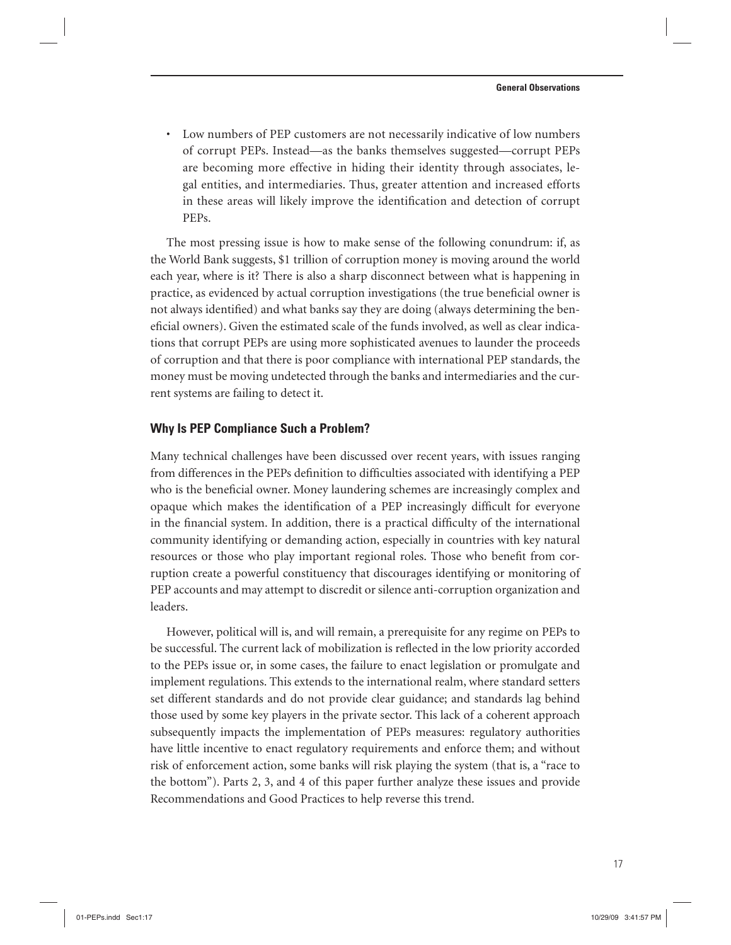Low numbers of PEP customers are not necessarily indicative of low numbers of corrupt PEPs. Instead—as the banks themselves suggested—corrupt PEPs are becoming more effective in hiding their identity through associates, legal entities, and intermediaries. Thus, greater attention and increased efforts in these areas will likely improve the identification and detection of corrupt PEPs.

The most pressing issue is how to make sense of the following conundrum: if, as the World Bank suggests, \$1 trillion of corruption money is moving around the world each year, where is it? There is also a sharp disconnect between what is happening in practice, as evidenced by actual corruption investigations (the true beneficial owner is not always identified) and what banks say they are doing (always determining the beneficial owners). Given the estimated scale of the funds involved, as well as clear indications that corrupt PEPs are using more sophisticated avenues to launder the proceeds of corruption and that there is poor compliance with international PEP standards, the money must be moving undetected through the banks and intermediaries and the current systems are failing to detect it.

#### **Why Is PEP Compliance Such a Problem?**

Many technical challenges have been discussed over recent years, with issues ranging from differences in the PEPs definition to difficulties associated with identifying a PEP who is the beneficial owner. Money laundering schemes are increasingly complex and opaque which makes the identification of a PEP increasingly difficult for everyone in the financial system. In addition, there is a practical difficulty of the international community identifying or demanding action, especially in countries with key natural resources or those who play important regional roles. Those who benefit from corruption create a powerful constituency that discourages identifying or monitoring of PEP accounts and may attempt to discredit or silence anti-corruption organization and leaders.

However, political will is, and will remain, a prerequisite for any regime on PEPs to be successful. The current lack of mobilization is reflected in the low priority accorded to the PEPs issue or, in some cases, the failure to enact legislation or promulgate and implement regulations. This extends to the international realm, where standard setters set different standards and do not provide clear guidance; and standards lag behind those used by some key players in the private sector. This lack of a coherent approach subsequently impacts the implementation of PEPs measures: regulatory authorities have little incentive to enact regulatory requirements and enforce them; and without risk of enforcement action, some banks will risk playing the system (that is, a "race to the bottom"). Parts 2, 3, and 4 of this paper further analyze these issues and provide Recommendations and Good Practices to help reverse this trend.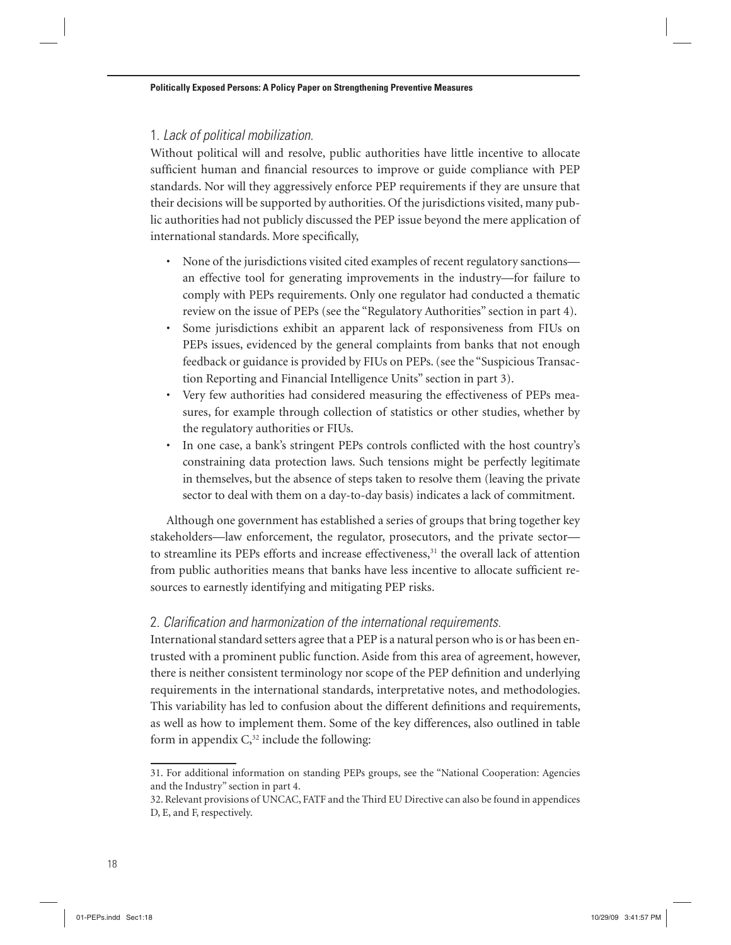### 1. *Lack of political mobilization.*

Without political will and resolve, public authorities have little incentive to allocate sufficient human and financial resources to improve or guide compliance with PEP standards. Nor will they aggressively enforce PEP requirements if they are unsure that their decisions will be supported by authorities. Of the jurisdictions visited, many public authorities had not publicly discussed the PEP issue beyond the mere application of international standards. More specifically,

- None of the jurisdictions visited cited examples of recent regulatory sanctions an effective tool for generating improvements in the industry—for failure to comply with PEPs requirements. Only one regulator had conducted a thematic review on the issue of PEPs (see the "Regulatory Authorities" section in part 4).
- Some jurisdictions exhibit an apparent lack of responsiveness from FIUs on PEPs issues, evidenced by the general complaints from banks that not enough feedback or guidance is provided by FIUs on PEPs. (see the "Suspicious Transaction Reporting and Financial Intelligence Units" section in part 3).
- Very few authorities had considered measuring the effectiveness of PEPs measures, for example through collection of statistics or other studies, whether by the regulatory authorities or FIUs.
- In one case, a bank's stringent PEPs controls conflicted with the host country's constraining data protection laws. Such tensions might be perfectly legitimate in themselves, but the absence of steps taken to resolve them (leaving the private sector to deal with them on a day-to-day basis) indicates a lack of commitment.

Although one government has established a series of groups that bring together key stakeholders—law enforcement, the regulator, prosecutors, and the private sector to streamline its PEPs efforts and increase effectiveness,<sup>31</sup> the overall lack of attention from public authorities means that banks have less incentive to allocate sufficient resources to earnestly identifying and mitigating PEP risks.

## 2. *Clarifi cation and harmonization of the international requirements.*

International standard setters agree that a PEP is a natural person who is or has been entrusted with a prominent public function. Aside from this area of agreement, however, there is neither consistent terminology nor scope of the PEP definition and underlying requirements in the international standards, interpretative notes, and methodologies. This variability has led to confusion about the different definitions and requirements, as well as how to implement them. Some of the key differences, also outlined in table form in appendix  $C<sub>2</sub><sup>32</sup>$  include the following:

<sup>31.</sup> For additional information on standing PEPs groups, see the "National Cooperation: Agencies and the Industry" section in part 4.

<sup>32.</sup> Relevant provisions of UNCAC, FATF and the Third EU Directive can also be found in appendices D, E, and F, respectively.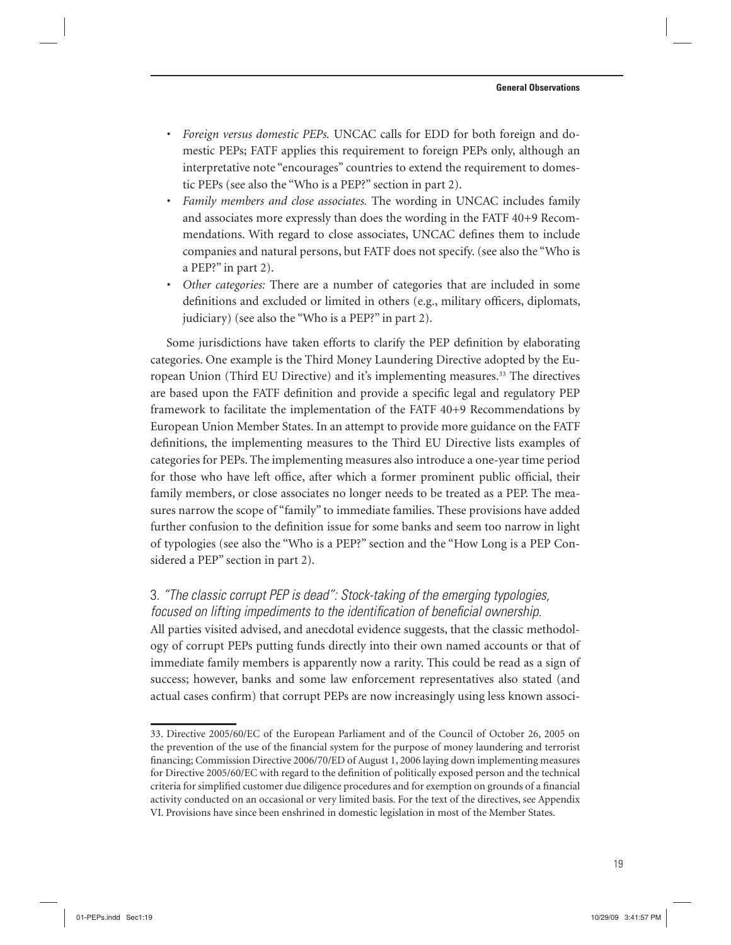- *Foreign versus domestic PEPs.* UNCAC calls for EDD for both foreign and domestic PEPs; FATF applies this requirement to foreign PEPs only, although an interpretative note "encourages" countries to extend the requirement to domestic PEPs (see also the "Who is a PEP?" section in part 2).
- *Family members and close associates.* The wording in UNCAC includes family and associates more expressly than does the wording in the FATF 40+9 Recommendations. With regard to close associates, UNCAC defines them to include companies and natural persons, but FATF does not specify. (see also the "Who is a PEP?" in part 2).
- *Other categories:* There are a number of categories that are included in some definitions and excluded or limited in others (e.g., military officers, diplomats, judiciary) (see also the "Who is a PEP?" in part 2).

Some jurisdictions have taken efforts to clarify the PEP definition by elaborating categories. One example is the Third Money Laundering Directive adopted by the European Union (Third EU Directive) and it's implementing measures.33 The directives are based upon the FATF definition and provide a specific legal and regulatory PEP framework to facilitate the implementation of the FATF 40+9 Recommendations by European Union Member States. In an attempt to provide more guidance on the FATF definitions, the implementing measures to the Third EU Directive lists examples of categories for PEPs. The implementing measures also introduce a one-year time period for those who have left office, after which a former prominent public official, their family members, or close associates no longer needs to be treated as a PEP. The measures narrow the scope of "family" to immediate families. These provisions have added further confusion to the definition issue for some banks and seem too narrow in light of typologies (see also the "Who is a PEP?" section and the "How Long is a PEP Considered a PEP" section in part 2).

## 3. *"The classic corrupt PEP is dead": Stock-taking of the emerging typologies, focused on lifting impediments to the identification of beneficial ownership.*

All parties visited advised, and anecdotal evidence suggests, that the classic methodology of corrupt PEPs putting funds directly into their own named accounts or that of immediate family members is apparently now a rarity. This could be read as a sign of success; however, banks and some law enforcement representatives also stated (and actual cases confirm) that corrupt PEPs are now increasingly using less known associ-

<sup>33.</sup> Directive 2005/60/EC of the European Parliament and of the Council of October 26, 2005 on the prevention of the use of the financial system for the purpose of money laundering and terrorist financing; Commission Directive 2006/70/ED of August 1, 2006 laying down implementing measures for Directive 2005/60/EC with regard to the definition of politically exposed person and the technical criteria for simplified customer due diligence procedures and for exemption on grounds of a financial activity conducted on an occasional or very limited basis. For the text of the directives, see Appendix VI. Provisions have since been enshrined in domestic legislation in most of the Member States.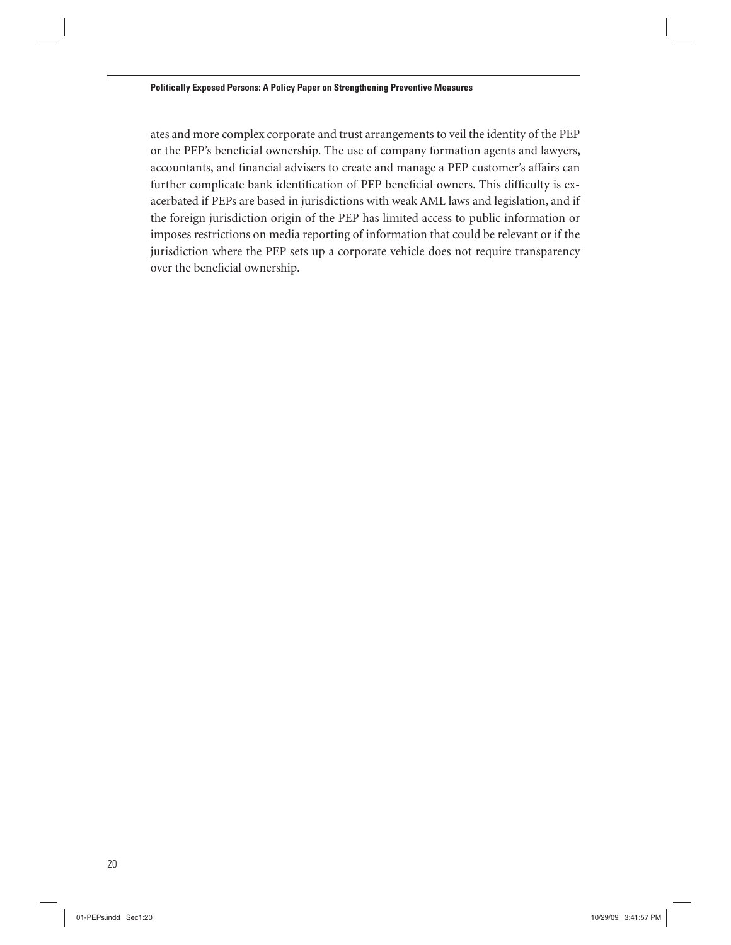ates and more complex corporate and trust arrangements to veil the identity of the PEP or the PEP's beneficial ownership. The use of company formation agents and lawyers, accountants, and financial advisers to create and manage a PEP customer's affairs can further complicate bank identification of PEP beneficial owners. This difficulty is exacerbated if PEPs are based in jurisdictions with weak AML laws and legislation, and if the foreign jurisdiction origin of the PEP has limited access to public information or imposes restrictions on media reporting of information that could be relevant or if the jurisdiction where the PEP sets up a corporate vehicle does not require transparency over the beneficial ownership.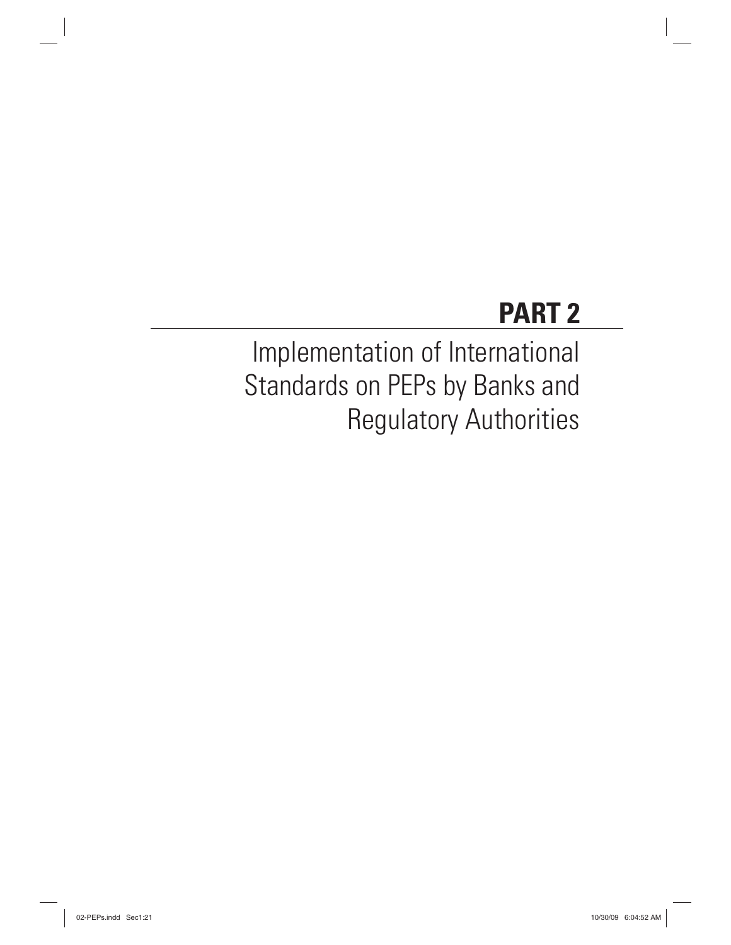# **PART 2**

Implementation of International Standards on PEPs by Banks and Regulatory Authorities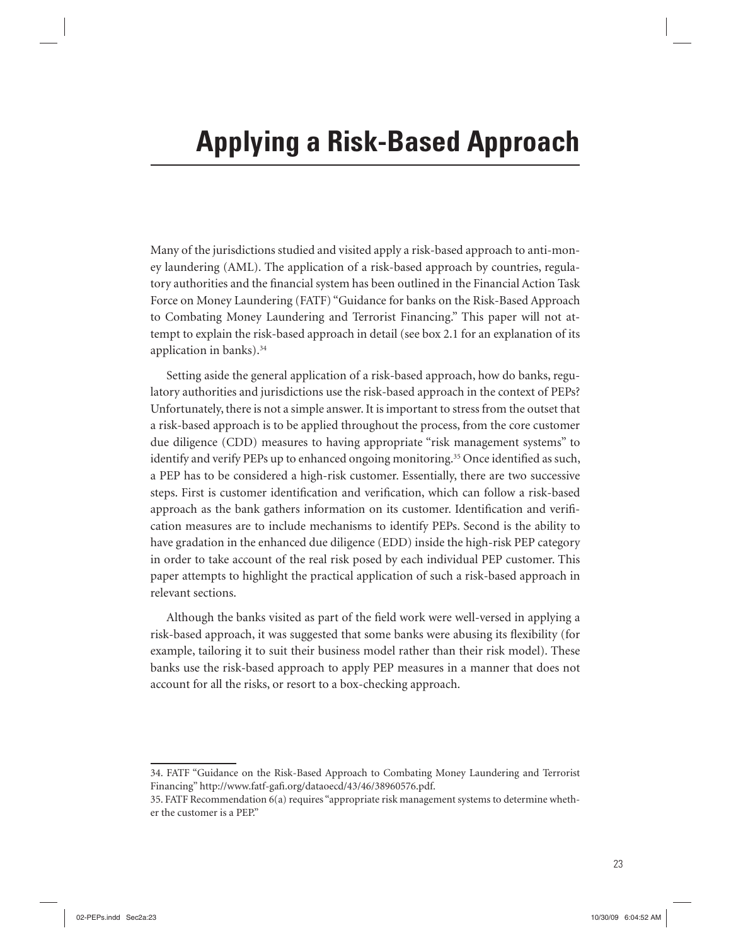Many of the jurisdictions studied and visited apply a risk-based approach to anti-money laundering (AML). The application of a risk-based approach by countries, regulatory authorities and the financial system has been outlined in the Financial Action Task Force on Money Laundering (FATF) "Guidance for banks on the Risk-Based Approach to Combating Money Laundering and Terrorist Financing." This paper will not attempt to explain the risk-based approach in detail (see box 2.1 for an explanation of its application in banks).<sup>34</sup>

Setting aside the general application of a risk-based approach, how do banks, regulatory authorities and jurisdictions use the risk-based approach in the context of PEPs? Unfortunately, there is not a simple answer. It is important to stress from the outset that a risk-based approach is to be applied throughout the process, from the core customer due diligence (CDD) measures to having appropriate "risk management systems" to identify and verify PEPs up to enhanced ongoing monitoring.<sup>35</sup> Once identified as such, a PEP has to be considered a high-risk customer. Essentially, there are two successive steps. First is customer identification and verification, which can follow a risk-based approach as the bank gathers information on its customer. Identification and verification measures are to include mechanisms to identify PEPs. Second is the ability to have gradation in the enhanced due diligence (EDD) inside the high-risk PEP category in order to take account of the real risk posed by each individual PEP customer. This paper attempts to highlight the practical application of such a risk-based approach in relevant sections.

Although the banks visited as part of the field work were well-versed in applying a risk-based approach, it was suggested that some banks were abusing its flexibility (for example, tailoring it to suit their business model rather than their risk model). These banks use the risk-based approach to apply PEP measures in a manner that does not account for all the risks, or resort to a box-checking approach.

<sup>34.</sup> FATF "Guidance on the Risk-Based Approach to Combating Money Laundering and Terrorist Financing" http://www.fatf-gafi .org/dataoecd/43/46/38960576.pdf.

<sup>35.</sup> FATF Recommendation 6(a) requires "appropriate risk management systems to determine whether the customer is a PEP."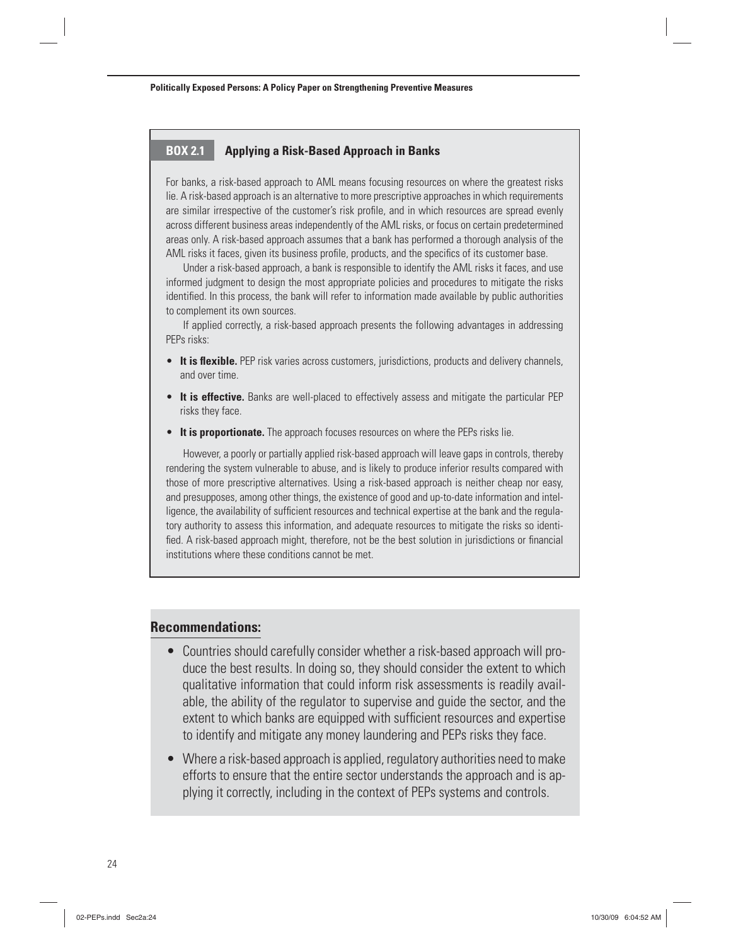### **BOX 2.1 Applying a Risk-Based Approach in Banks**

For banks, a risk-based approach to AML means focusing resources on where the greatest risks lie. A risk-based approach is an alternative to more prescriptive approaches in which requirements are similar irrespective of the customer's risk profile, and in which resources are spread evenly across different business areas independently of the AML risks, or focus on certain predetermined areas only. A risk-based approach assumes that a bank has performed a thorough analysis of the AML risks it faces, given its business profile, products, and the specifics of its customer base.

Under a risk-based approach, a bank is responsible to identify the AML risks it faces, and use informed judgment to design the most appropriate policies and procedures to mitigate the risks identified. In this process, the bank will refer to information made available by public authorities to complement its own sources.

If applied correctly, a risk-based approach presents the following advantages in addressing PEPs risks:

- It is flexible. PEP risk varies across customers, jurisdictions, products and delivery channels, and over time.
- **It is effective.** Banks are well-placed to effectively assess and mitigate the particular PEP risks they face.
- **It is proportionate.** The approach focuses resources on where the PEPs risks lie.

However, a poorly or partially applied risk-based approach will leave gaps in controls, thereby rendering the system vulnerable to abuse, and is likely to produce inferior results compared with those of more prescriptive alternatives. Using a risk-based approach is neither cheap nor easy, and presupposes, among other things, the existence of good and up-to-date information and intelligence, the availability of sufficient resources and technical expertise at the bank and the regulatory authority to assess this information, and adequate resources to mitigate the risks so identified. A risk-based approach might, therefore, not be the best solution in jurisdictions or financial institutions where these conditions cannot be met.

## **Recommendations:**

- Countries should carefully consider whether a risk-based approach will produce the best results. In doing so, they should consider the extent to which qualitative information that could inform risk assessments is readily available, the ability of the regulator to supervise and guide the sector, and the extent to which banks are equipped with sufficient resources and expertise to identify and mitigate any money laundering and PEPs risks they face.
- Where a risk-based approach is applied, regulatory authorities need to make efforts to ensure that the entire sector understands the approach and is applying it correctly, including in the context of PEPs systems and controls.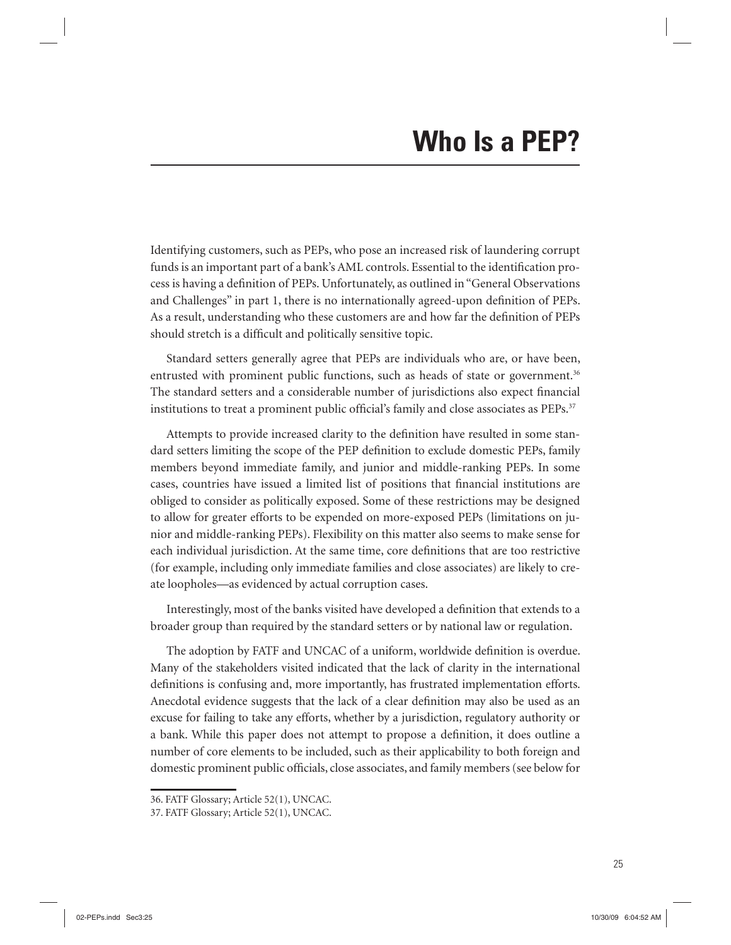Identifying customers, such as PEPs, who pose an increased risk of laundering corrupt funds is an important part of a bank's AML controls. Essential to the identification process is having a definition of PEPs. Unfortunately, as outlined in "General Observations" and Challenges" in part 1, there is no internationally agreed-upon definition of PEPs. As a result, understanding who these customers are and how far the definition of PEPs should stretch is a difficult and politically sensitive topic.

Standard setters generally agree that PEPs are individuals who are, or have been, entrusted with prominent public functions, such as heads of state or government.<sup>36</sup> The standard setters and a considerable number of jurisdictions also expect financial institutions to treat a prominent public official's family and close associates as PEPs.<sup>37</sup>

Attempts to provide increased clarity to the definition have resulted in some standard setters limiting the scope of the PEP definition to exclude domestic PEPs, family members beyond immediate family, and junior and middle-ranking PEPs. In some cases, countries have issued a limited list of positions that financial institutions are obliged to consider as politically exposed. Some of these restrictions may be designed to allow for greater efforts to be expended on more-exposed PEPs (limitations on junior and middle-ranking PEPs). Flexibility on this matter also seems to make sense for each individual jurisdiction. At the same time, core definitions that are too restrictive (for example, including only immediate families and close associates) are likely to create loopholes—as evidenced by actual corruption cases.

Interestingly, most of the banks visited have developed a definition that extends to a broader group than required by the standard setters or by national law or regulation.

The adoption by FATF and UNCAC of a uniform, worldwide definition is overdue. Many of the stakeholders visited indicated that the lack of clarity in the international definitions is confusing and, more importantly, has frustrated implementation efforts. Anecdotal evidence suggests that the lack of a clear definition may also be used as an excuse for failing to take any efforts, whether by a jurisdiction, regulatory authority or a bank. While this paper does not attempt to propose a definition, it does outline a number of core elements to be included, such as their applicability to both foreign and domestic prominent public officials, close associates, and family members (see below for

<sup>36.</sup> FATF Glossary; Article 52(1), UNCAC.

<sup>37.</sup> FATF Glossary; Article 52(1), UNCAC.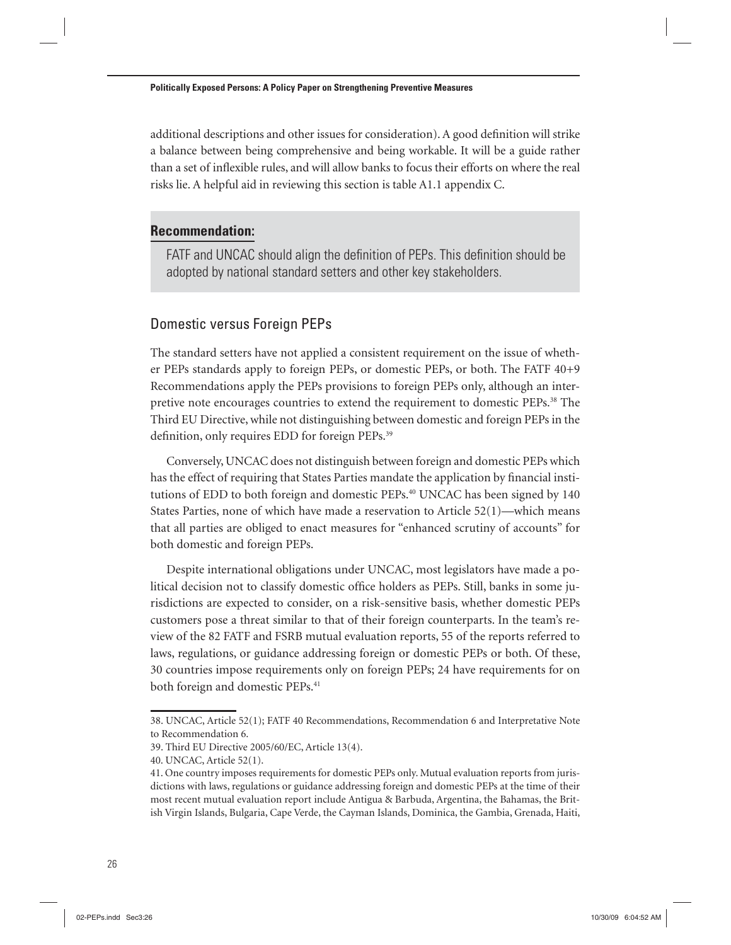additional descriptions and other issues for consideration). A good definition will strike a balance between being comprehensive and being workable. It will be a guide rather than a set of inflexible rules, and will allow banks to focus their efforts on where the real risks lie. A helpful aid in reviewing this section is table A1.1 appendix C.

#### **Recommendation:**

FATF and UNCAC should align the definition of PEPs. This definition should be adopted by national standard setters and other key stakeholders.

## Domestic versus Foreign PEPs

The standard setters have not applied a consistent requirement on the issue of whether PEPs standards apply to foreign PEPs, or domestic PEPs, or both. The FATF 40+9 Recommendations apply the PEPs provisions to foreign PEPs only, although an interpretive note encourages countries to extend the requirement to domestic PEPs.38 The Third EU Directive, while not distinguishing between domestic and foreign PEPs in the definition, only requires EDD for foreign PEPs.<sup>39</sup>

Conversely, UNCAC does not distinguish between foreign and domestic PEPs which has the effect of requiring that States Parties mandate the application by financial institutions of EDD to both foreign and domestic PEPs.<sup>40</sup> UNCAC has been signed by 140 States Parties, none of which have made a reservation to Article 52(1)—which means that all parties are obliged to enact measures for "enhanced scrutiny of accounts" for both domestic and foreign PEPs.

Despite international obligations under UNCAC, most legislators have made a political decision not to classify domestic office holders as PEPs. Still, banks in some jurisdictions are expected to consider, on a risk-sensitive basis, whether domestic PEPs customers pose a threat similar to that of their foreign counterparts. In the team's review of the 82 FATF and FSRB mutual evaluation reports, 55 of the reports referred to laws, regulations, or guidance addressing foreign or domestic PEPs or both. Of these, 30 countries impose requirements only on foreign PEPs; 24 have requirements for on both foreign and domestic PEPs.<sup>41</sup>

<sup>38.</sup> UNCAC, Article 52(1); FATF 40 Recommendations, Recommendation 6 and Interpretative Note to Recommendation 6.

<sup>39.</sup> Third EU Directive 2005/60/EC, Article 13(4).

<sup>40.</sup> UNCAC, Article 52(1).

<sup>41.</sup> One country imposes requirements for domestic PEPs only. Mutual evaluation reports from jurisdictions with laws, regulations or guidance addressing foreign and domestic PEPs at the time of their most recent mutual evaluation report include Antigua & Barbuda, Argentina, the Bahamas, the British Virgin Islands, Bulgaria, Cape Verde, the Cayman Islands, Dominica, the Gambia, Grenada, Haiti,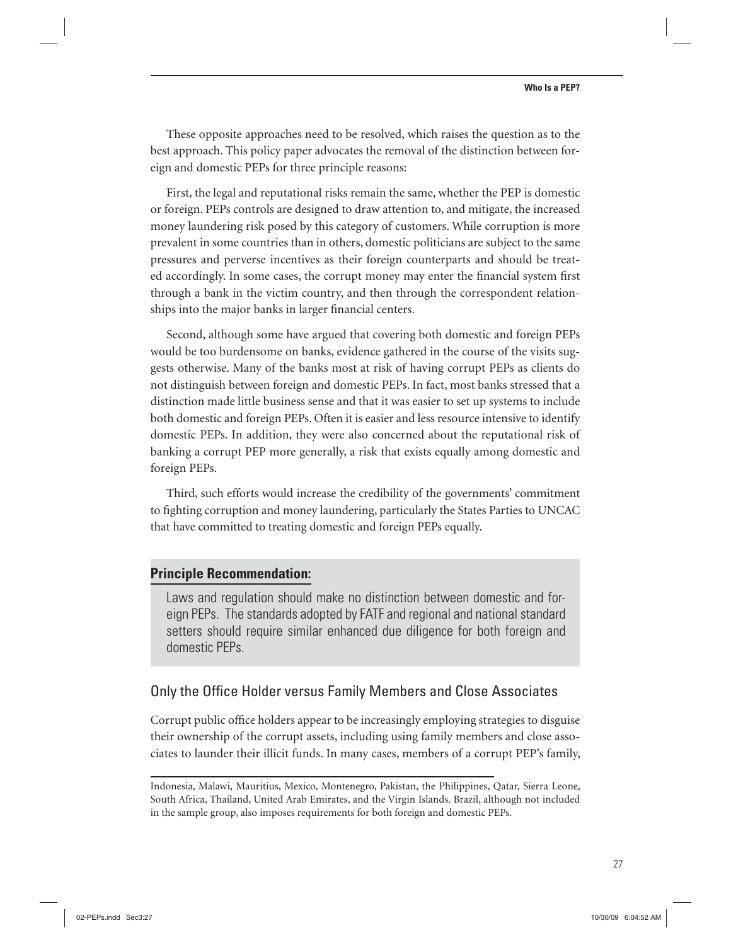These opposite approaches need to be resolved, which raises the question as to the best approach. This policy paper advocates the removal of the distinction between foreign and domestic PEPs for three principle reasons:

First, the legal and reputational risks remain the same, whether the PEP is domestic or foreign. PEPs controls are designed to draw attention to, and mitigate, the increased money laundering risk posed by this category of customers. While corruption is more prevalent in some countries than in others, domestic politicians are subject to the same pressures and perverse incentives as their foreign counterparts and should be treated accordingly. In some cases, the corrupt money may enter the financial system first through a bank in the victim country, and then through the correspondent relationships into the major banks in larger financial centers.

Second, although some have argued that covering both domestic and foreign PEPs would be too burdensome on banks, evidence gathered in the course of the visits suggests otherwise. Many of the banks most at risk of having corrupt PEPs as clients do not distinguish between foreign and domestic PEPs. In fact, most banks stressed that a distinction made little business sense and that it was easier to set up systems to include both domestic and foreign PEPs. Often it is easier and less resource intensive to identify domestic PEPs. In addition, they were also concerned about the reputational risk of banking a corrupt PEP more generally, a risk that exists equally among domestic and foreign PEPs.

Third, such efforts would increase the credibility of the governments' commitment to fighting corruption and money laundering, particularly the States Parties to UNCAC that have committed to treating domestic and foreign PEPs equally.

#### **Principle Recommendation:**

Laws and regulation should make no distinction between domestic and foreign PEPs. The standards adopted by FATF and regional and national standard setters should require similar enhanced due diligence for both foreign and domestic PEPs.

#### Only the Office Holder versus Family Members and Close Associates

Corrupt public office holders appear to be increasingly employing strategies to disguise their ownership of the corrupt assets, including using family members and close associates to launder their illicit funds. In many cases, members of a corrupt PEP's family,

Indonesia, Malawi, Mauritius, Mexico, Montenegro, Pakistan, the Philippines, Qatar, Sierra Leone, South Africa, Thailand, United Arab Emirates, and the Virgin Islands. Brazil, although not included in the sample group, also imposes requirements for both foreign and domestic PEPs.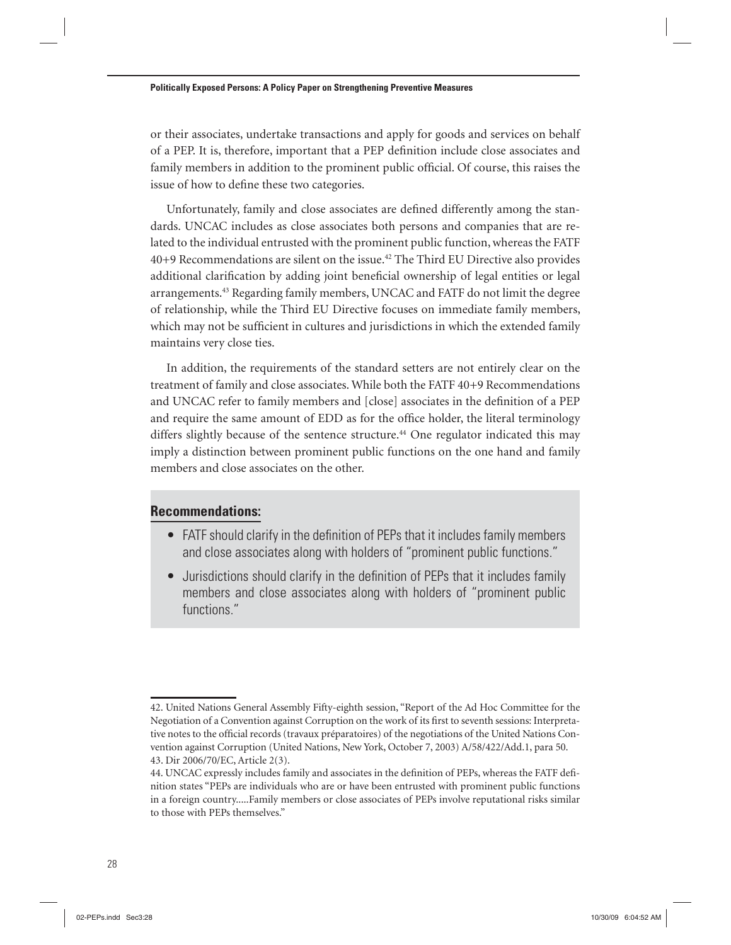or their associates, undertake transactions and apply for goods and services on behalf of a PEP. It is, therefore, important that a PEP definition include close associates and family members in addition to the prominent public official. Of course, this raises the issue of how to define these two categories.

Unfortunately, family and close associates are defined differently among the standards. UNCAC includes as close associates both persons and companies that are related to the individual entrusted with the prominent public function, whereas the FATF  $40+9$  Recommendations are silent on the issue.<sup>42</sup> The Third EU Directive also provides additional clarification by adding joint beneficial ownership of legal entities or legal arrangements.43 Regarding family members, UNCAC and FATF do not limit the degree of relationship, while the Third EU Directive focuses on immediate family members, which may not be sufficient in cultures and jurisdictions in which the extended family maintains very close ties.

In addition, the requirements of the standard setters are not entirely clear on the treatment of family and close associates. While both the FATF 40+9 Recommendations and UNCAC refer to family members and [close] associates in the definition of a PEP and require the same amount of EDD as for the office holder, the literal terminology differs slightly because of the sentence structure.<sup>44</sup> One regulator indicated this may imply a distinction between prominent public functions on the one hand and family members and close associates on the other.

### **Recommendations:**

- FATF should clarify in the definition of PEPs that it includes family members and close associates along with holders of "prominent public functions."
- Jurisdictions should clarify in the definition of PEPs that it includes family members and close associates along with holders of "prominent public functions."

<sup>42.</sup> United Nations General Assembly Fifty-eighth session, "Report of the Ad Hoc Committee for the Negotiation of a Convention against Corruption on the work of its first to seventh sessions: Interpretative notes to the official records (travaux préparatoires) of the negotiations of the United Nations Convention against Corruption (United Nations, New York, October 7, 2003) A/58/422/Add.1, para 50. 43. Dir 2006/70/EC, Article 2(3).

<sup>44.</sup> UNCAC expressly includes family and associates in the definition of PEPs, whereas the FATF definition states "PEPs are individuals who are or have been entrusted with prominent public functions in a foreign country.....Family members or close associates of PEPs involve reputational risks similar to those with PEPs themselves."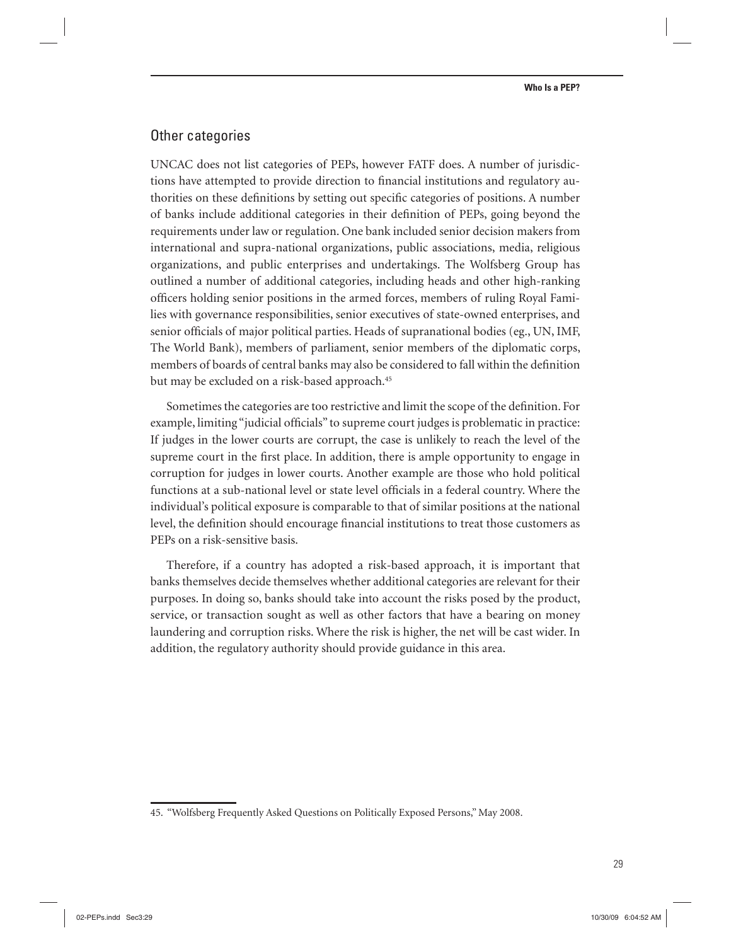### Other categories

UNCAC does not list categories of PEPs, however FATF does. A number of jurisdictions have attempted to provide direction to financial institutions and regulatory authorities on these definitions by setting out specific categories of positions. A number of banks include additional categories in their definition of PEPs, going beyond the requirements under law or regulation. One bank included senior decision makers from international and supra-national organizations, public associations, media, religious organizations, and public enterprises and undertakings. The Wolfsberg Group has outlined a number of additional categories, including heads and other high-ranking officers holding senior positions in the armed forces, members of ruling Royal Families with governance responsibilities, senior executives of state-owned enterprises, and senior officials of major political parties. Heads of supranational bodies (eg., UN, IMF, The World Bank), members of parliament, senior members of the diplomatic corps, members of boards of central banks may also be considered to fall within the definition but may be excluded on a risk-based approach.<sup>45</sup>

Sometimes the categories are too restrictive and limit the scope of the definition. For example, limiting "judicial officials" to supreme court judges is problematic in practice: If judges in the lower courts are corrupt, the case is unlikely to reach the level of the supreme court in the first place. In addition, there is ample opportunity to engage in corruption for judges in lower courts. Another example are those who hold political functions at a sub-national level or state level officials in a federal country. Where the individual's political exposure is comparable to that of similar positions at the national level, the definition should encourage financial institutions to treat those customers as PEPs on a risk-sensitive basis.

Therefore, if a country has adopted a risk-based approach, it is important that banks themselves decide themselves whether additional categories are relevant for their purposes. In doing so, banks should take into account the risks posed by the product, service, or transaction sought as well as other factors that have a bearing on money laundering and corruption risks. Where the risk is higher, the net will be cast wider. In addition, the regulatory authority should provide guidance in this area.

<sup>45. &</sup>quot;Wolfsberg Frequently Asked Questions on Politically Exposed Persons," May 2008.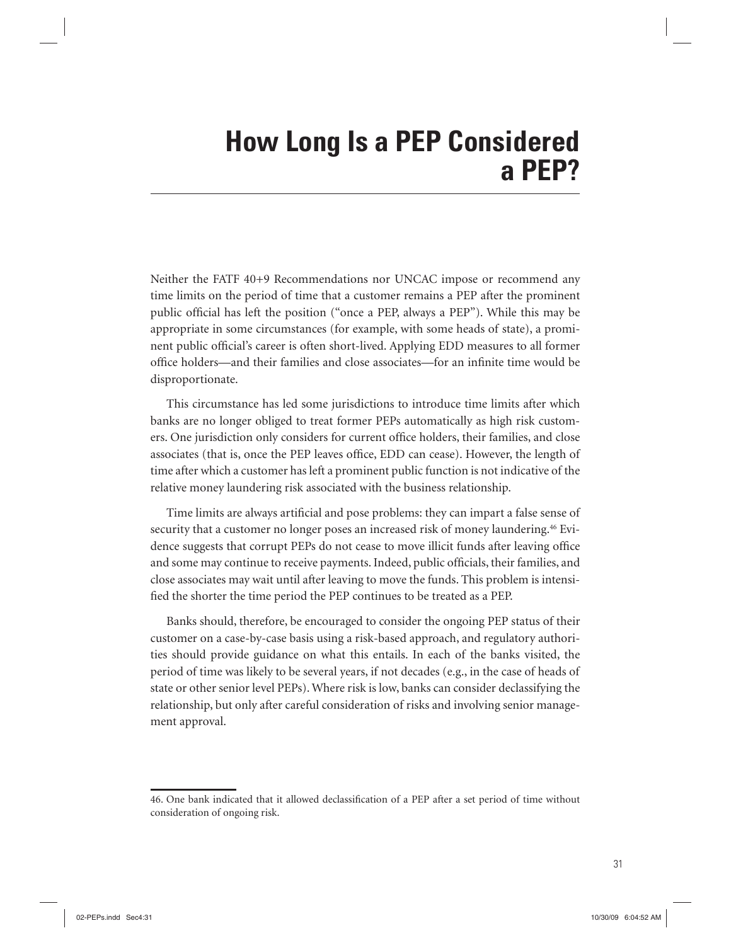# **How Long Is a PEP Considered a PEP?**

Neither the FATF 40+9 Recommendations nor UNCAC impose or recommend any time limits on the period of time that a customer remains a PEP after the prominent public official has left the position ("once a PEP, always a PEP"). While this may be appropriate in some circumstances (for example, with some heads of state), a prominent public official's career is often short-lived. Applying EDD measures to all former office holders—and their families and close associates—for an infinite time would be disproportionate.

This circumstance has led some jurisdictions to introduce time limits after which banks are no longer obliged to treat former PEPs automatically as high risk customers. One jurisdiction only considers for current office holders, their families, and close associates (that is, once the PEP leaves office, EDD can cease). However, the length of time after which a customer has left a prominent public function is not indicative of the relative money laundering risk associated with the business relationship.

Time limits are always artificial and pose problems: they can impart a false sense of security that a customer no longer poses an increased risk of money laundering.<sup>46</sup> Evidence suggests that corrupt PEPs do not cease to move illicit funds after leaving office and some may continue to receive payments. Indeed, public officials, their families, and close associates may wait until after leaving to move the funds. This problem is intensified the shorter the time period the PEP continues to be treated as a PEP.

Banks should, therefore, be encouraged to consider the ongoing PEP status of their customer on a case-by-case basis using a risk-based approach, and regulatory authorities should provide guidance on what this entails. In each of the banks visited, the period of time was likely to be several years, if not decades (e.g., in the case of heads of state or other senior level PEPs). Where risk is low, banks can consider declassifying the relationship, but only after careful consideration of risks and involving senior management approval.

<sup>46.</sup> One bank indicated that it allowed declassification of a PEP after a set period of time without consideration of ongoing risk.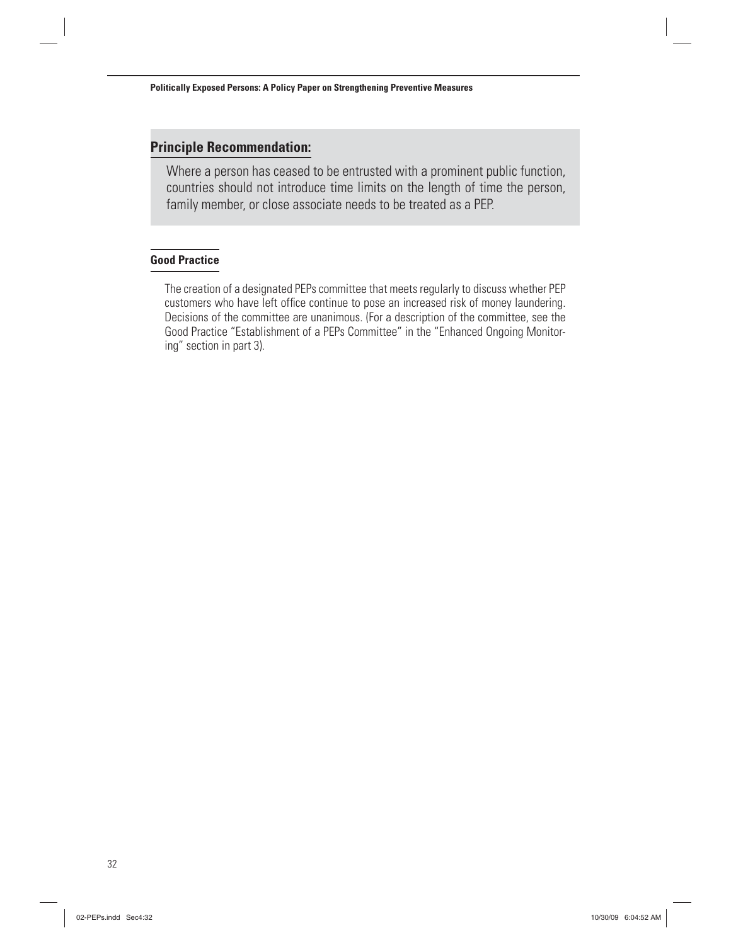## **Principle Recommendation:**

Where a person has ceased to be entrusted with a prominent public function, countries should not introduce time limits on the length of time the person, family member, or close associate needs to be treated as a PEP.

### **Good Practice**

The creation of a designated PEPs committee that meets regularly to discuss whether PEP customers who have left office continue to pose an increased risk of money laundering. Decisions of the committee are unanimous. (For a description of the committee, see the Good Practice "Establishment of a PEPs Committee" in the "Enhanced Ongoing Monitoring" section in part 3).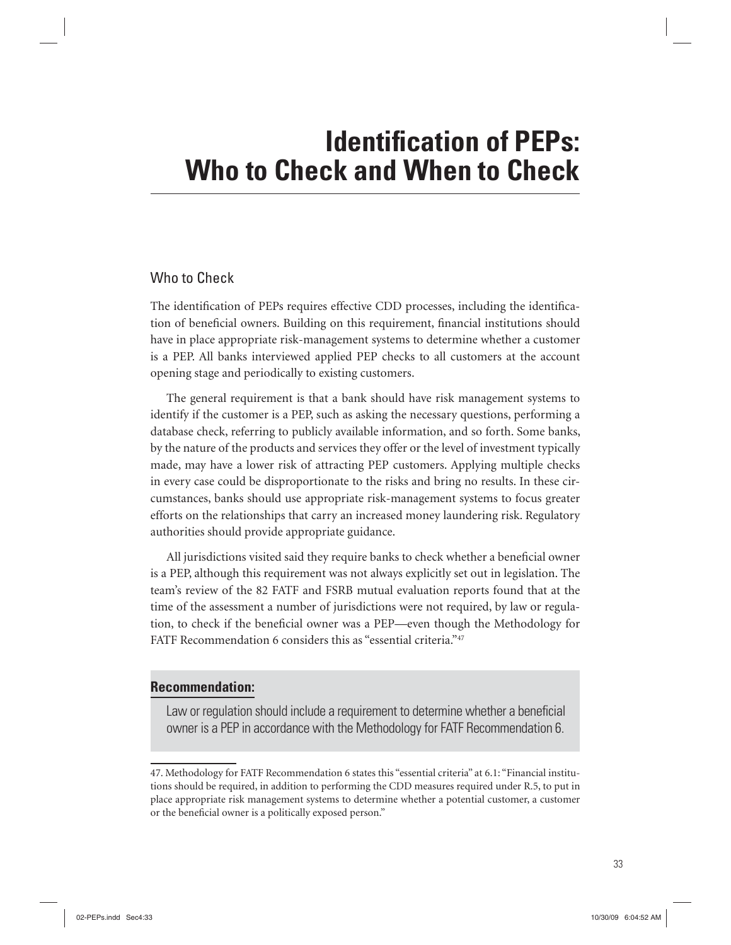# **Identification of PEPs: Who to Check and When to Check**

## Who to Check

The identification of PEPs requires effective CDD processes, including the identification of beneficial owners. Building on this requirement, financial institutions should have in place appropriate risk-management systems to determine whether a customer is a PEP. All banks interviewed applied PEP checks to all customers at the account opening stage and periodically to existing customers.

The general requirement is that a bank should have risk management systems to identify if the customer is a PEP, such as asking the necessary questions, performing a database check, referring to publicly available information, and so forth. Some banks, by the nature of the products and services they offer or the level of investment typically made, may have a lower risk of attracting PEP customers. Applying multiple checks in every case could be disproportionate to the risks and bring no results. In these circumstances, banks should use appropriate risk-management systems to focus greater efforts on the relationships that carry an increased money laundering risk. Regulatory authorities should provide appropriate guidance.

All jurisdictions visited said they require banks to check whether a beneficial owner is a PEP, although this requirement was not always explicitly set out in legislation. The team's review of the 82 FATF and FSRB mutual evaluation reports found that at the time of the assessment a number of jurisdictions were not required, by law or regulation, to check if the beneficial owner was a PEP—even though the Methodology for FATF Recommendation 6 considers this as "essential criteria."47

## **Recommendation:**

Law or regulation should include a requirement to determine whether a beneficial owner is a PEP in accordance with the Methodology for FATF Recommendation 6.

<sup>47.</sup> Methodology for FATF Recommendation 6 states this "essential criteria" at 6.1: "Financial institutions should be required, in addition to performing the CDD measures required under R.5, to put in place appropriate risk management systems to determine whether a potential customer, a customer or the beneficial owner is a politically exposed person."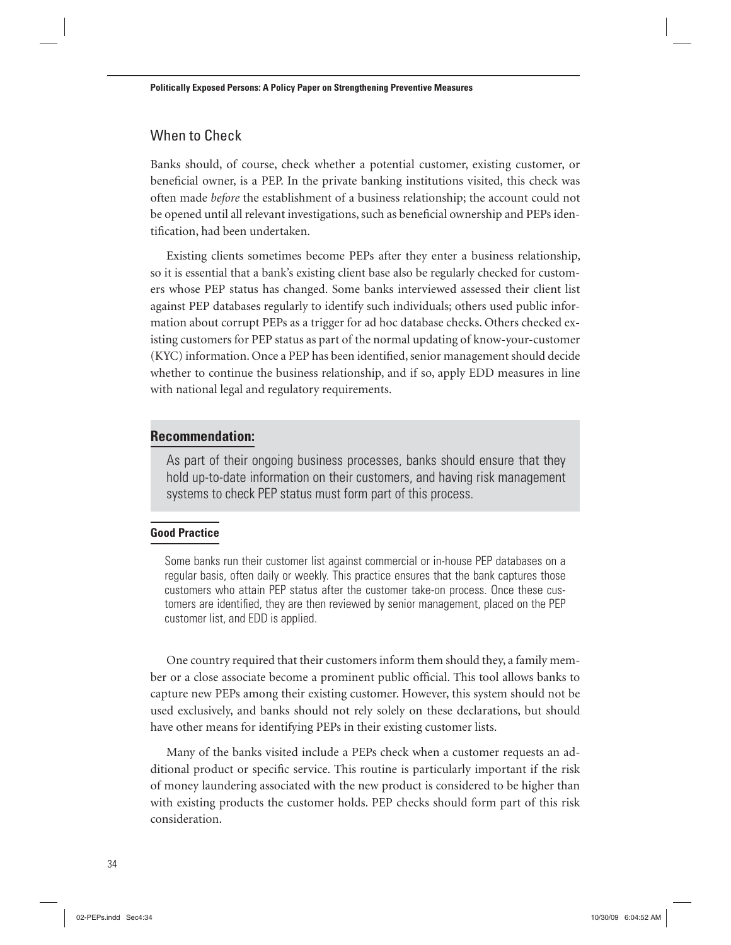## When to Check

Banks should, of course, check whether a potential customer, existing customer, or beneficial owner, is a PEP. In the private banking institutions visited, this check was often made *before* the establishment of a business relationship; the account could not be opened until all relevant investigations, such as beneficial ownership and PEPs identification, had been undertaken.

Existing clients sometimes become PEPs after they enter a business relationship, so it is essential that a bank's existing client base also be regularly checked for customers whose PEP status has changed. Some banks interviewed assessed their client list against PEP databases regularly to identify such individuals; others used public information about corrupt PEPs as a trigger for ad hoc database checks. Others checked existing customers for PEP status as part of the normal updating of know-your-customer (KYC) information. Once a PEP has been identified, senior management should decide whether to continue the business relationship, and if so, apply EDD measures in line with national legal and regulatory requirements.

### **Recommendation:**

As part of their ongoing business processes, banks should ensure that they hold up-to-date information on their customers, and having risk management systems to check PEP status must form part of this process.

#### **Good Practice**

Some banks run their customer list against commercial or in-house PEP databases on a regular basis, often daily or weekly. This practice ensures that the bank captures those customers who attain PEP status after the customer take-on process. Once these customers are identified, they are then reviewed by senior management, placed on the PEP customer list, and EDD is applied.

One country required that their customers inform them should they, a family member or a close associate become a prominent public official. This tool allows banks to capture new PEPs among their existing customer. However, this system should not be used exclusively, and banks should not rely solely on these declarations, but should have other means for identifying PEPs in their existing customer lists.

Many of the banks visited include a PEPs check when a customer requests an additional product or specific service. This routine is particularly important if the risk of money laundering associated with the new product is considered to be higher than with existing products the customer holds. PEP checks should form part of this risk consideration.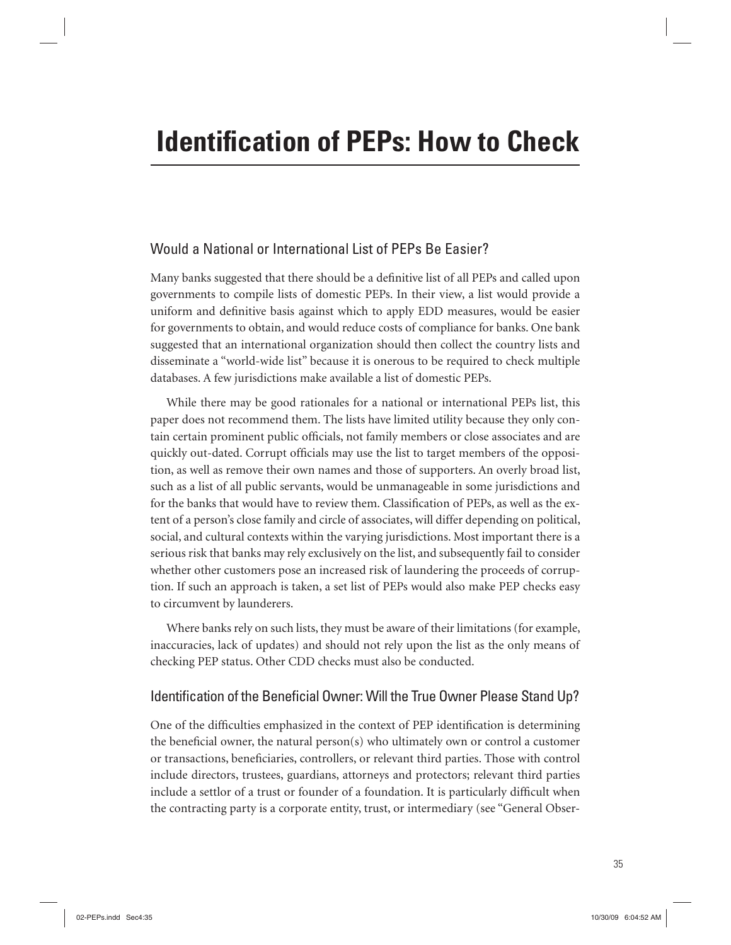# Would a National or International List of PEPs Be Easier?

Many banks suggested that there should be a definitive list of all PEPs and called upon governments to compile lists of domestic PEPs. In their view, a list would provide a uniform and definitive basis against which to apply EDD measures, would be easier for governments to obtain, and would reduce costs of compliance for banks. One bank suggested that an international organization should then collect the country lists and disseminate a "world-wide list" because it is onerous to be required to check multiple databases. A few jurisdictions make available a list of domestic PEPs.

While there may be good rationales for a national or international PEPs list, this paper does not recommend them. The lists have limited utility because they only contain certain prominent public officials, not family members or close associates and are quickly out-dated. Corrupt officials may use the list to target members of the opposition, as well as remove their own names and those of supporters. An overly broad list, such as a list of all public servants, would be unmanageable in some jurisdictions and for the banks that would have to review them. Classification of PEPs, as well as the extent of a person's close family and circle of associates, will differ depending on political, social, and cultural contexts within the varying jurisdictions. Most important there is a serious risk that banks may rely exclusively on the list, and subsequently fail to consider whether other customers pose an increased risk of laundering the proceeds of corruption. If such an approach is taken, a set list of PEPs would also make PEP checks easy to circumvent by launderers.

Where banks rely on such lists, they must be aware of their limitations (for example, inaccuracies, lack of updates) and should not rely upon the list as the only means of checking PEP status. Other CDD checks must also be conducted.

# Identification of the Beneficial Owner: Will the True Owner Please Stand Up?

One of the difficulties emphasized in the context of PEP identification is determining the beneficial owner, the natural person $(s)$  who ultimately own or control a customer or transactions, beneficiaries, controllers, or relevant third parties. Those with control include directors, trustees, guardians, attorneys and protectors; relevant third parties include a settlor of a trust or founder of a foundation. It is particularly difficult when the contracting party is a corporate entity, trust, or intermediary (see "General Obser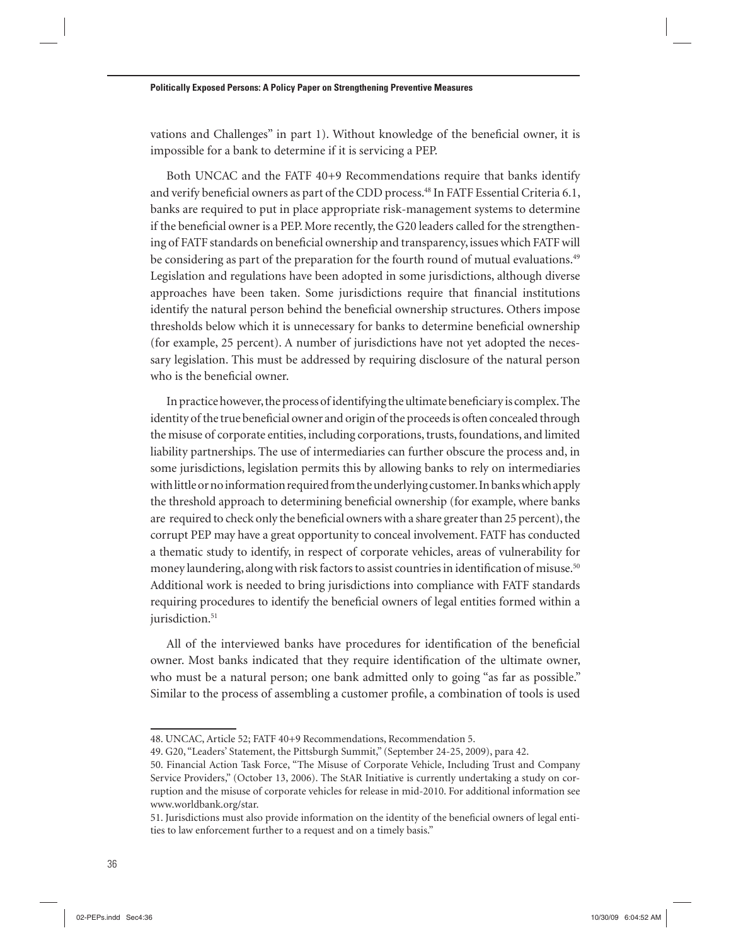vations and Challenges" in part 1). Without knowledge of the beneficial owner, it is impossible for a bank to determine if it is servicing a PEP.

Both UNCAC and the FATF 40+9 Recommendations require that banks identify and verify beneficial owners as part of the CDD process.<sup>48</sup> In FATF Essential Criteria 6.1, banks are required to put in place appropriate risk-management systems to determine if the beneficial owner is a PEP. More recently, the G20 leaders called for the strengthening of FATF standards on beneficial ownership and transparency, issues which FATF will be considering as part of the preparation for the fourth round of mutual evaluations.<sup>49</sup> Legislation and regulations have been adopted in some jurisdictions, although diverse approaches have been taken. Some jurisdictions require that financial institutions identify the natural person behind the beneficial ownership structures. Others impose thresholds below which it is unnecessary for banks to determine beneficial ownership (for example, 25 percent). A number of jurisdictions have not yet adopted the necessary legislation. This must be addressed by requiring disclosure of the natural person who is the beneficial owner.

In practice however, the process of identifying the ultimate beneficiary is complex. The identity of the true beneficial owner and origin of the proceeds is often concealed through the misuse of corporate entities, including corporations, trusts, foundations, and limited liability partnerships. The use of intermediaries can further obscure the process and, in some jurisdictions, legislation permits this by allowing banks to rely on intermediaries with little or no information required from the underlying customer. In banks which apply the threshold approach to determining beneficial ownership (for example, where banks are required to check only the beneficial owners with a share greater than 25 percent), the corrupt PEP may have a great opportunity to conceal involvement. FATF has conducted a thematic study to identify, in respect of corporate vehicles, areas of vulnerability for money laundering, along with risk factors to assist countries in identification of misuse.<sup>50</sup> Additional work is needed to bring jurisdictions into compliance with FATF standards requiring procedures to identify the beneficial owners of legal entities formed within a jurisdiction.<sup>51</sup>

All of the interviewed banks have procedures for identification of the beneficial owner. Most banks indicated that they require identification of the ultimate owner, who must be a natural person; one bank admitted only to going "as far as possible." Similar to the process of assembling a customer profile, a combination of tools is used

<sup>48.</sup> UNCAC, Article 52; FATF 40+9 Recommendations, Recommendation 5.

<sup>49.</sup> G20, "Leaders' Statement, the Pittsburgh Summit," (September 24-25, 2009), para 42.

<sup>50.</sup> Financial Action Task Force, "The Misuse of Corporate Vehicle, Including Trust and Company Service Providers," (October 13, 2006). The StAR Initiative is currently undertaking a study on corruption and the misuse of corporate vehicles for release in mid-2010. For additional information see www.worldbank.org/star.

<sup>51.</sup> Jurisdictions must also provide information on the identity of the beneficial owners of legal entities to law enforcement further to a request and on a timely basis."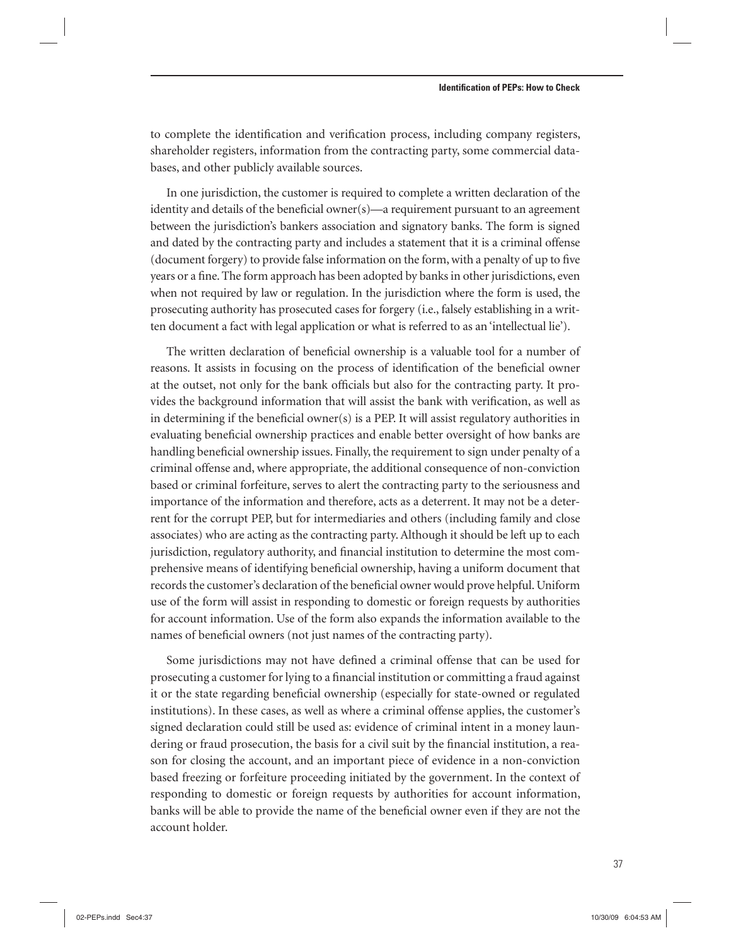to complete the identification and verification process, including company registers, shareholder registers, information from the contracting party, some commercial databases, and other publicly available sources.

In one jurisdiction, the customer is required to complete a written declaration of the identity and details of the beneficial owner(s)—a requirement pursuant to an agreement between the jurisdiction's bankers association and signatory banks. The form is signed and dated by the contracting party and includes a statement that it is a criminal offense (document forgery) to provide false information on the form, with a penalty of up to five years or a fine. The form approach has been adopted by banks in other jurisdictions, even when not required by law or regulation. In the jurisdiction where the form is used, the prosecuting authority has prosecuted cases for forgery (i.e., falsely establishing in a written document a fact with legal application or what is referred to as an 'intellectual lie').

The written declaration of beneficial ownership is a valuable tool for a number of reasons. It assists in focusing on the process of identification of the beneficial owner at the outset, not only for the bank officials but also for the contracting party. It provides the background information that will assist the bank with verification, as well as in determining if the beneficial owner(s) is a PEP. It will assist regulatory authorities in evaluating beneficial ownership practices and enable better oversight of how banks are handling beneficial ownership issues. Finally, the requirement to sign under penalty of a criminal offense and, where appropriate, the additional consequence of non-conviction based or criminal forfeiture, serves to alert the contracting party to the seriousness and importance of the information and therefore, acts as a deterrent. It may not be a deterrent for the corrupt PEP, but for intermediaries and others (including family and close associates) who are acting as the contracting party. Although it should be left up to each jurisdiction, regulatory authority, and financial institution to determine the most comprehensive means of identifying beneficial ownership, having a uniform document that records the customer's declaration of the beneficial owner would prove helpful. Uniform use of the form will assist in responding to domestic or foreign requests by authorities for account information. Use of the form also expands the information available to the names of beneficial owners (not just names of the contracting party).

Some jurisdictions may not have defined a criminal offense that can be used for prosecuting a customer for lying to a financial institution or committing a fraud against it or the state regarding beneficial ownership (especially for state-owned or regulated institutions). In these cases, as well as where a criminal offense applies, the customer's signed declaration could still be used as: evidence of criminal intent in a money laundering or fraud prosecution, the basis for a civil suit by the financial institution, a reason for closing the account, and an important piece of evidence in a non-conviction based freezing or forfeiture proceeding initiated by the government. In the context of responding to domestic or foreign requests by authorities for account information, banks will be able to provide the name of the beneficial owner even if they are not the account holder.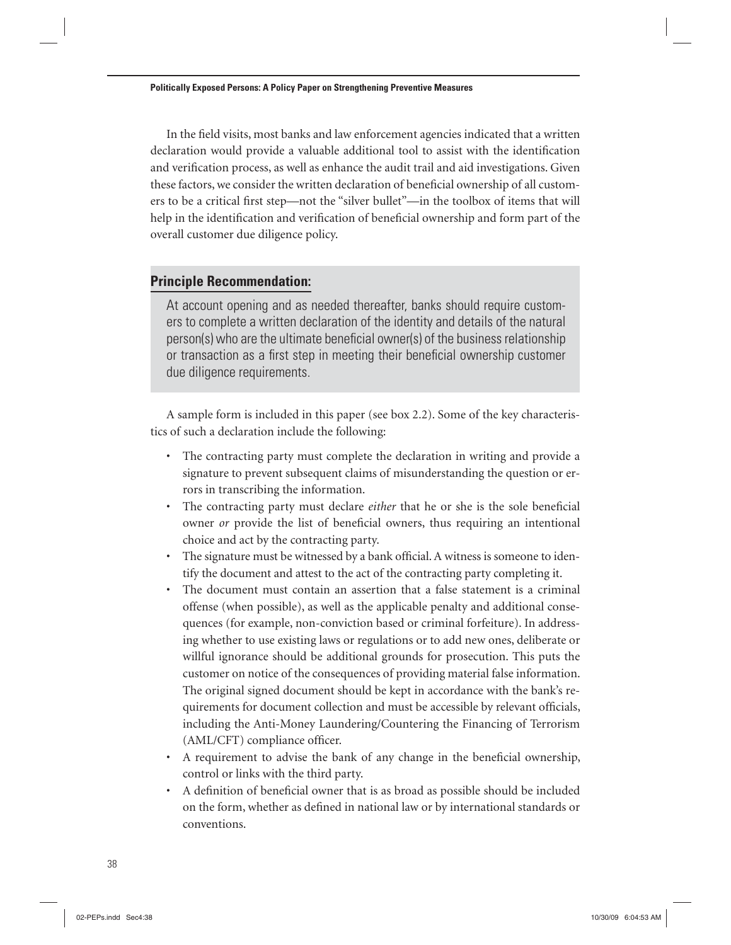In the field visits, most banks and law enforcement agencies indicated that a written declaration would provide a valuable additional tool to assist with the identification and verification process, as well as enhance the audit trail and aid investigations. Given these factors, we consider the written declaration of beneficial ownership of all customers to be a critical first step—not the "silver bullet"—in the toolbox of items that will help in the identification and verification of beneficial ownership and form part of the overall customer due diligence policy.

## **Principle Recommendation:**

At account opening and as needed thereafter, banks should require customers to complete a written declaration of the identity and details of the natural person(s) who are the ultimate beneficial owner(s) of the business relationship or transaction as a first step in meeting their beneficial ownership customer due diligence requirements.

A sample form is included in this paper (see box 2.2). Some of the key characteristics of such a declaration include the following:

- The contracting party must complete the declaration in writing and provide a signature to prevent subsequent claims of misunderstanding the question or errors in transcribing the information.
- The contracting party must declare *either* that he or she is the sole beneficial owner *or* provide the list of beneficial owners, thus requiring an intentional choice and act by the contracting party.
- The signature must be witnessed by a bank official. A witness is someone to identify the document and attest to the act of the contracting party completing it.
- The document must contain an assertion that a false statement is a criminal offense (when possible), as well as the applicable penalty and additional consequences (for example, non-conviction based or criminal forfeiture). In addressing whether to use existing laws or regulations or to add new ones, deliberate or willful ignorance should be additional grounds for prosecution. This puts the customer on notice of the consequences of providing material false information. The original signed document should be kept in accordance with the bank's requirements for document collection and must be accessible by relevant officials, including the Anti-Money Laundering/Countering the Financing of Terrorism (AML/CFT) compliance officer.
- A requirement to advise the bank of any change in the beneficial ownership, control or links with the third party.
- A definition of beneficial owner that is as broad as possible should be included on the form, whether as defined in national law or by international standards or conventions.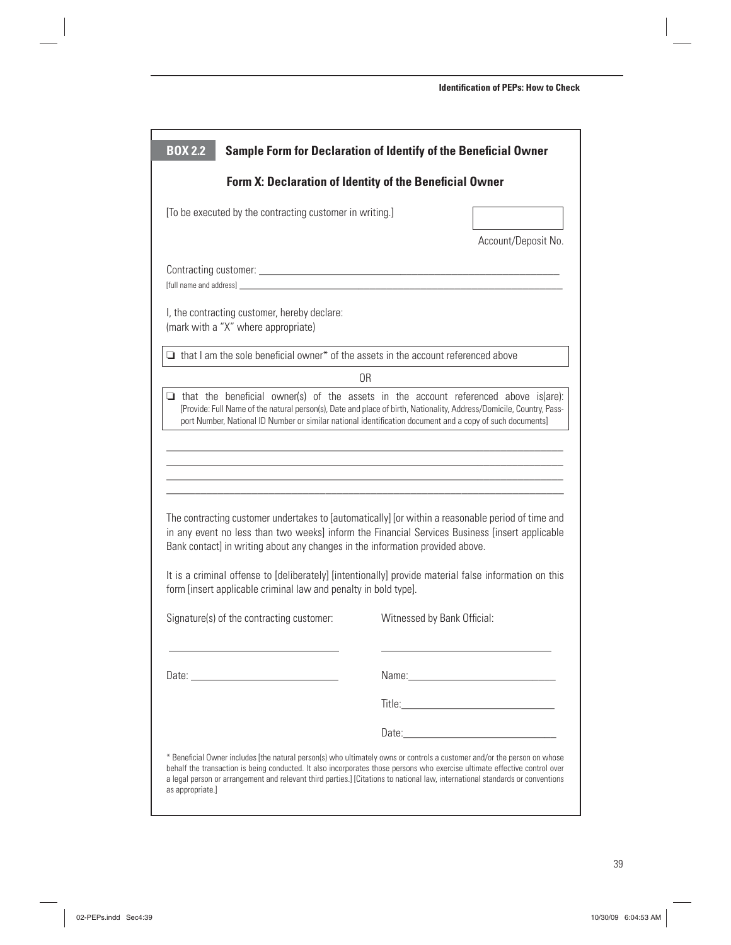| Form X: Declaration of Identity of the Beneficial Owner                                                                                                                                                                                                                                                                                                                                                                                                                                                       |                |                                                                                                                                                                                                                                |
|---------------------------------------------------------------------------------------------------------------------------------------------------------------------------------------------------------------------------------------------------------------------------------------------------------------------------------------------------------------------------------------------------------------------------------------------------------------------------------------------------------------|----------------|--------------------------------------------------------------------------------------------------------------------------------------------------------------------------------------------------------------------------------|
| [To be executed by the contracting customer in writing.]                                                                                                                                                                                                                                                                                                                                                                                                                                                      |                |                                                                                                                                                                                                                                |
|                                                                                                                                                                                                                                                                                                                                                                                                                                                                                                               |                | Account/Deposit No.                                                                                                                                                                                                            |
|                                                                                                                                                                                                                                                                                                                                                                                                                                                                                                               |                |                                                                                                                                                                                                                                |
| I, the contracting customer, hereby declare:<br>(mark with a "X" where appropriate)                                                                                                                                                                                                                                                                                                                                                                                                                           |                |                                                                                                                                                                                                                                |
| $\Box$ that I am the sole beneficial owner* of the assets in the account referenced above                                                                                                                                                                                                                                                                                                                                                                                                                     |                |                                                                                                                                                                                                                                |
|                                                                                                                                                                                                                                                                                                                                                                                                                                                                                                               | 0 <sub>R</sub> |                                                                                                                                                                                                                                |
| $\Box$ that the beneficial owner(s) of the assets in the account referenced above is(are):                                                                                                                                                                                                                                                                                                                                                                                                                    |                |                                                                                                                                                                                                                                |
| [Provide: Full Name of the natural person(s), Date and place of birth, Nationality, Address/Domicile, Country, Pass-<br>port Number, National ID Number or similar national identification document and a copy of such documents]                                                                                                                                                                                                                                                                             |                |                                                                                                                                                                                                                                |
|                                                                                                                                                                                                                                                                                                                                                                                                                                                                                                               |                | Witnessed by Bank Official:                                                                                                                                                                                                    |
|                                                                                                                                                                                                                                                                                                                                                                                                                                                                                                               |                | Name: We have a state of the state of the state of the state of the state of the state of the state of the state of the state of the state of the state of the state of the state of the state of the state of the state of th |
| The contracting customer undertakes to [automatically] [or within a reasonable period of time and<br>in any event no less than two weeks] inform the Financial Services Business [insert applicable<br>Bank contact] in writing about any changes in the information provided above.<br>It is a criminal offense to [deliberately] [intentionally] provide material false information on this<br>form [insert applicable criminal law and penalty in bold type].<br>Signature(s) of the contracting customer: |                |                                                                                                                                                                                                                                |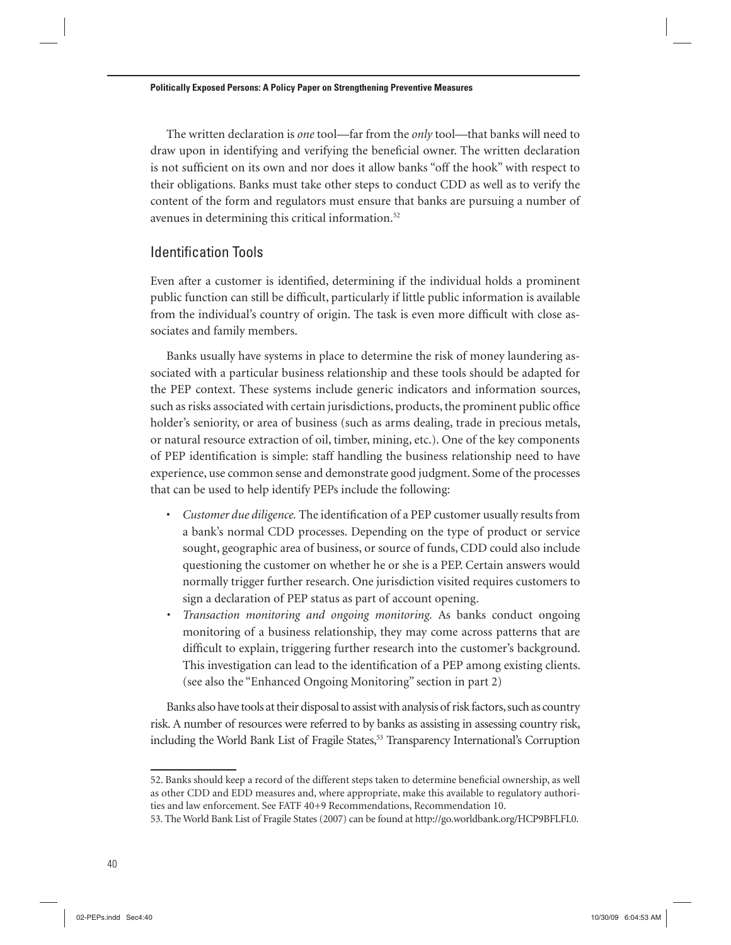The written declaration is *one* tool—far from the *only* tool—that banks will need to draw upon in identifying and verifying the beneficial owner. The written declaration is not sufficient on its own and nor does it allow banks "off the hook" with respect to their obligations. Banks must take other steps to conduct CDD as well as to verify the content of the form and regulators must ensure that banks are pursuing a number of avenues in determining this critical information.<sup>52</sup>

# **Identification Tools**

Even after a customer is identified, determining if the individual holds a prominent public function can still be difficult, particularly if little public information is available from the individual's country of origin. The task is even more difficult with close associates and family members.

Banks usually have systems in place to determine the risk of money laundering associated with a particular business relationship and these tools should be adapted for the PEP context. These systems include generic indicators and information sources, such as risks associated with certain jurisdictions, products, the prominent public office holder's seniority, or area of business (such as arms dealing, trade in precious metals, or natural resource extraction of oil, timber, mining, etc.). One of the key components of PEP identification is simple: staff handling the business relationship need to have experience, use common sense and demonstrate good judgment. Some of the processes that can be used to help identify PEPs include the following:

- *Customer due diligence*. The identification of a PEP customer usually results from a bank's normal CDD processes. Depending on the type of product or service sought, geographic area of business, or source of funds, CDD could also include questioning the customer on whether he or she is a PEP. Certain answers would normally trigger further research. One jurisdiction visited requires customers to sign a declaration of PEP status as part of account opening.
- *Transaction monitoring and ongoing monitoring.* As banks conduct ongoing monitoring of a business relationship, they may come across patterns that are difficult to explain, triggering further research into the customer's background. This investigation can lead to the identification of a PEP among existing clients. (see also the "Enhanced Ongoing Monitoring" section in part 2)

Banks also have tools at their disposal to assist with analysis of risk factors, such as country risk. A number of resources were referred to by banks as assisting in assessing country risk, including the World Bank List of Fragile States,<sup>53</sup> Transparency International's Corruption

<sup>52.</sup> Banks should keep a record of the different steps taken to determine beneficial ownership, as well as other CDD and EDD measures and, where appropriate, make this available to regulatory authorities and law enforcement. See FATF 40+9 Recommendations, Recommendation 10.

<sup>53.</sup> The World Bank List of Fragile States (2007) can be found at http://go.worldbank.org/HCP9BFLFL0.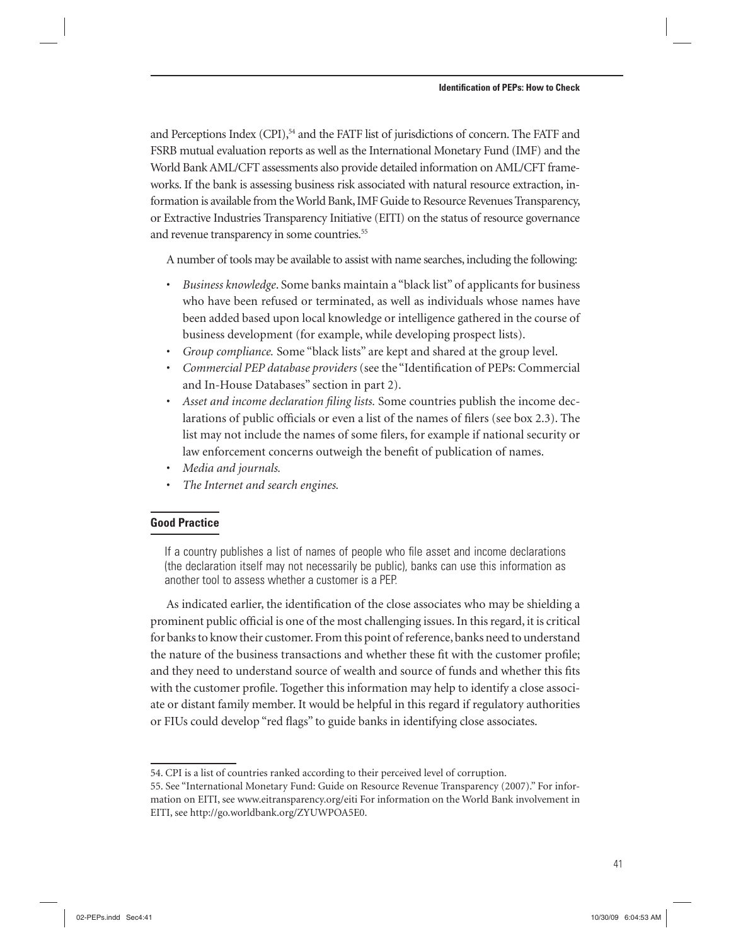and Perceptions Index  $(CPI)$ ,<sup>54</sup> and the FATF list of jurisdictions of concern. The FATF and FSRB mutual evaluation reports as well as the International Monetary Fund (IMF) and the World Bank AML/CFT assessments also provide detailed information on AML/CFT frameworks. If the bank is assessing business risk associated with natural resource extraction, information is available from the World Bank, IMF Guide to Resource Revenues Transparency, or Extractive Industries Transparency Initiative (EITI) on the status of resource governance and revenue transparency in some countries.<sup>55</sup>

A number of tools may be available to assist with name searches, including the following:

- *Business knowledge*. Some banks maintain a "black list" of applicants for business who have been refused or terminated, as well as individuals whose names have been added based upon local knowledge or intelligence gathered in the course of business development (for example, while developing prospect lists).
- *Group compliance.* Some "black lists" are kept and shared at the group level.
- *Commercial PEP database providers* (see the "Identification of PEPs: Commercial and In-House Databases" section in part 2).
- Asset and income declaration filing lists. Some countries publish the income declarations of public officials or even a list of the names of filers (see box 2.3). The list may not include the names of some filers, for example if national security or law enforcement concerns outweigh the benefit of publication of names.
- *Media and journals.*
- *The Internet and search engines.*

#### **Good Practice**

If a country publishes a list of names of people who file asset and income declarations (the declaration itself may not necessarily be public), banks can use this information as another tool to assess whether a customer is a PEP.

As indicated earlier, the identification of the close associates who may be shielding a prominent public official is one of the most challenging issues. In this regard, it is critical for banks to know their customer. From this point of reference, banks need to understand the nature of the business transactions and whether these fit with the customer profile; and they need to understand source of wealth and source of funds and whether this fits with the customer profile. Together this information may help to identify a close associate or distant family member. It would be helpful in this regard if regulatory authorities or FIUs could develop "red flags" to guide banks in identifying close associates.

<sup>54.</sup> CPI is a list of countries ranked according to their perceived level of corruption.

<sup>55.</sup> See "International Monetary Fund: Guide on Resource Revenue Transparency (2007)." For information on EITI, see www.eitransparency.org/eiti For information on the World Bank involvement in EITI, see http://go.worldbank.org/ZYUWPOA5E0.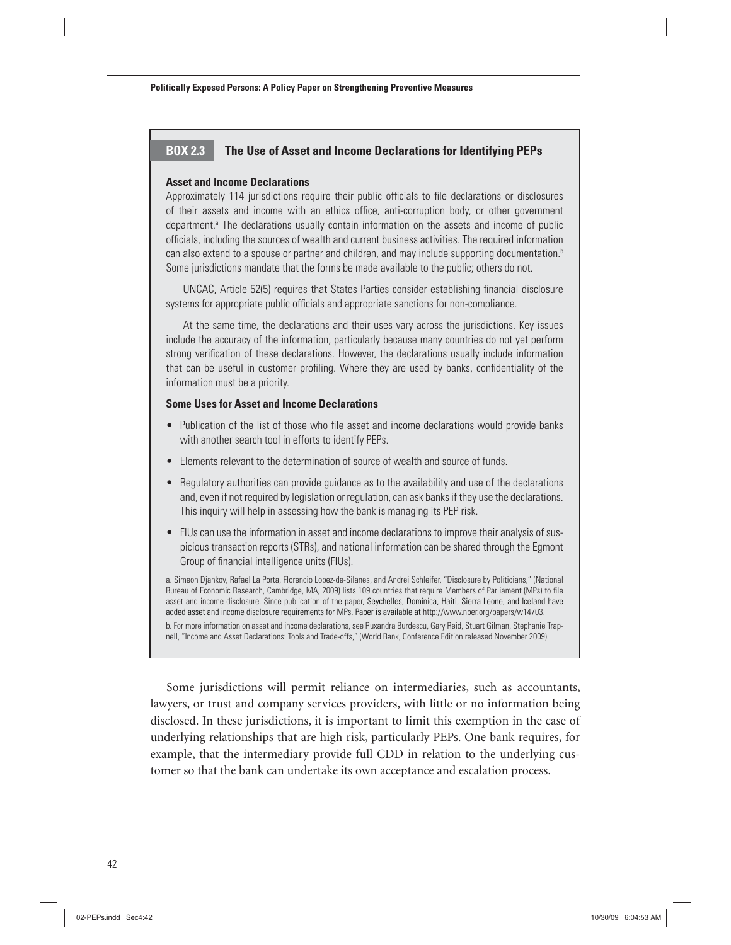#### **BOX 2.3 The Use of Asset and Income Declarations for Identifying PEPs**

#### **Asset and Income Declarations**

Approximately 114 jurisdictions require their public officials to file declarations or disclosures of their assets and income with an ethics office, anti-corruption body, or other government department.<sup>a</sup> The declarations usually contain information on the assets and income of public officials, including the sources of wealth and current business activities. The required information can also extend to a spouse or partner and children, and may include supporting documentation. $<sup>b</sup>$ </sup> Some jurisdictions mandate that the forms be made available to the public; others do not.

UNCAC, Article 52(5) requires that States Parties consider establishing financial disclosure systems for appropriate public officials and appropriate sanctions for non-compliance.

At the same time, the declarations and their uses vary across the jurisdictions. Key issues include the accuracy of the information, particularly because many countries do not yet perform strong verification of these declarations. However, the declarations usually include information that can be useful in customer profiling. Where they are used by banks, confidentiality of the information must be a priority.

#### **Some Uses for Asset and Income Declarations**

- Publication of the list of those who file asset and income declarations would provide banks with another search tool in efforts to identify PEPs.
- Elements relevant to the determination of source of wealth and source of funds.
- Regulatory authorities can provide guidance as to the availability and use of the declarations and, even if not required by legislation or regulation, can ask banks if they use the declarations. This inquiry will help in assessing how the bank is managing its PEP risk.
- FIUs can use the information in asset and income declarations to improve their analysis of suspicious transaction reports (STRs), and national information can be shared through the Egmont Group of financial intelligence units (FIUs).

a. Simeon Djankov, Rafael La Porta, Florencio Lopez-de-Silanes, and Andrei Schleifer, "Disclosure by Politicians," (National Bureau of Economic Research, Cambridge, MA, 2009) lists 109 countries that require Members of Parliament (MPs) to file asset and income disclosure. Since publication of the paper, Seychelles, Dominica, Haiti, Sierra Leone, and Iceland have added asset and income disclosure requirements for MPs. Paper is available at http://www.nber.org/papers/w14703. b. For more information on asset and income declarations, see Ruxandra Burdescu, Gary Reid, Stuart Gilman, Stephanie Trap-

nell, "Income and Asset Declarations: Tools and Trade-offs," (World Bank, Conference Edition released November 2009).

Some jurisdictions will permit reliance on intermediaries, such as accountants, lawyers, or trust and company services providers, with little or no information being disclosed. In these jurisdictions, it is important to limit this exemption in the case of underlying relationships that are high risk, particularly PEPs. One bank requires, for example, that the intermediary provide full CDD in relation to the underlying customer so that the bank can undertake its own acceptance and escalation process.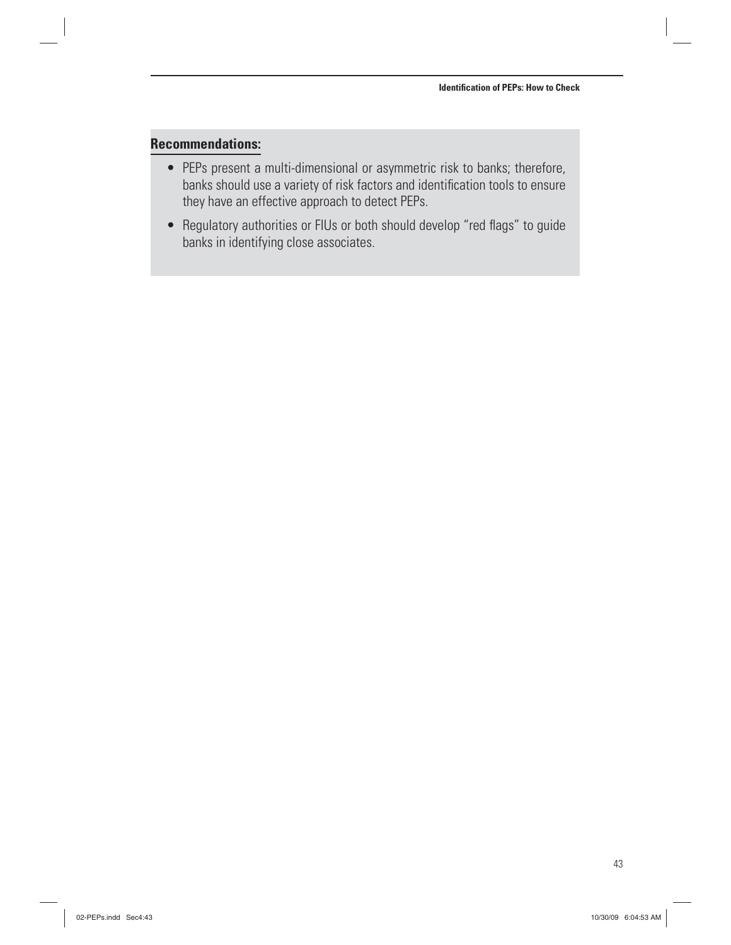# **Recommendations:**

- PEPs present a multi-dimensional or asymmetric risk to banks; therefore, banks should use a variety of risk factors and identification tools to ensure they have an effective approach to detect PEPs.
- Regulatory authorities or FIUs or both should develop "red flags" to guide banks in identifying close associates.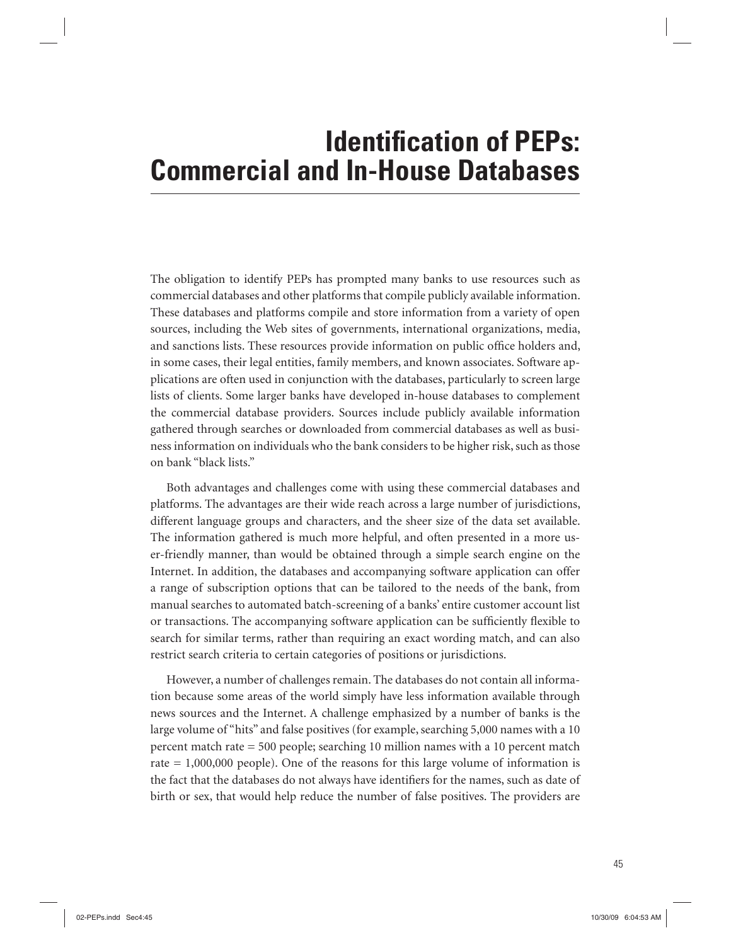# **Identification of PEPs: Commercial and In-House Databases**

The obligation to identify PEPs has prompted many banks to use resources such as commercial databases and other platforms that compile publicly available information. These databases and platforms compile and store information from a variety of open sources, including the Web sites of governments, international organizations, media, and sanctions lists. These resources provide information on public office holders and, in some cases, their legal entities, family members, and known associates. Software applications are often used in conjunction with the databases, particularly to screen large lists of clients. Some larger banks have developed in-house databases to complement the commercial database providers. Sources include publicly available information gathered through searches or downloaded from commercial databases as well as business information on individuals who the bank considers to be higher risk, such as those on bank "black lists."

Both advantages and challenges come with using these commercial databases and platforms. The advantages are their wide reach across a large number of jurisdictions, different language groups and characters, and the sheer size of the data set available. The information gathered is much more helpful, and often presented in a more user-friendly manner, than would be obtained through a simple search engine on the Internet. In addition, the databases and accompanying software application can offer a range of subscription options that can be tailored to the needs of the bank, from manual searches to automated batch-screening of a banks' entire customer account list or transactions. The accompanying software application can be sufficiently flexible to search for similar terms, rather than requiring an exact wording match, and can also restrict search criteria to certain categories of positions or jurisdictions.

However, a number of challenges remain. The databases do not contain all information because some areas of the world simply have less information available through news sources and the Internet. A challenge emphasized by a number of banks is the large volume of "hits" and false positives (for example, searching 5,000 names with a 10 percent match rate = 500 people; searching 10 million names with a 10 percent match rate = 1,000,000 people). One of the reasons for this large volume of information is the fact that the databases do not always have identifiers for the names, such as date of birth or sex, that would help reduce the number of false positives. The providers are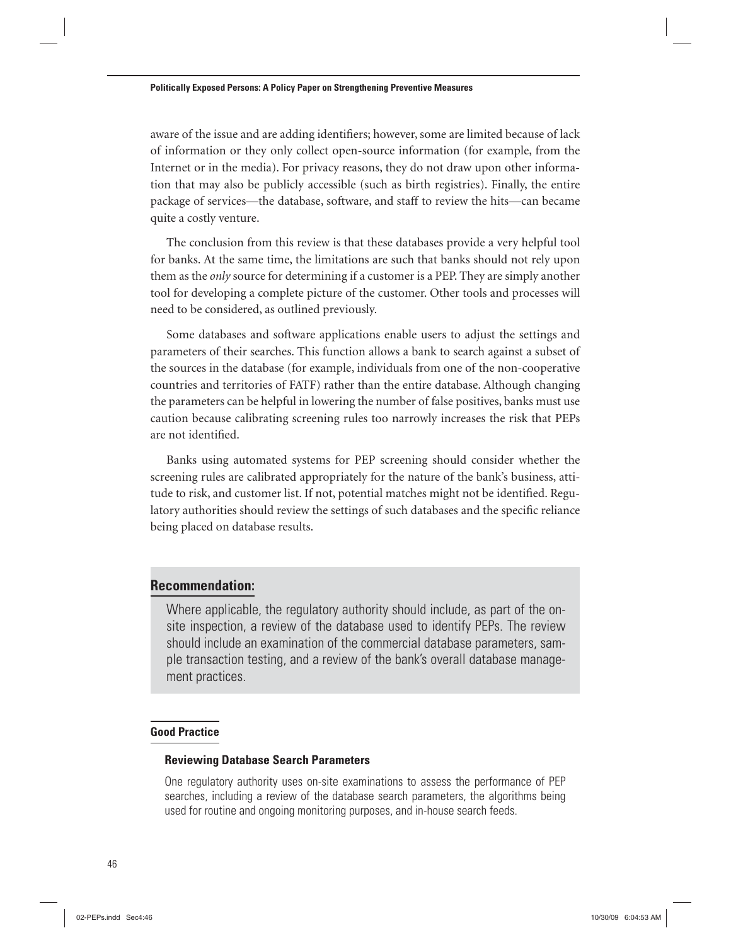aware of the issue and are adding identifiers; however, some are limited because of lack of information or they only collect open-source information (for example, from the Internet or in the media). For privacy reasons, they do not draw upon other information that may also be publicly accessible (such as birth registries). Finally, the entire package of services—the database, software, and staff to review the hits—can became quite a costly venture.

The conclusion from this review is that these databases provide a very helpful tool for banks. At the same time, the limitations are such that banks should not rely upon them as the *only* source for determining if a customer is a PEP. They are simply another tool for developing a complete picture of the customer. Other tools and processes will need to be considered, as outlined previously.

Some databases and software applications enable users to adjust the settings and parameters of their searches. This function allows a bank to search against a subset of the sources in the database (for example, individuals from one of the non-cooperative countries and territories of FATF) rather than the entire database. Although changing the parameters can be helpful in lowering the number of false positives, banks must use caution because calibrating screening rules too narrowly increases the risk that PEPs are not identified

Banks using automated systems for PEP screening should consider whether the screening rules are calibrated appropriately for the nature of the bank's business, attitude to risk, and customer list. If not, potential matches might not be identified. Regulatory authorities should review the settings of such databases and the specific reliance being placed on database results.

#### **Recommendation:**

Where applicable, the regulatory authority should include, as part of the onsite inspection, a review of the database used to identify PEPs. The review should include an examination of the commercial database parameters, sample transaction testing, and a review of the bank's overall database management practices.

#### **Good Practice**

#### **Reviewing Database Search Parameters**

One regulatory authority uses on-site examinations to assess the performance of PEP searches, including a review of the database search parameters, the algorithms being used for routine and ongoing monitoring purposes, and in-house search feeds.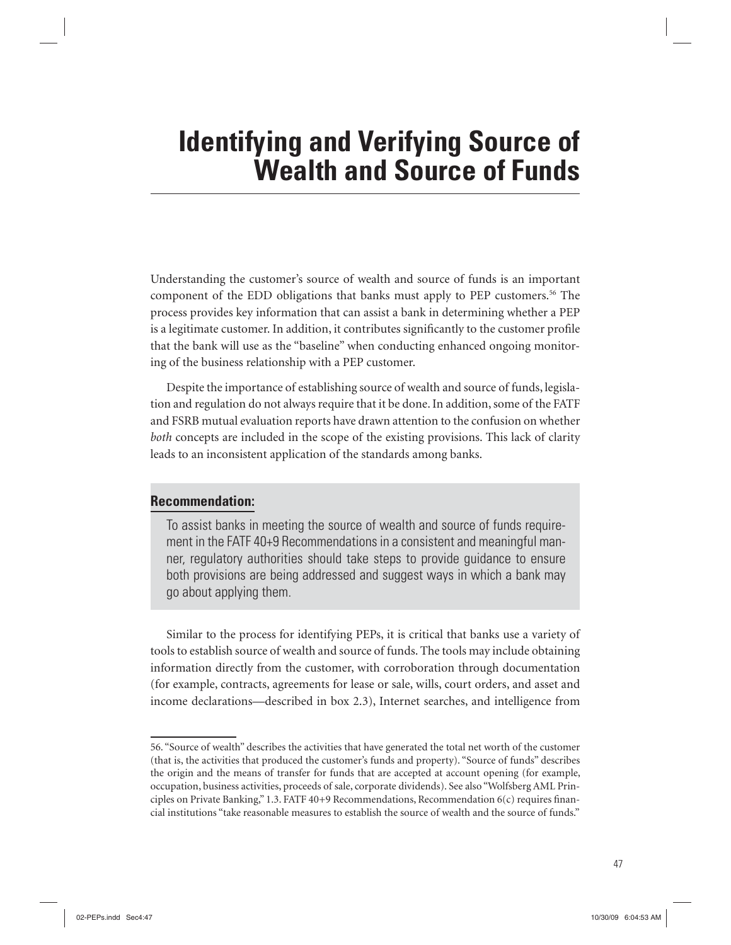# **Identifying and Verifying Source of Wealth and Source of Funds**

Understanding the customer's source of wealth and source of funds is an important component of the EDD obligations that banks must apply to PEP customers.<sup>56</sup> The process provides key information that can assist a bank in determining whether a PEP is a legitimate customer. In addition, it contributes significantly to the customer profile that the bank will use as the "baseline" when conducting enhanced ongoing monitoring of the business relationship with a PEP customer.

Despite the importance of establishing source of wealth and source of funds, legislation and regulation do not always require that it be done. In addition, some of the FATF and FSRB mutual evaluation reports have drawn attention to the confusion on whether *both* concepts are included in the scope of the existing provisions. This lack of clarity leads to an inconsistent application of the standards among banks.

### **Recommendation:**

To assist banks in meeting the source of wealth and source of funds requirement in the FATF 40+9 Recommendations in a consistent and meaningful manner, regulatory authorities should take steps to provide guidance to ensure both provisions are being addressed and suggest ways in which a bank may go about applying them.

Similar to the process for identifying PEPs, it is critical that banks use a variety of tools to establish source of wealth and source of funds. The tools may include obtaining information directly from the customer, with corroboration through documentation (for example, contracts, agreements for lease or sale, wills, court orders, and asset and income declarations—described in box 2.3), Internet searches, and intelligence from

<sup>56. &</sup>quot;Source of wealth" describes the activities that have generated the total net worth of the customer (that is, the activities that produced the customer's funds and property). "Source of funds" describes the origin and the means of transfer for funds that are accepted at account opening (for example, occupation, business activities, proceeds of sale, corporate dividends). See also "Wolfsberg AML Principles on Private Banking,"  $1.3$ . FATF 40+9 Recommendations, Recommendation  $6(c)$  requires financial institutions "take reasonable measures to establish the source of wealth and the source of funds."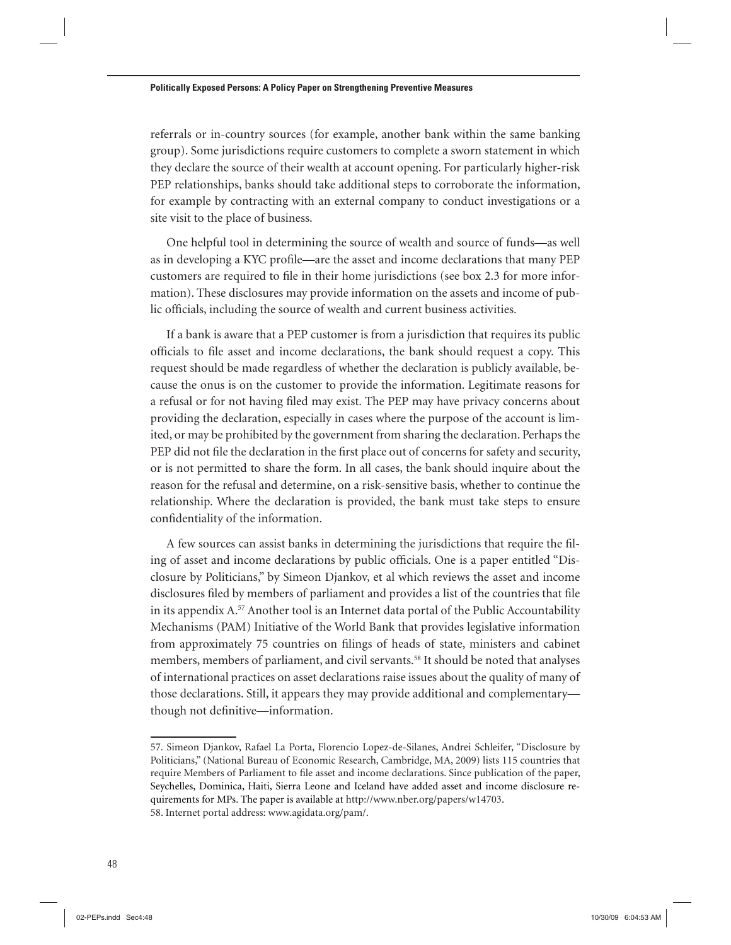referrals or in-country sources (for example, another bank within the same banking group). Some jurisdictions require customers to complete a sworn statement in which they declare the source of their wealth at account opening. For particularly higher-risk PEP relationships, banks should take additional steps to corroborate the information, for example by contracting with an external company to conduct investigations or a site visit to the place of business.

One helpful tool in determining the source of wealth and source of funds—as well as in developing a KYC profile—are the asset and income declarations that many PEP customers are required to file in their home jurisdictions (see box 2.3 for more information). These disclosures may provide information on the assets and income of public officials, including the source of wealth and current business activities.

If a bank is aware that a PEP customer is from a jurisdiction that requires its public officials to file asset and income declarations, the bank should request a copy. This request should be made regardless of whether the declaration is publicly available, because the onus is on the customer to provide the information. Legitimate reasons for a refusal or for not having filed may exist. The PEP may have privacy concerns about providing the declaration, especially in cases where the purpose of the account is limited, or may be prohibited by the government from sharing the declaration. Perhaps the PEP did not file the declaration in the first place out of concerns for safety and security, or is not permitted to share the form. In all cases, the bank should inquire about the reason for the refusal and determine, on a risk-sensitive basis, whether to continue the relationship. Where the declaration is provided, the bank must take steps to ensure confidentiality of the information.

A few sources can assist banks in determining the jurisdictions that require the filing of asset and income declarations by public officials. One is a paper entitled "Disclosure by Politicians," by Simeon Djankov, et al which reviews the asset and income disclosures filed by members of parliament and provides a list of the countries that file in its appendix  $A^{57}$  Another tool is an Internet data portal of the Public Accountability Mechanisms (PAM) Initiative of the World Bank that provides legislative information from approximately 75 countries on filings of heads of state, ministers and cabinet members, members of parliament, and civil servants.<sup>58</sup> It should be noted that analyses of international practices on asset declarations raise issues about the quality of many of those declarations. Still, it appears they may provide additional and complementary though not definitive—information.

<sup>57.</sup> Simeon Djankov, Rafael La Porta, Florencio Lopez-de-Silanes, Andrei Schleifer, "Disclosure by Politicians," (National Bureau of Economic Research, Cambridge, MA, 2009) lists 115 countries that require Members of Parliament to file asset and income declarations. Since publication of the paper, Seychelles, Dominica, Haiti, Sierra Leone and Iceland have added asset and income disclosure requirements for MPs. The paper is available at http://www.nber.org/papers/w14703. 58. Internet portal address: www.agidata.org/pam/.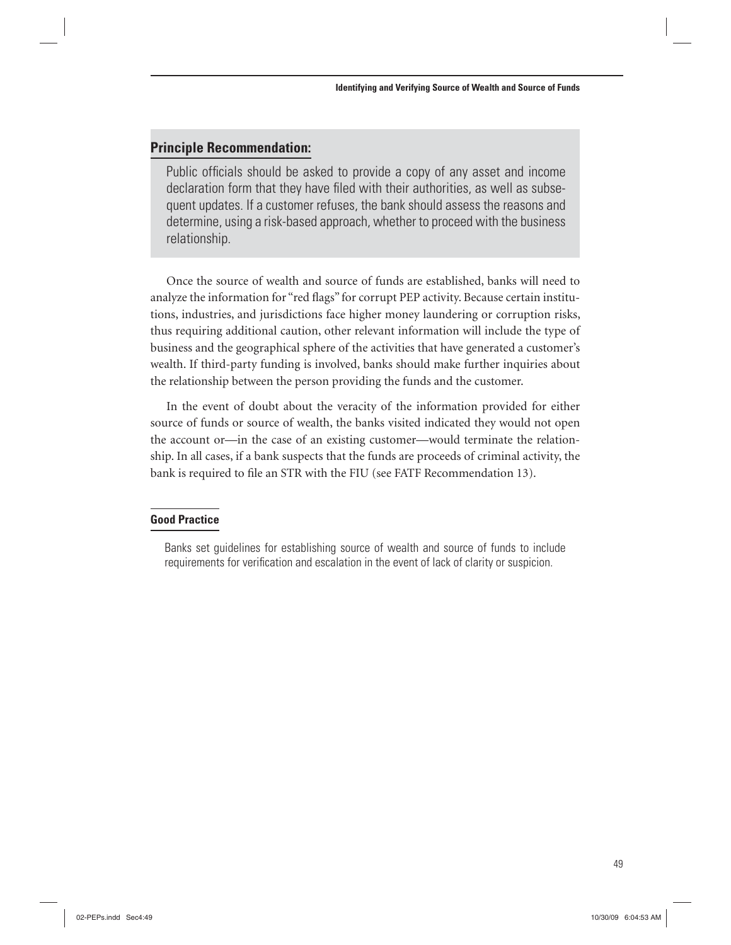#### **Principle Recommendation:**

Public officials should be asked to provide a copy of any asset and income declaration form that they have filed with their authorities, as well as subsequent updates. If a customer refuses, the bank should assess the reasons and determine, using a risk-based approach, whether to proceed with the business relationship.

Once the source of wealth and source of funds are established, banks will need to analyze the information for "red flags" for corrupt PEP activity. Because certain institutions, industries, and jurisdictions face higher money laundering or corruption risks, thus requiring additional caution, other relevant information will include the type of business and the geographical sphere of the activities that have generated a customer's wealth. If third-party funding is involved, banks should make further inquiries about the relationship between the person providing the funds and the customer.

In the event of doubt about the veracity of the information provided for either source of funds or source of wealth, the banks visited indicated they would not open the account or—in the case of an existing customer—would terminate the relationship. In all cases, if a bank suspects that the funds are proceeds of criminal activity, the bank is required to file an STR with the FIU (see FATF Recommendation 13).

#### **Good Practice**

Banks set guidelines for establishing source of wealth and source of funds to include requirements for verification and escalation in the event of lack of clarity or suspicion.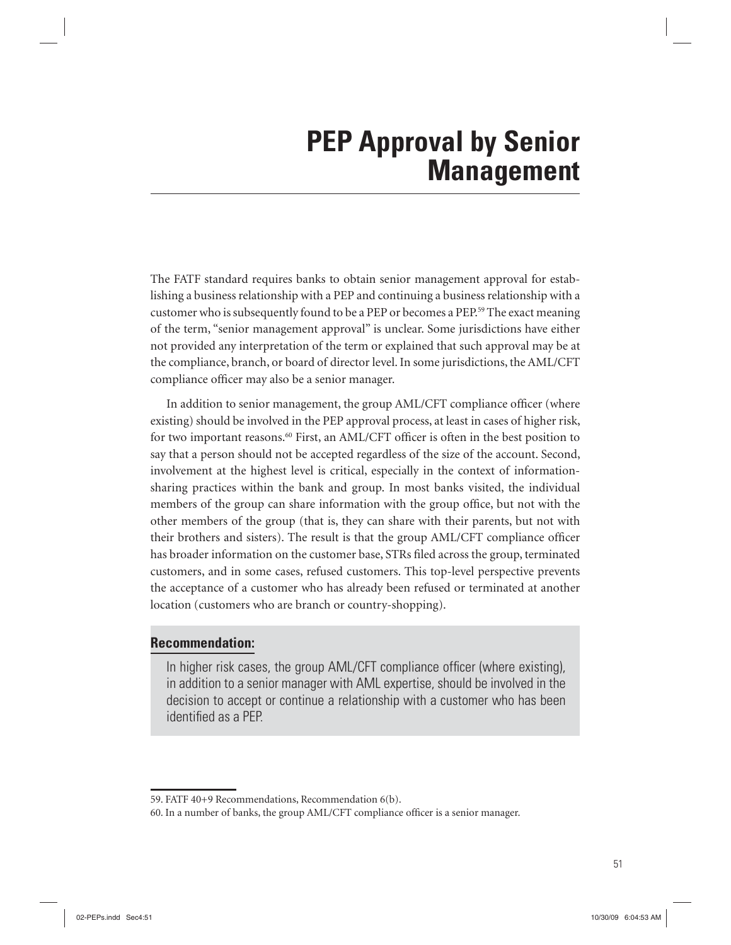# **PEP Approval by Senior Management**

The FATF standard requires banks to obtain senior management approval for establishing a business relationship with a PEP and continuing a business relationship with a customer who is subsequently found to be a PEP or becomes a PEP.59 The exact meaning of the term, "senior management approval" is unclear. Some jurisdictions have either not provided any interpretation of the term or explained that such approval may be at the compliance, branch, or board of director level. In some jurisdictions, the AML/CFT compliance officer may also be a senior manager.

In addition to senior management, the group AML/CFT compliance officer (where existing) should be involved in the PEP approval process, at least in cases of higher risk, for two important reasons.<sup>60</sup> First, an AML/CFT officer is often in the best position to say that a person should not be accepted regardless of the size of the account. Second, involvement at the highest level is critical, especially in the context of informationsharing practices within the bank and group. In most banks visited, the individual members of the group can share information with the group office, but not with the other members of the group (that is, they can share with their parents, but not with their brothers and sisters). The result is that the group AML/CFT compliance officer has broader information on the customer base, STRs filed across the group, terminated customers, and in some cases, refused customers. This top-level perspective prevents the acceptance of a customer who has already been refused or terminated at another location (customers who are branch or country-shopping).

#### **Recommendation:**

In higher risk cases, the group AML/CFT compliance officer (where existing), in addition to a senior manager with AML expertise, should be involved in the decision to accept or continue a relationship with a customer who has been identified as a PFP.

<sup>59.</sup> FATF 40+9 Recommendations, Recommendation 6(b).

<sup>60.</sup> In a number of banks, the group AML/CFT compliance officer is a senior manager.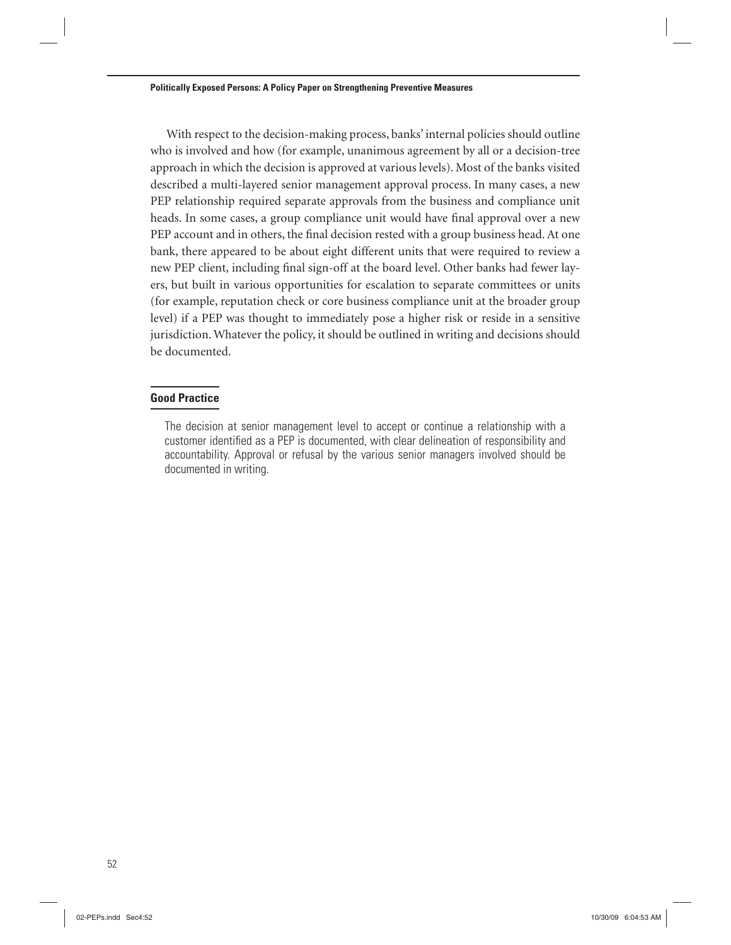With respect to the decision-making process, banks' internal policies should outline who is involved and how (for example, unanimous agreement by all or a decision-tree approach in which the decision is approved at various levels). Most of the banks visited described a multi-layered senior management approval process. In many cases, a new PEP relationship required separate approvals from the business and compliance unit heads. In some cases, a group compliance unit would have final approval over a new PEP account and in others, the final decision rested with a group business head. At one bank, there appeared to be about eight different units that were required to review a new PEP client, including final sign-off at the board level. Other banks had fewer layers, but built in various opportunities for escalation to separate committees or units (for example, reputation check or core business compliance unit at the broader group level) if a PEP was thought to immediately pose a higher risk or reside in a sensitive jurisdiction. Whatever the policy, it should be outlined in writing and decisions should be documented.

#### **Good Practice**

The decision at senior management level to accept or continue a relationship with a customer identified as a PEP is documented, with clear delineation of responsibility and accountability. Approval or refusal by the various senior managers involved should be documented in writing.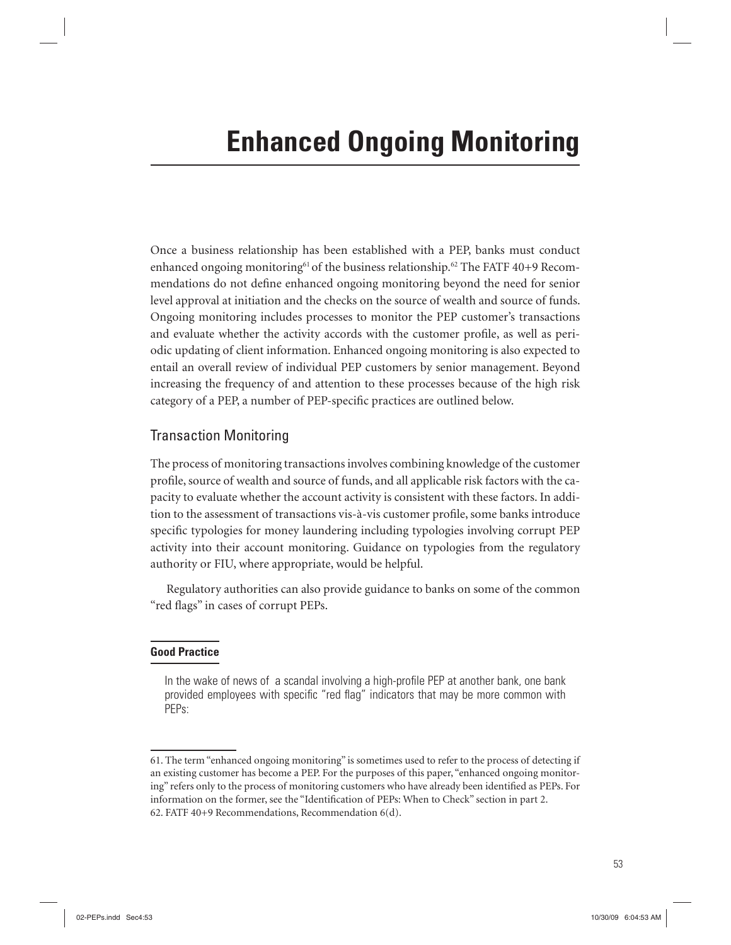Once a business relationship has been established with a PEP, banks must conduct enhanced ongoing monitoring<sup>61</sup> of the business relationship.<sup>62</sup> The FATF 40+9 Recommendations do not define enhanced ongoing monitoring beyond the need for senior level approval at initiation and the checks on the source of wealth and source of funds. Ongoing monitoring includes processes to monitor the PEP customer's transactions and evaluate whether the activity accords with the customer profile, as well as periodic updating of client information. Enhanced ongoing monitoring is also expected to entail an overall review of individual PEP customers by senior management. Beyond increasing the frequency of and attention to these processes because of the high risk category of a PEP, a number of PEP-specific practices are outlined below.

## Transaction Monitoring

The process of monitoring transactions involves combining knowledge of the customer profile, source of wealth and source of funds, and all applicable risk factors with the capacity to evaluate whether the account activity is consistent with these factors. In addition to the assessment of transactions vis-à-vis customer profile, some banks introduce specific typologies for money laundering including typologies involving corrupt PEP activity into their account monitoring. Guidance on typologies from the regulatory authority or FIU, where appropriate, would be helpful.

Regulatory authorities can also provide guidance to banks on some of the common "red flags" in cases of corrupt PEPs.

#### **Good Practice**

In the wake of news of a scandal involving a high-profile PEP at another bank, one bank provided employees with specific "red flag" indicators that may be more common with PEPs:

<sup>61.</sup> The term "enhanced ongoing monitoring" is sometimes used to refer to the process of detecting if an existing customer has become a PEP. For the purposes of this paper, "enhanced ongoing monitoring" refers only to the process of monitoring customers who have already been identified as PEPs. For information on the former, see the "Identification of PEPs: When to Check" section in part 2. 62. FATF 40+9 Recommendations, Recommendation 6(d).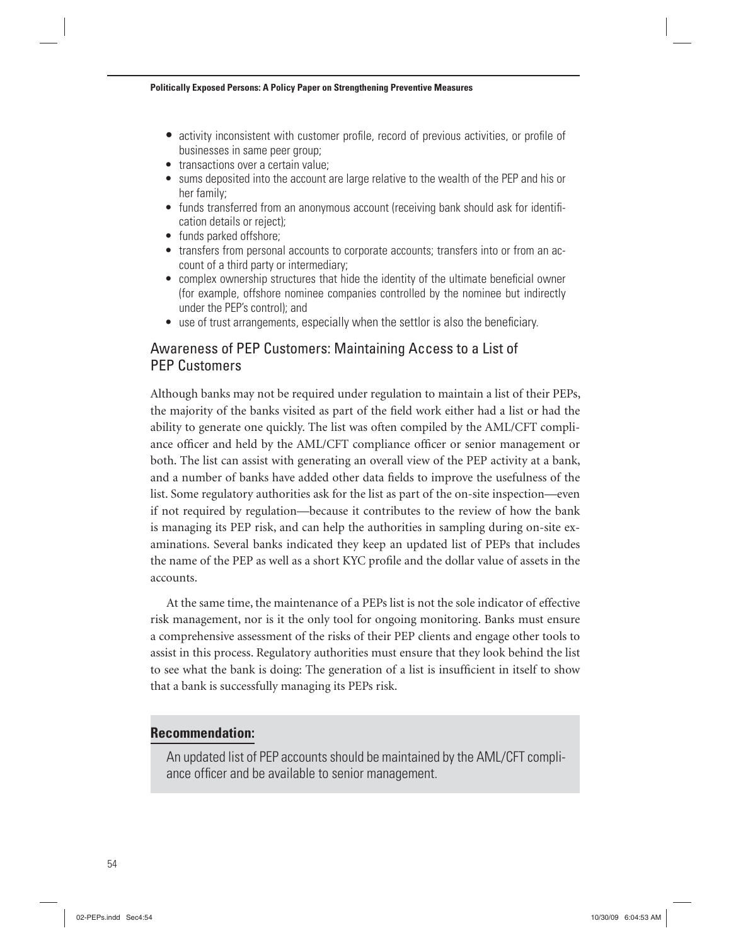- activity inconsistent with customer profile, record of previous activities, or profile of businesses in same peer group;
- transactions over a certain value;
- sums deposited into the account are large relative to the wealth of the PEP and his or her family;
- funds transferred from an anonymous account (receiving bank should ask for identification details or reject);
- funds parked offshore;
- transfers from personal accounts to corporate accounts; transfers into or from an account of a third party or intermediary;
- complex ownership structures that hide the identity of the ultimate beneficial owner (for example, offshore nominee companies controlled by the nominee but indirectly under the PEP's control); and
- use of trust arrangements, especially when the settlor is also the beneficiary.

## Awareness of PEP Customers: Maintaining Access to a List of PEP Customers

Although banks may not be required under regulation to maintain a list of their PEPs, the majority of the banks visited as part of the field work either had a list or had the ability to generate one quickly. The list was often compiled by the AML/CFT compliance officer and held by the AML/CFT compliance officer or senior management or both. The list can assist with generating an overall view of the PEP activity at a bank, and a number of banks have added other data fields to improve the usefulness of the list. Some regulatory authorities ask for the list as part of the on-site inspection—even if not required by regulation—because it contributes to the review of how the bank is managing its PEP risk, and can help the authorities in sampling during on-site examinations. Several banks indicated they keep an updated list of PEPs that includes the name of the PEP as well as a short KYC profile and the dollar value of assets in the accounts.

At the same time, the maintenance of a PEPs list is not the sole indicator of effective risk management, nor is it the only tool for ongoing monitoring. Banks must ensure a comprehensive assessment of the risks of their PEP clients and engage other tools to assist in this process. Regulatory authorities must ensure that they look behind the list to see what the bank is doing: The generation of a list is insufficient in itself to show that a bank is successfully managing its PEPs risk.

#### **Recommendation:**

An updated list of PEP accounts should be maintained by the AML/CFT compliance officer and be available to senior management.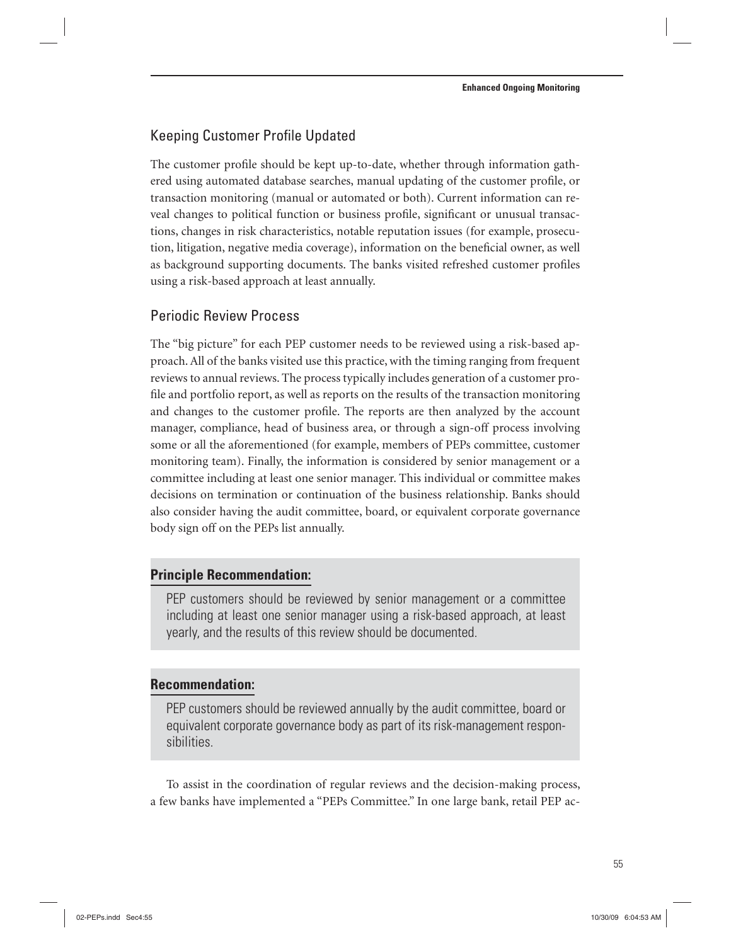# Keeping Customer Profile Updated

The customer profile should be kept up-to-date, whether through information gathered using automated database searches, manual updating of the customer profile, or transaction monitoring (manual or automated or both). Current information can reveal changes to political function or business profile, significant or unusual transactions, changes in risk characteristics, notable reputation issues (for example, prosecution, litigation, negative media coverage), information on the beneficial owner, as well as background supporting documents. The banks visited refreshed customer profiles using a risk-based approach at least annually.

# Periodic Review Process

The "big picture" for each PEP customer needs to be reviewed using a risk-based approach. All of the banks visited use this practice, with the timing ranging from frequent reviews to annual reviews. The process typically includes generation of a customer profile and portfolio report, as well as reports on the results of the transaction monitoring and changes to the customer profile. The reports are then analyzed by the account manager, compliance, head of business area, or through a sign-off process involving some or all the aforementioned (for example, members of PEPs committee, customer monitoring team). Finally, the information is considered by senior management or a committee including at least one senior manager. This individual or committee makes decisions on termination or continuation of the business relationship. Banks should also consider having the audit committee, board, or equivalent corporate governance body sign off on the PEPs list annually.

# **Principle Recommendation:**

PEP customers should be reviewed by senior management or a committee including at least one senior manager using a risk-based approach, at least yearly, and the results of this review should be documented.

## **Recommendation:**

PEP customers should be reviewed annually by the audit committee, board or equivalent corporate governance body as part of its risk-management responsibilities.

To assist in the coordination of regular reviews and the decision-making process, a few banks have implemented a "PEPs Committee." In one large bank, retail PEP ac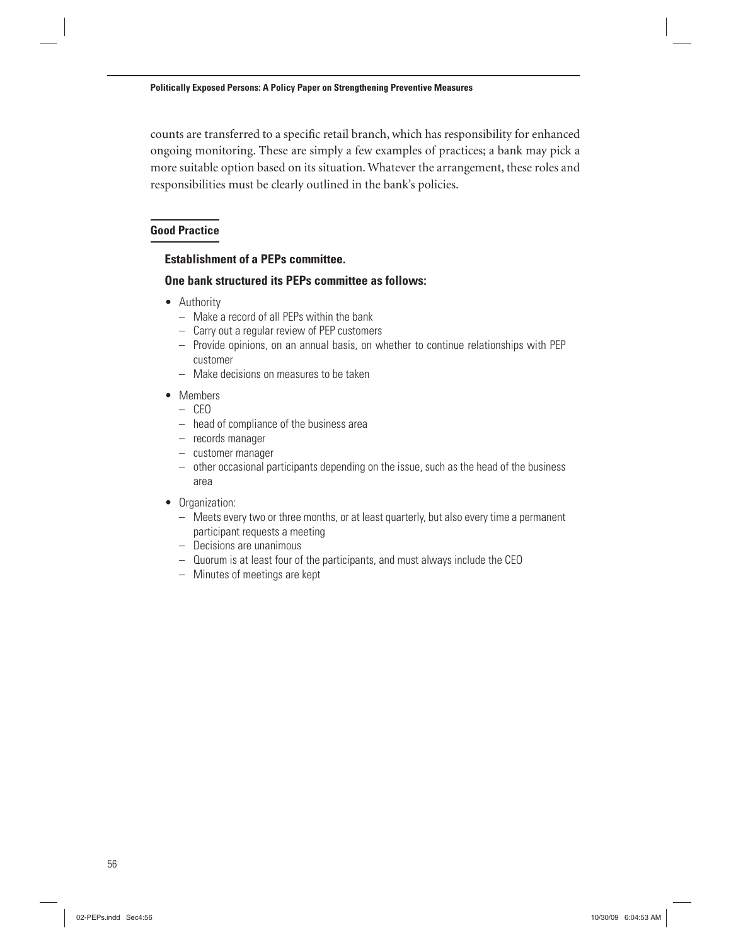counts are transferred to a specific retail branch, which has responsibility for enhanced ongoing monitoring. These are simply a few examples of practices; a bank may pick a more suitable option based on its situation. Whatever the arrangement, these roles and responsibilities must be clearly outlined in the bank's policies.

#### **Good Practice**

#### **Establishment of a PEPs committee.**

#### **One bank structured its PEPs committee as follows:**

- Authority
	- Make a record of all PEPs within the bank
	- Carry out a regular review of PEP customers
	- Provide opinions, on an annual basis, on whether to continue relationships with PEP customer
	- Make decisions on measures to be taken
- Members
	- CEO
	- head of compliance of the business area
	- records manager
	- customer manager
	- other occasional participants depending on the issue, such as the head of the business area
- Organization:
	- Meets every two or three months, or at least quarterly, but also every time a permanent participant requests a meeting
	- Decisions are unanimous
	- Quorum is at least four of the participants, and must always include the CEO
	- Minutes of meetings are kept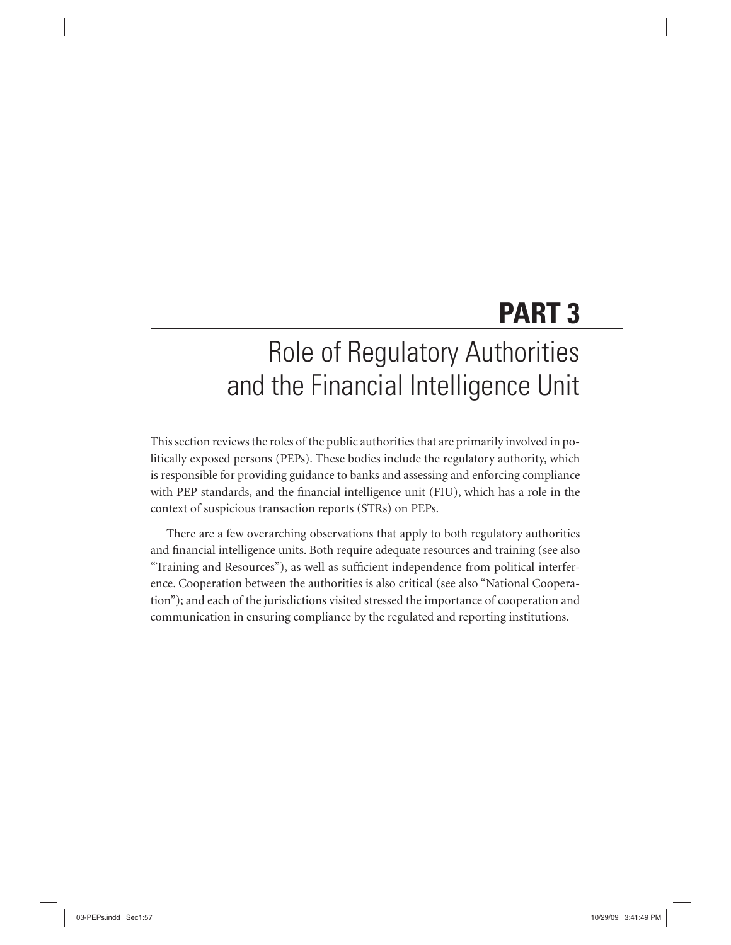# **PART 3**

# Role of Regulatory Authorities and the Financial Intelligence Unit

This section reviews the roles of the public authorities that are primarily involved in politically exposed persons (PEPs). These bodies include the regulatory authority, which is responsible for providing guidance to banks and assessing and enforcing compliance with PEP standards, and the financial intelligence unit (FIU), which has a role in the context of suspicious transaction reports (STRs) on PEPs.

There are a few overarching observations that apply to both regulatory authorities and financial intelligence units. Both require adequate resources and training (see also "Training and Resources"), as well as sufficient independence from political interference. Cooperation between the authorities is also critical (see also "National Cooperation"); and each of the jurisdictions visited stressed the importance of cooperation and communication in ensuring compliance by the regulated and reporting institutions.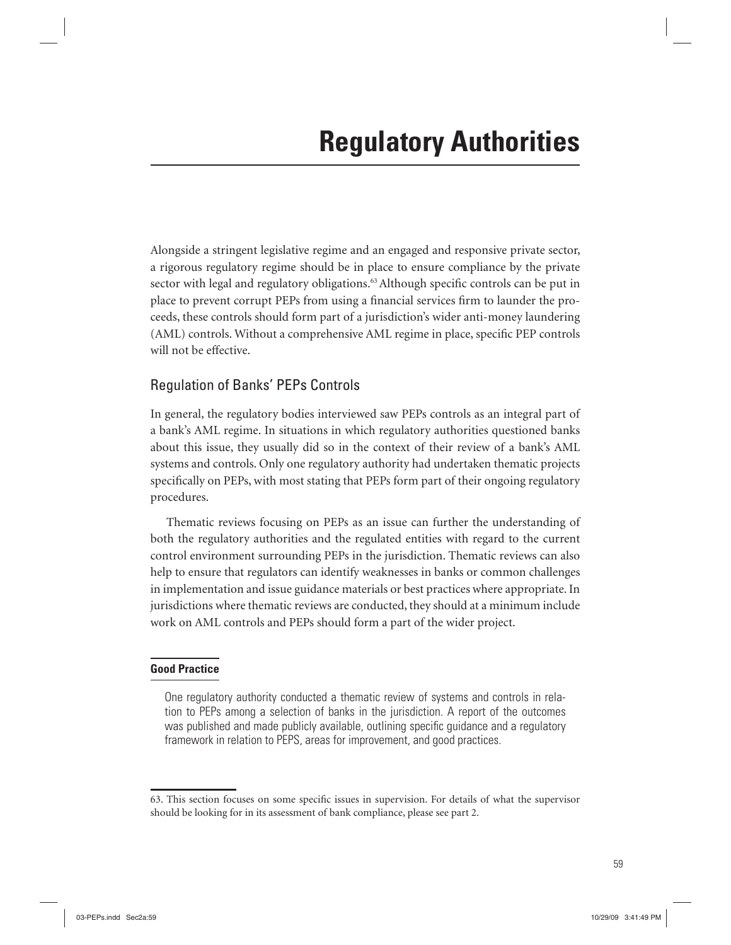Alongside a stringent legislative regime and an engaged and responsive private sector, a rigorous regulatory regime should be in place to ensure compliance by the private sector with legal and regulatory obligations.<sup>63</sup> Although specific controls can be put in place to prevent corrupt PEPs from using a financial services firm to launder the proceeds, these controls should form part of a jurisdiction's wider anti-money laundering (AML) controls. Without a comprehensive AML regime in place, specific PEP controls will not be effective.

#### Regulation of Banks' PEPs Controls

In general, the regulatory bodies interviewed saw PEPs controls as an integral part of a bank's AML regime. In situations in which regulatory authorities questioned banks about this issue, they usually did so in the context of their review of a bank's AML systems and controls. Only one regulatory authority had undertaken thematic projects specifically on PEPs, with most stating that PEPs form part of their ongoing regulatory procedures.

Thematic reviews focusing on PEPs as an issue can further the understanding of both the regulatory authorities and the regulated entities with regard to the current control environment surrounding PEPs in the jurisdiction. Thematic reviews can also help to ensure that regulators can identify weaknesses in banks or common challenges in implementation and issue guidance materials or best practices where appropriate. In jurisdictions where thematic reviews are conducted, they should at a minimum include work on AML controls and PEPs should form a part of the wider project.

#### **Good Practice**

One regulatory authority conducted a thematic review of systems and controls in relation to PEPs among a selection of banks in the jurisdiction. A report of the outcomes was published and made publicly available, outlining specific guidance and a regulatory framework in relation to PEPS, areas for improvement, and good practices.

<sup>63.</sup> This section focuses on some specific issues in supervision. For details of what the supervisor should be looking for in its assessment of bank compliance, please see part 2.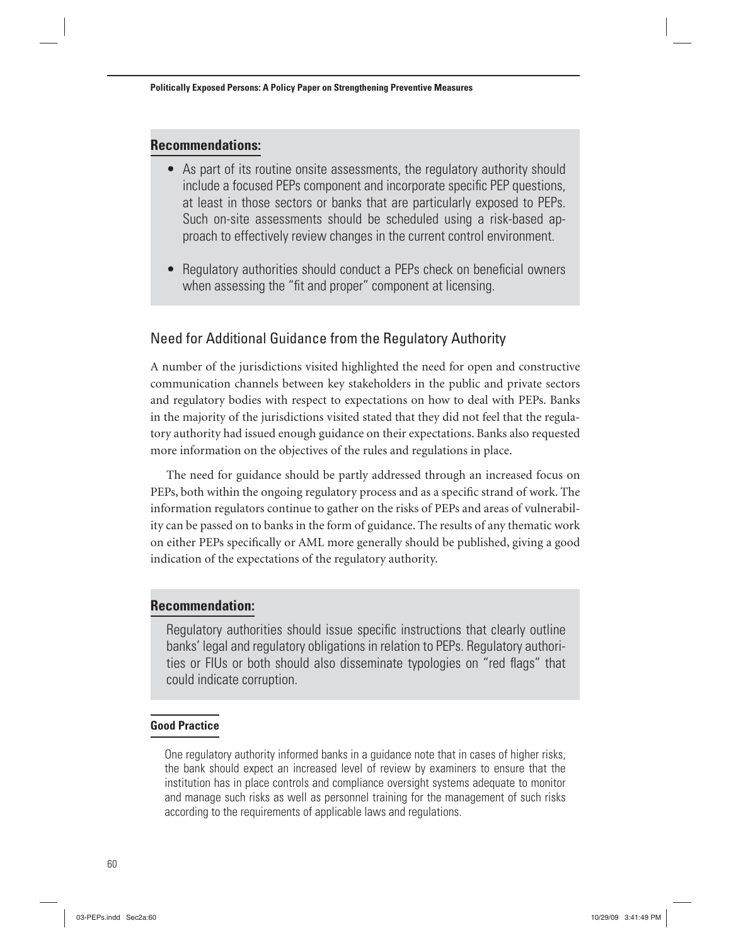#### **Recommendations:**

- As part of its routine onsite assessments, the regulatory authority should include a focused PEPs component and incorporate specific PEP questions, at least in those sectors or banks that are particularly exposed to PEPs. Such on-site assessments should be scheduled using a risk-based approach to effectively review changes in the current control environment.
- Regulatory authorities should conduct a PEPs check on beneficial owners when assessing the "fit and proper" component at licensing.

#### Need for Additional Guidance from the Regulatory Authority

A number of the jurisdictions visited highlighted the need for open and constructive communication channels between key stakeholders in the public and private sectors and regulatory bodies with respect to expectations on how to deal with PEPs. Banks in the majority of the jurisdictions visited stated that they did not feel that the regulatory authority had issued enough guidance on their expectations. Banks also requested more information on the objectives of the rules and regulations in place.

The need for guidance should be partly addressed through an increased focus on PEPs, both within the ongoing regulatory process and as a specific strand of work. The information regulators continue to gather on the risks of PEPs and areas of vulnerability can be passed on to banks in the form of guidance. The results of any thematic work on either PEPs specifically or AML more generally should be published, giving a good indication of the expectations of the regulatory authority.

#### **Recommendation:**

Regulatory authorities should issue specific instructions that clearly outline banks' legal and regulatory obligations in relation to PEPs. Regulatory authorities or FIUs or both should also disseminate typologies on "red flags" that could indicate corruption.

#### **Good Practice**

One regulatory authority informed banks in a guidance note that in cases of higher risks, the bank should expect an increased level of review by examiners to ensure that the institution has in place controls and compliance oversight systems adequate to monitor and manage such risks as well as personnel training for the management of such risks according to the requirements of applicable laws and regulations.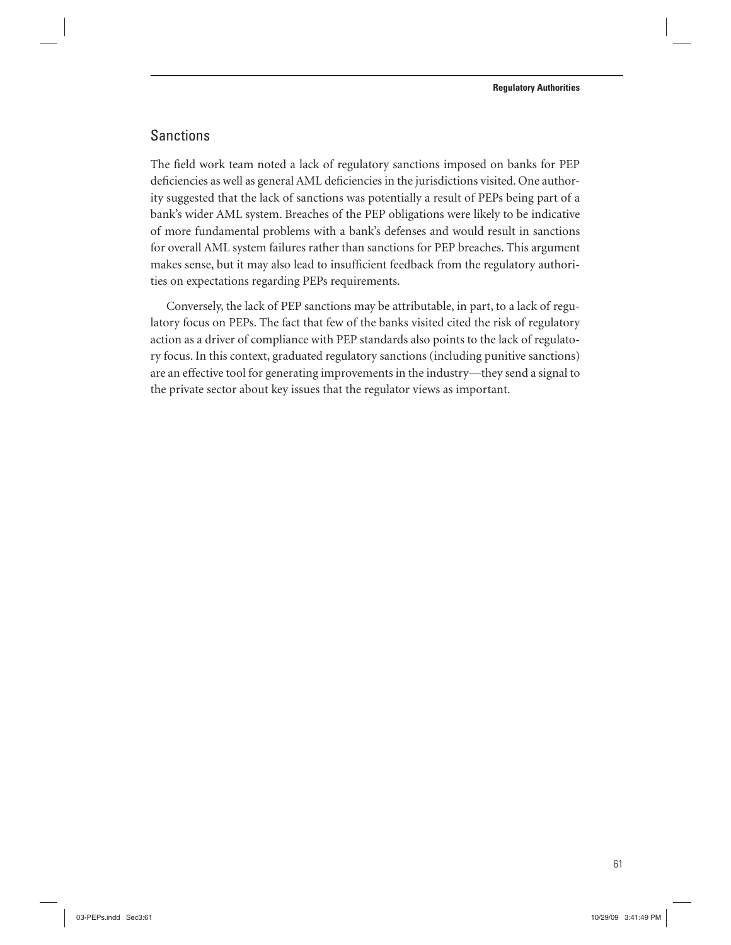#### **Sanctions**

The field work team noted a lack of regulatory sanctions imposed on banks for PEP deficiencies as well as general AML deficiencies in the jurisdictions visited. One authority suggested that the lack of sanctions was potentially a result of PEPs being part of a bank's wider AML system. Breaches of the PEP obligations were likely to be indicative of more fundamental problems with a bank's defenses and would result in sanctions for overall AML system failures rather than sanctions for PEP breaches. This argument makes sense, but it may also lead to insufficient feedback from the regulatory authorities on expectations regarding PEPs requirements.

Conversely, the lack of PEP sanctions may be attributable, in part, to a lack of regulatory focus on PEPs. The fact that few of the banks visited cited the risk of regulatory action as a driver of compliance with PEP standards also points to the lack of regulatory focus. In this context, graduated regulatory sanctions (including punitive sanctions) are an effective tool for generating improvements in the industry—they send a signal to the private sector about key issues that the regulator views as important.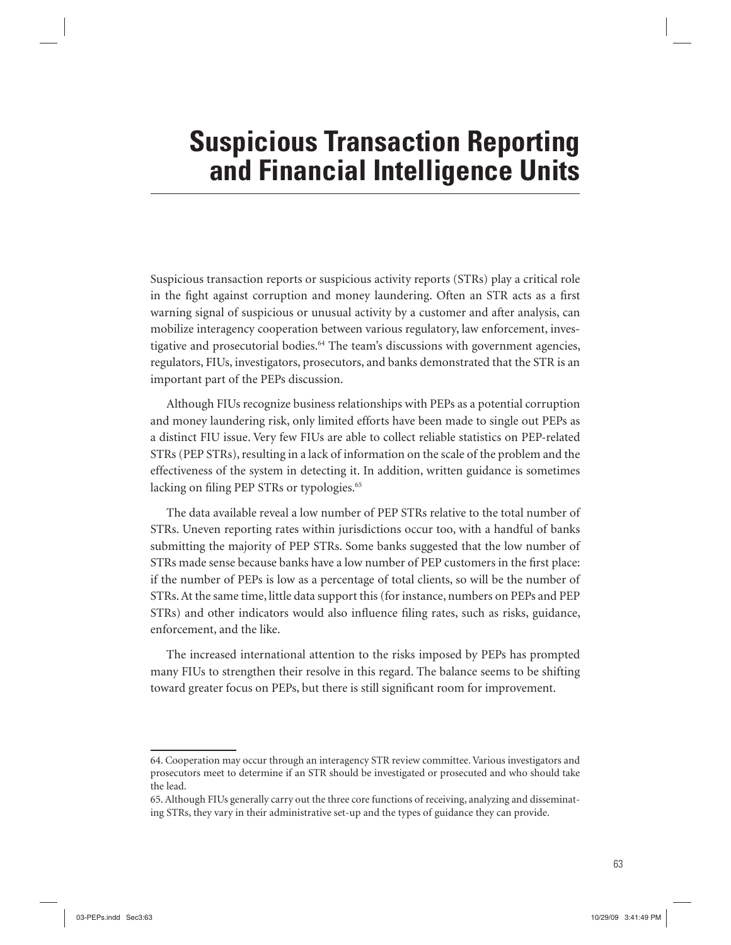# **Suspicious Transaction Reporting and Financial Intelligence Units**

Suspicious transaction reports or suspicious activity reports (STRs) play a critical role in the fight against corruption and money laundering. Often an STR acts as a first warning signal of suspicious or unusual activity by a customer and after analysis, can mobilize interagency cooperation between various regulatory, law enforcement, investigative and prosecutorial bodies.<sup>64</sup> The team's discussions with government agencies, regulators, FIUs, investigators, prosecutors, and banks demonstrated that the STR is an important part of the PEPs discussion.

Although FIUs recognize business relationships with PEPs as a potential corruption and money laundering risk, only limited efforts have been made to single out PEPs as a distinct FIU issue. Very few FIUs are able to collect reliable statistics on PEP-related STRs (PEP STRs), resulting in a lack of information on the scale of the problem and the effectiveness of the system in detecting it. In addition, written guidance is sometimes lacking on filing PEP STRs or typologies.<sup>65</sup>

The data available reveal a low number of PEP STRs relative to the total number of STRs. Uneven reporting rates within jurisdictions occur too, with a handful of banks submitting the majority of PEP STRs. Some banks suggested that the low number of STRs made sense because banks have a low number of PEP customers in the first place: if the number of PEPs is low as a percentage of total clients, so will be the number of STRs. At the same time, little data support this (for instance, numbers on PEPs and PEP STRs) and other indicators would also influence filing rates, such as risks, guidance, enforcement, and the like.

The increased international attention to the risks imposed by PEPs has prompted many FIUs to strengthen their resolve in this regard. The balance seems to be shifting toward greater focus on PEPs, but there is still significant room for improvement.

<sup>64.</sup> Cooperation may occur through an interagency STR review committee. Various investigators and prosecutors meet to determine if an STR should be investigated or prosecuted and who should take the lead.

<sup>65.</sup> Although FIUs generally carry out the three core functions of receiving, analyzing and disseminating STRs, they vary in their administrative set-up and the types of guidance they can provide.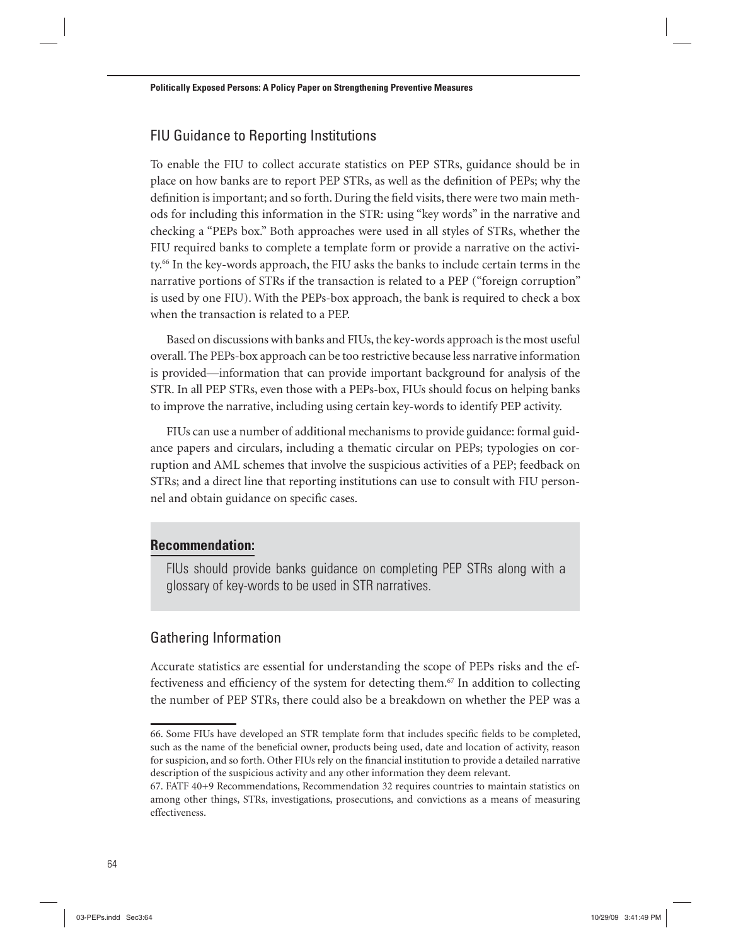# FIU Guidance to Reporting Institutions

To enable the FIU to collect accurate statistics on PEP STRs, guidance should be in place on how banks are to report PEP STRs, as well as the definition of PEPs; why the definition is important; and so forth. During the field visits, there were two main methods for including this information in the STR: using "key words" in the narrative and checking a "PEPs box." Both approaches were used in all styles of STRs, whether the FIU required banks to complete a template form or provide a narrative on the activity.66 In the key-words approach, the FIU asks the banks to include certain terms in the narrative portions of STRs if the transaction is related to a PEP ("foreign corruption" is used by one FIU). With the PEPs-box approach, the bank is required to check a box when the transaction is related to a PEP.

Based on discussions with banks and FIUs, the key-words approach is the most useful overall. The PEPs-box approach can be too restrictive because less narrative information is provided—information that can provide important background for analysis of the STR. In all PEP STRs, even those with a PEPs-box, FIUs should focus on helping banks to improve the narrative, including using certain key-words to identify PEP activity.

FIUs can use a number of additional mechanisms to provide guidance: formal guidance papers and circulars, including a thematic circular on PEPs; typologies on corruption and AML schemes that involve the suspicious activities of a PEP; feedback on STRs; and a direct line that reporting institutions can use to consult with FIU personnel and obtain guidance on specific cases.

#### **Recommendation:**

FIUs should provide banks guidance on completing PEP STRs along with a glossary of key-words to be used in STR narratives.

# Gathering Information

Accurate statistics are essential for understanding the scope of PEPs risks and the effectiveness and efficiency of the system for detecting them.<sup>67</sup> In addition to collecting the number of PEP STRs, there could also be a breakdown on whether the PEP was a

<sup>66.</sup> Some FIUs have developed an STR template form that includes specific fields to be completed, such as the name of the beneficial owner, products being used, date and location of activity, reason for suspicion, and so forth. Other FIUs rely on the financial institution to provide a detailed narrative description of the suspicious activity and any other information they deem relevant.

<sup>67.</sup> FATF 40+9 Recommendations, Recommendation 32 requires countries to maintain statistics on among other things, STRs, investigations, prosecutions, and convictions as a means of measuring effectiveness.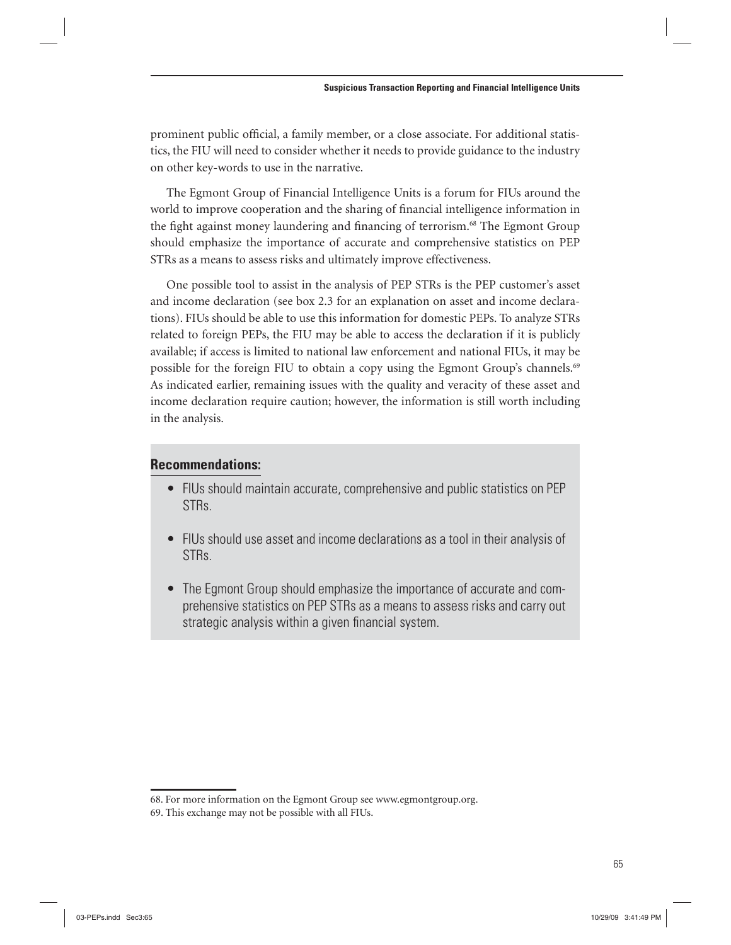prominent public official, a family member, or a close associate. For additional statistics, the FIU will need to consider whether it needs to provide guidance to the industry on other key-words to use in the narrative.

The Egmont Group of Financial Intelligence Units is a forum for FIUs around the world to improve cooperation and the sharing of financial intelligence information in the fight against money laundering and financing of terrorism.<sup>68</sup> The Egmont Group should emphasize the importance of accurate and comprehensive statistics on PEP STRs as a means to assess risks and ultimately improve effectiveness.

One possible tool to assist in the analysis of PEP STRs is the PEP customer's asset and income declaration (see box 2.3 for an explanation on asset and income declarations). FIUs should be able to use this information for domestic PEPs. To analyze STRs related to foreign PEPs, the FIU may be able to access the declaration if it is publicly available; if access is limited to national law enforcement and national FIUs, it may be possible for the foreign FIU to obtain a copy using the Egmont Group's channels.<sup>69</sup> As indicated earlier, remaining issues with the quality and veracity of these asset and income declaration require caution; however, the information is still worth including in the analysis.

#### **Recommendations:**

- FIUs should maintain accurate, comprehensive and public statistics on PEP STRs.
- FIUs should use asset and income declarations as a tool in their analysis of STRs.
- The Egmont Group should emphasize the importance of accurate and comprehensive statistics on PEP STRs as a means to assess risks and carry out strategic analysis within a given financial system.

<sup>68.</sup> For more information on the Egmont Group see www.egmontgroup.org.

<sup>69.</sup> This exchange may not be possible with all FIUs.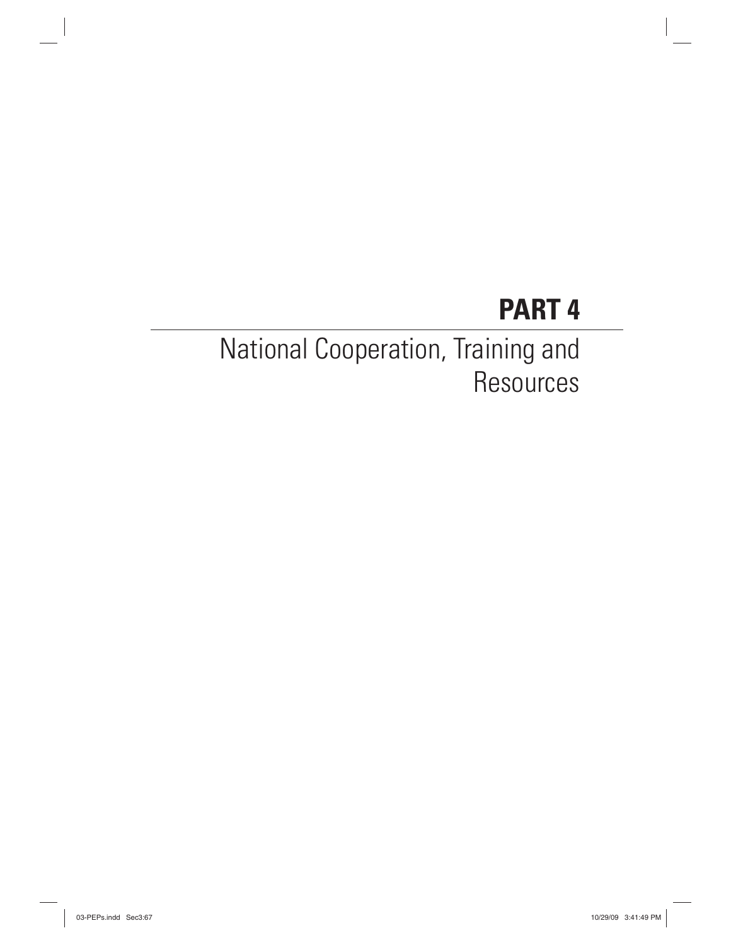# **PART 4**

# National Cooperation, Training and **Resources**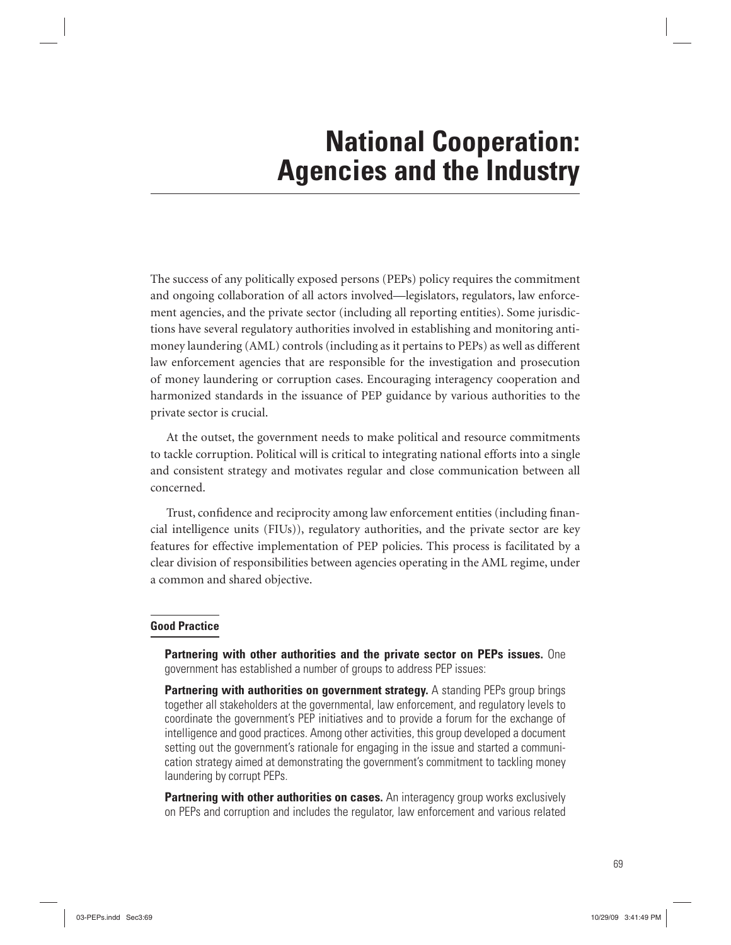# **National Cooperation: Agencies and the Industry**

The success of any politically exposed persons (PEPs) policy requires the commitment and ongoing collaboration of all actors involved—legislators, regulators, law enforcement agencies, and the private sector (including all reporting entities). Some jurisdictions have several regulatory authorities involved in establishing and monitoring antimoney laundering (AML) controls (including as it pertains to PEPs) as well as different law enforcement agencies that are responsible for the investigation and prosecution of money laundering or corruption cases. Encouraging interagency cooperation and harmonized standards in the issuance of PEP guidance by various authorities to the private sector is crucial.

At the outset, the government needs to make political and resource commitments to tackle corruption. Political will is critical to integrating national efforts into a single and consistent strategy and motivates regular and close communication between all concerned.

Trust, confidence and reciprocity among law enforcement entities (including financial intelligence units (FIUs)), regulatory authorities, and the private sector are key features for effective implementation of PEP policies. This process is facilitated by a clear division of responsibilities between agencies operating in the AML regime, under a common and shared objective.

#### **Good Practice**

**Partnering with other authorities and the private sector on PEPs issues.** One government has established a number of groups to address PEP issues:

**Partnering with authorities on government strategy.** A standing PEPs group brings together all stakeholders at the governmental, law enforcement, and regulatory levels to coordinate the government's PEP initiatives and to provide a forum for the exchange of intelligence and good practices. Among other activities, this group developed a document setting out the government's rationale for engaging in the issue and started a communication strategy aimed at demonstrating the government's commitment to tackling money laundering by corrupt PEPs.

**Partnering with other authorities on cases.** An interagency group works exclusively on PEPs and corruption and includes the regulator, law enforcement and various related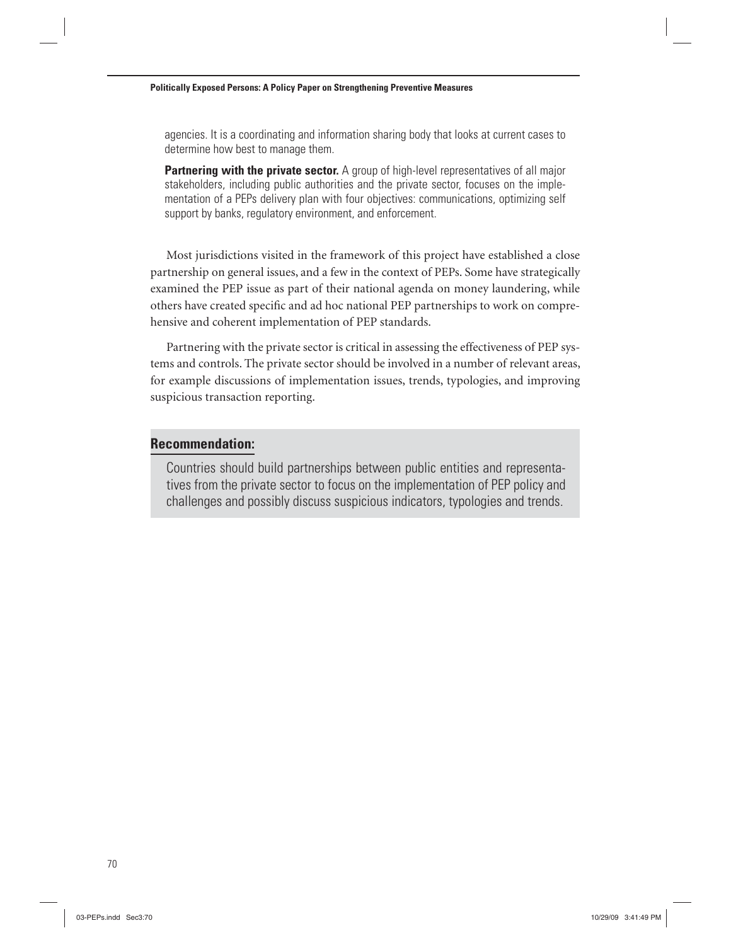agencies. It is a coordinating and information sharing body that looks at current cases to determine how best to manage them.

**Partnering with the private sector.** A group of high-level representatives of all major stakeholders, including public authorities and the private sector, focuses on the implementation of a PEPs delivery plan with four objectives: communications, optimizing self support by banks, regulatory environment, and enforcement.

Most jurisdictions visited in the framework of this project have established a close partnership on general issues, and a few in the context of PEPs. Some have strategically examined the PEP issue as part of their national agenda on money laundering, while others have created specific and ad hoc national PEP partnerships to work on comprehensive and coherent implementation of PEP standards.

Partnering with the private sector is critical in assessing the effectiveness of PEP systems and controls. The private sector should be involved in a number of relevant areas, for example discussions of implementation issues, trends, typologies, and improving suspicious transaction reporting.

#### **Recommendation:**

Countries should build partnerships between public entities and representatives from the private sector to focus on the implementation of PEP policy and challenges and possibly discuss suspicious indicators, typologies and trends.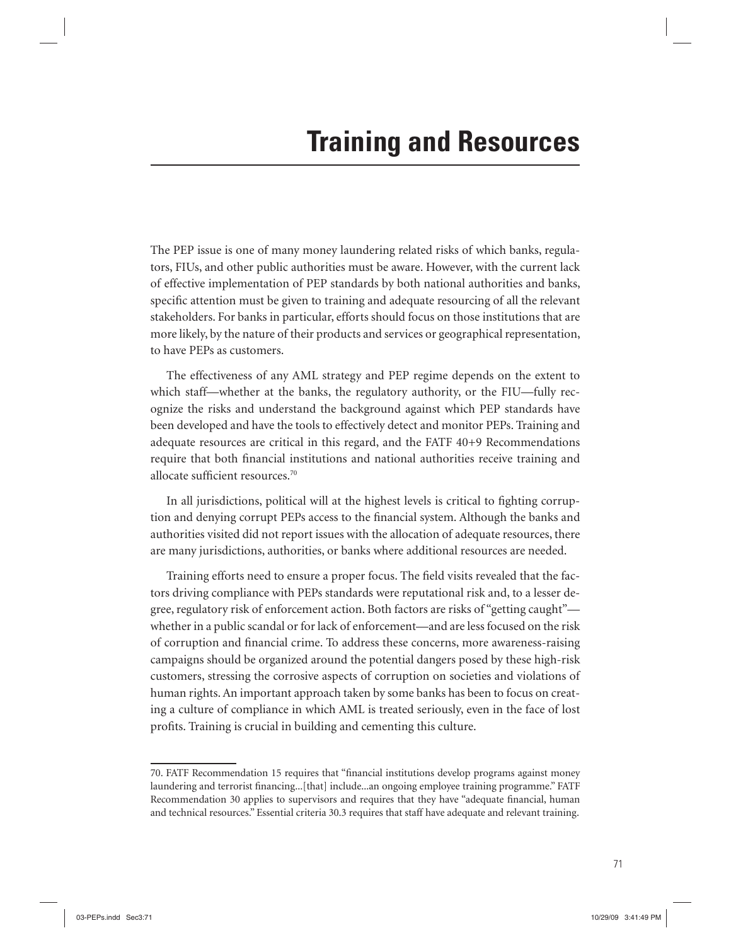The PEP issue is one of many money laundering related risks of which banks, regulators, FIUs, and other public authorities must be aware. However, with the current lack of effective implementation of PEP standards by both national authorities and banks, specific attention must be given to training and adequate resourcing of all the relevant stakeholders. For banks in particular, efforts should focus on those institutions that are more likely, by the nature of their products and services or geographical representation, to have PEPs as customers.

The effectiveness of any AML strategy and PEP regime depends on the extent to which staff—whether at the banks, the regulatory authority, or the FIU—fully recognize the risks and understand the background against which PEP standards have been developed and have the tools to effectively detect and monitor PEPs. Training and adequate resources are critical in this regard, and the FATF 40+9 Recommendations require that both financial institutions and national authorities receive training and allocate sufficient resources.<sup>70</sup>

In all jurisdictions, political will at the highest levels is critical to fighting corruption and denying corrupt PEPs access to the financial system. Although the banks and authorities visited did not report issues with the allocation of adequate resources, there are many jurisdictions, authorities, or banks where additional resources are needed.

Training efforts need to ensure a proper focus. The field visits revealed that the factors driving compliance with PEPs standards were reputational risk and, to a lesser degree, regulatory risk of enforcement action. Both factors are risks of "getting caught" whether in a public scandal or for lack of enforcement—and are less focused on the risk of corruption and financial crime. To address these concerns, more awareness-raising campaigns should be organized around the potential dangers posed by these high-risk customers, stressing the corrosive aspects of corruption on societies and violations of human rights. An important approach taken by some banks has been to focus on creating a culture of compliance in which AML is treated seriously, even in the face of lost profits. Training is crucial in building and cementing this culture.

<sup>70.</sup> FATF Recommendation 15 requires that "financial institutions develop programs against money laundering and terrorist financing...[that] include...an ongoing employee training programme." FATF Recommendation 30 applies to supervisors and requires that they have "adequate financial, human and technical resources." Essential criteria 30.3 requires that staff have adequate and relevant training.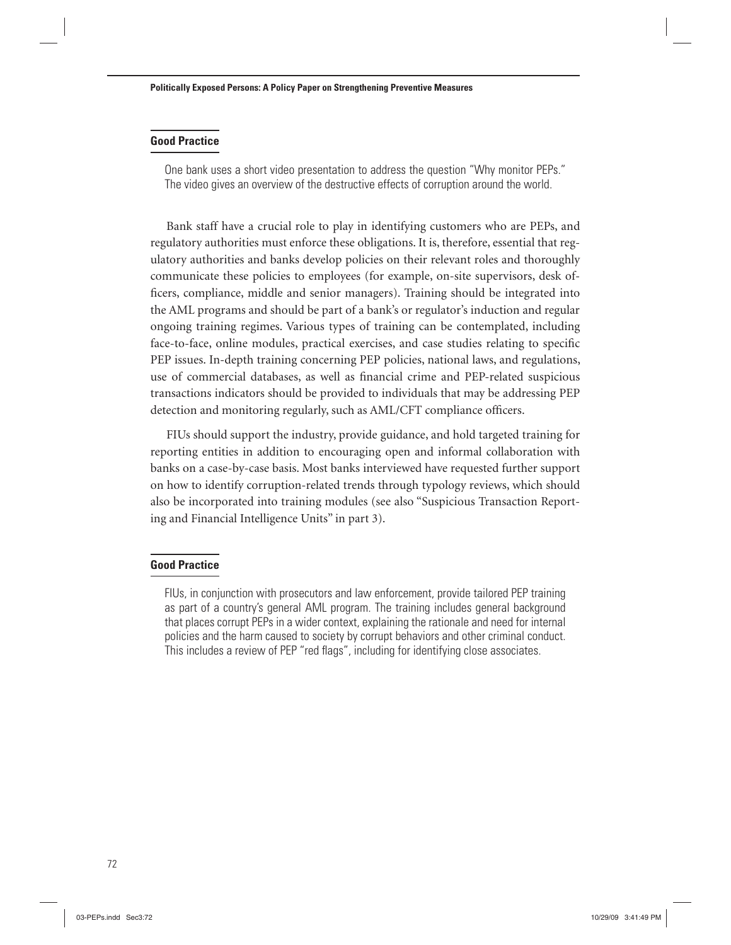#### **Good Practice**

One bank uses a short video presentation to address the question "Why monitor PEPs." The video gives an overview of the destructive effects of corruption around the world.

Bank staff have a crucial role to play in identifying customers who are PEPs, and regulatory authorities must enforce these obligations. It is, therefore, essential that regulatory authorities and banks develop policies on their relevant roles and thoroughly communicate these policies to employees (for example, on-site supervisors, desk officers, compliance, middle and senior managers). Training should be integrated into the AML programs and should be part of a bank's or regulator's induction and regular ongoing training regimes. Various types of training can be contemplated, including face-to-face, online modules, practical exercises, and case studies relating to specific PEP issues. In-depth training concerning PEP policies, national laws, and regulations, use of commercial databases, as well as financial crime and PEP-related suspicious transactions indicators should be provided to individuals that may be addressing PEP detection and monitoring regularly, such as AML/CFT compliance officers.

FIUs should support the industry, provide guidance, and hold targeted training for reporting entities in addition to encouraging open and informal collaboration with banks on a case-by-case basis. Most banks interviewed have requested further support on how to identify corruption-related trends through typology reviews, which should also be incorporated into training modules (see also "Suspicious Transaction Reporting and Financial Intelligence Units" in part 3).

#### **Good Practice**

FIUs, in conjunction with prosecutors and law enforcement, provide tailored PEP training as part of a country's general AML program. The training includes general background that places corrupt PEPs in a wider context, explaining the rationale and need for internal policies and the harm caused to society by corrupt behaviors and other criminal conduct. This includes a review of PEP "red flags", including for identifying close associates.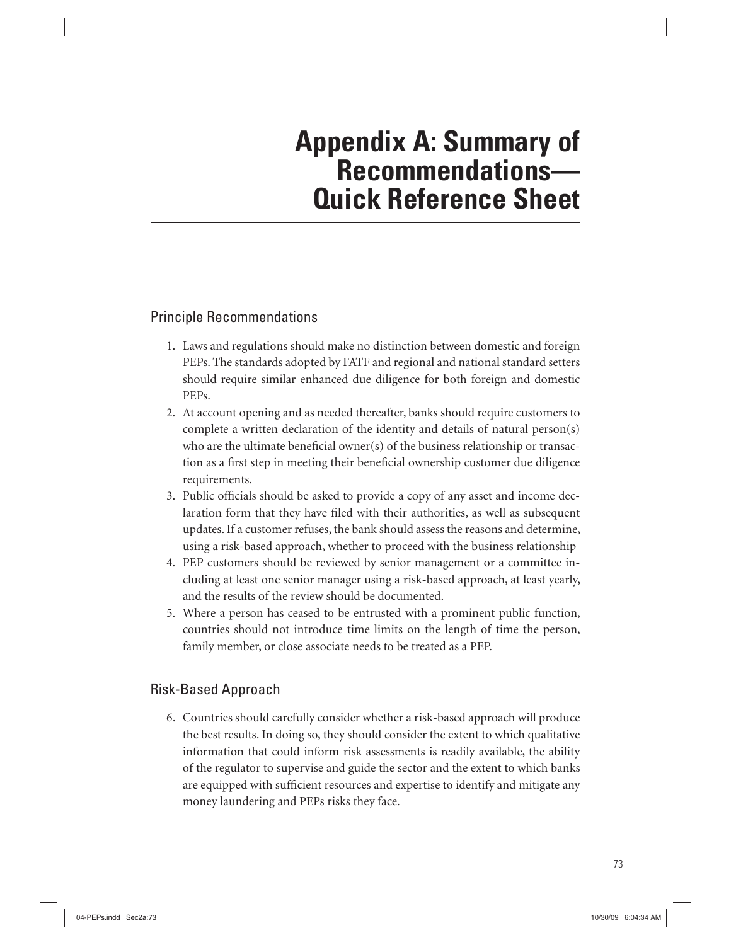# **Appendix A: Summary of Recommendations— Quick Reference Sheet**

## Principle Recommendations

- 1. Laws and regulations should make no distinction between domestic and foreign PEPs. The standards adopted by FATF and regional and national standard setters should require similar enhanced due diligence for both foreign and domestic PEPs.
- 2. At account opening and as needed thereafter, banks should require customers to complete a written declaration of the identity and details of natural person(s) who are the ultimate beneficial owner(s) of the business relationship or transaction as a first step in meeting their beneficial ownership customer due diligence requirements.
- 3. Public officials should be asked to provide a copy of any asset and income declaration form that they have filed with their authorities, as well as subsequent updates. If a customer refuses, the bank should assess the reasons and determine, using a risk-based approach, whether to proceed with the business relationship
- 4. PEP customers should be reviewed by senior management or a committee including at least one senior manager using a risk-based approach, at least yearly, and the results of the review should be documented.
- 5. Where a person has ceased to be entrusted with a prominent public function, countries should not introduce time limits on the length of time the person, family member, or close associate needs to be treated as a PEP.

## Risk-Based Approach

6. Countries should carefully consider whether a risk-based approach will produce the best results. In doing so, they should consider the extent to which qualitative information that could inform risk assessments is readily available, the ability of the regulator to supervise and guide the sector and the extent to which banks are equipped with sufficient resources and expertise to identify and mitigate any money laundering and PEPs risks they face.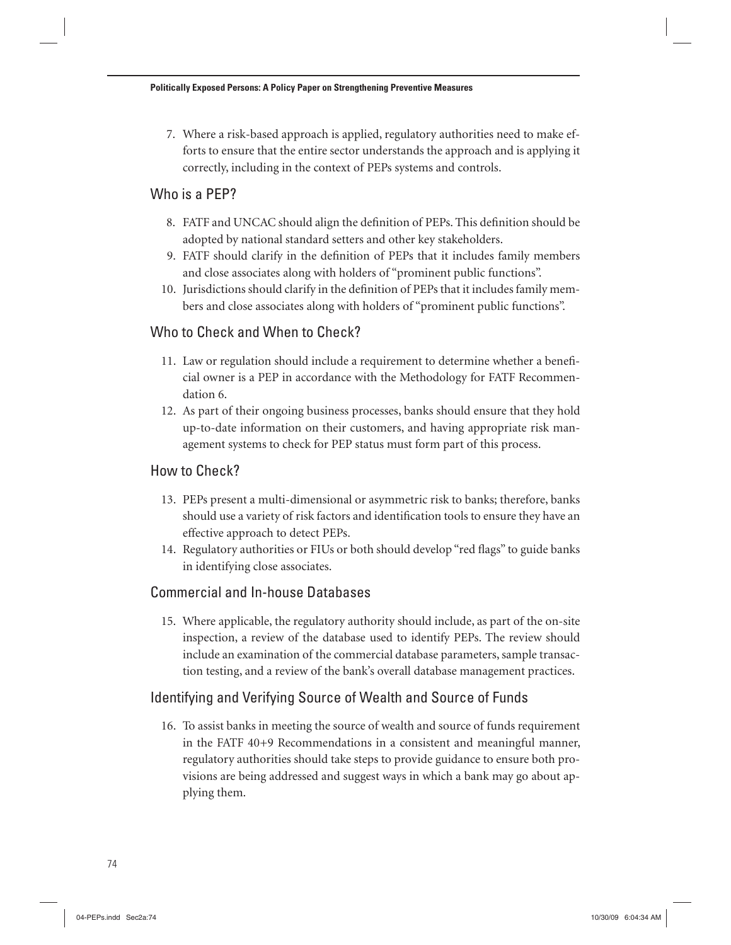7. Where a risk-based approach is applied, regulatory authorities need to make efforts to ensure that the entire sector understands the approach and is applying it correctly, including in the context of PEPs systems and controls.

## Who is a PEP?

- 8. FATF and UNCAC should align the definition of PEPs. This definition should be adopted by national standard setters and other key stakeholders.
- 9. FATF should clarify in the definition of PEPs that it includes family members and close associates along with holders of "prominent public functions".
- 10. Jurisdictions should clarify in the definition of PEPs that it includes family members and close associates along with holders of "prominent public functions".

## Who to Check and When to Check?

- 11. Law or regulation should include a requirement to determine whether a beneficial owner is a PEP in accordance with the Methodology for FATF Recommendation 6.
- 12. As part of their ongoing business processes, banks should ensure that they hold up-to-date information on their customers, and having appropriate risk management systems to check for PEP status must form part of this process.

#### How to Check?

- 13. PEPs present a multi-dimensional or asymmetric risk to banks; therefore, banks should use a variety of risk factors and identification tools to ensure they have an effective approach to detect PEPs.
- 14. Regulatory authorities or FIUs or both should develop "red flags" to guide banks in identifying close associates.

## Commercial and In-house Databases

15. Where applicable, the regulatory authority should include, as part of the on-site inspection, a review of the database used to identify PEPs. The review should include an examination of the commercial database parameters, sample transaction testing, and a review of the bank's overall database management practices.

## Identifying and Verifying Source of Wealth and Source of Funds

16. To assist banks in meeting the source of wealth and source of funds requirement in the FATF 40+9 Recommendations in a consistent and meaningful manner, regulatory authorities should take steps to provide guidance to ensure both provisions are being addressed and suggest ways in which a bank may go about applying them.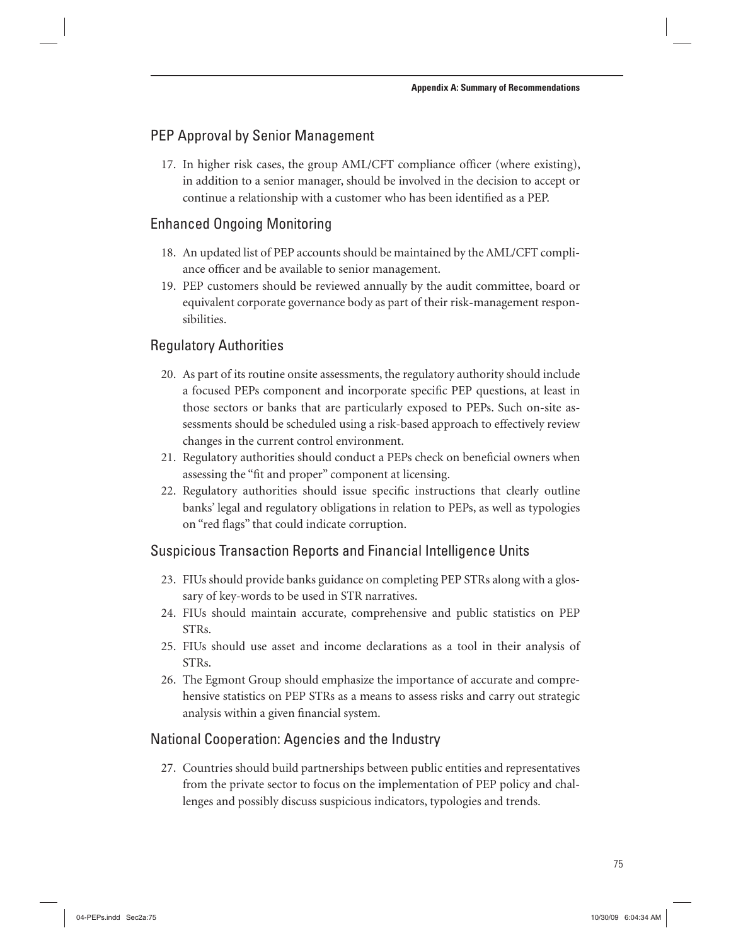# PEP Approval by Senior Management

17. In higher risk cases, the group AML/CFT compliance officer (where existing), in addition to a senior manager, should be involved in the decision to accept or continue a relationship with a customer who has been identified as a PEP.

## Enhanced Ongoing Monitoring

- 18. An updated list of PEP accounts should be maintained by the AML/CFT compliance officer and be available to senior management.
- 19. PEP customers should be reviewed annually by the audit committee, board or equivalent corporate governance body as part of their risk-management responsibilities.

## Regulatory Authorities

- 20. As part of its routine onsite assessments, the regulatory authority should include a focused PEPs component and incorporate specific PEP questions, at least in those sectors or banks that are particularly exposed to PEPs. Such on-site assessments should be scheduled using a risk-based approach to effectively review changes in the current control environment.
- 21. Regulatory authorities should conduct a PEPs check on beneficial owners when assessing the "fit and proper" component at licensing.
- 22. Regulatory authorities should issue specific instructions that clearly outline banks' legal and regulatory obligations in relation to PEPs, as well as typologies on "red flags" that could indicate corruption.

## Suspicious Transaction Reports and Financial Intelligence Units

- 23. FIUs should provide banks guidance on completing PEP STRs along with a glossary of key-words to be used in STR narratives.
- 24. FIUs should maintain accurate, comprehensive and public statistics on PEP STRs.
- 25. FIUs should use asset and income declarations as a tool in their analysis of STRs.
- 26. The Egmont Group should emphasize the importance of accurate and comprehensive statistics on PEP STRs as a means to assess risks and carry out strategic analysis within a given financial system.

## National Cooperation: Agencies and the Industry

27. Countries should build partnerships between public entities and representatives from the private sector to focus on the implementation of PEP policy and challenges and possibly discuss suspicious indicators, typologies and trends.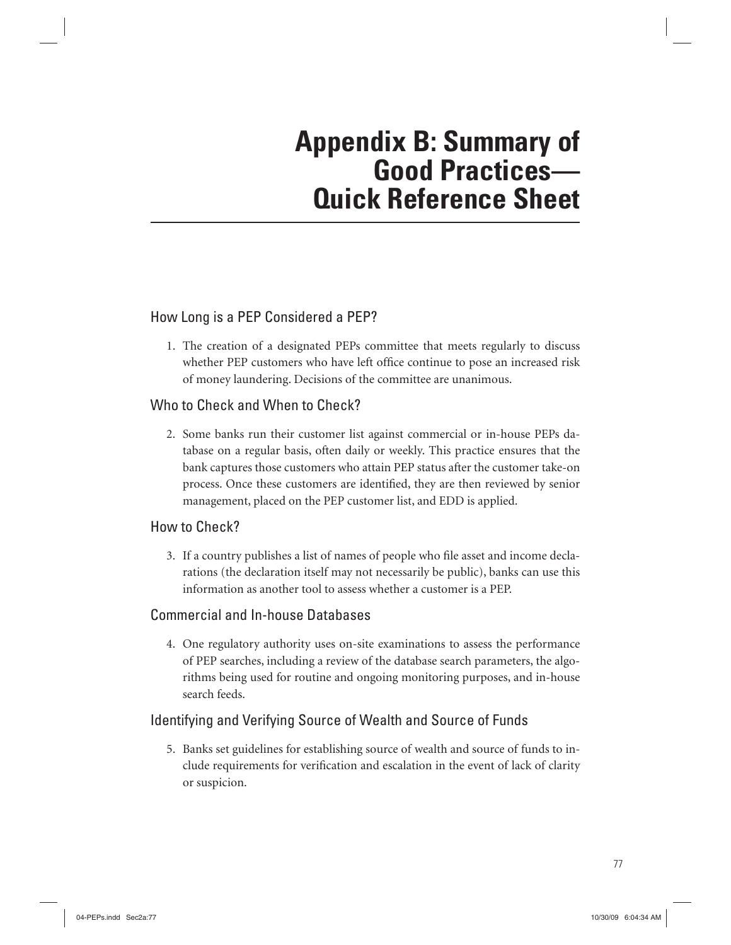# **Appendix B: Summary of Good Practices— Quick Reference Sheet**

# How Long is a PEP Considered a PEP?

1. The creation of a designated PEPs committee that meets regularly to discuss whether PEP customers who have left office continue to pose an increased risk of money laundering. Decisions of the committee are unanimous.

# Who to Check and When to Check?

2. Some banks run their customer list against commercial or in-house PEPs database on a regular basis, often daily or weekly. This practice ensures that the bank captures those customers who attain PEP status after the customer take-on process. Once these customers are identified, they are then reviewed by senior management, placed on the PEP customer list, and EDD is applied.

# How to Check?

3. If a country publishes a list of names of people who file asset and income declarations (the declaration itself may not necessarily be public), banks can use this information as another tool to assess whether a customer is a PEP.

## Commercial and In-house Databases

4. One regulatory authority uses on-site examinations to assess the performance of PEP searches, including a review of the database search parameters, the algorithms being used for routine and ongoing monitoring purposes, and in-house search feeds.

# Identifying and Verifying Source of Wealth and Source of Funds

5. Banks set guidelines for establishing source of wealth and source of funds to include requirements for verification and escalation in the event of lack of clarity or suspicion.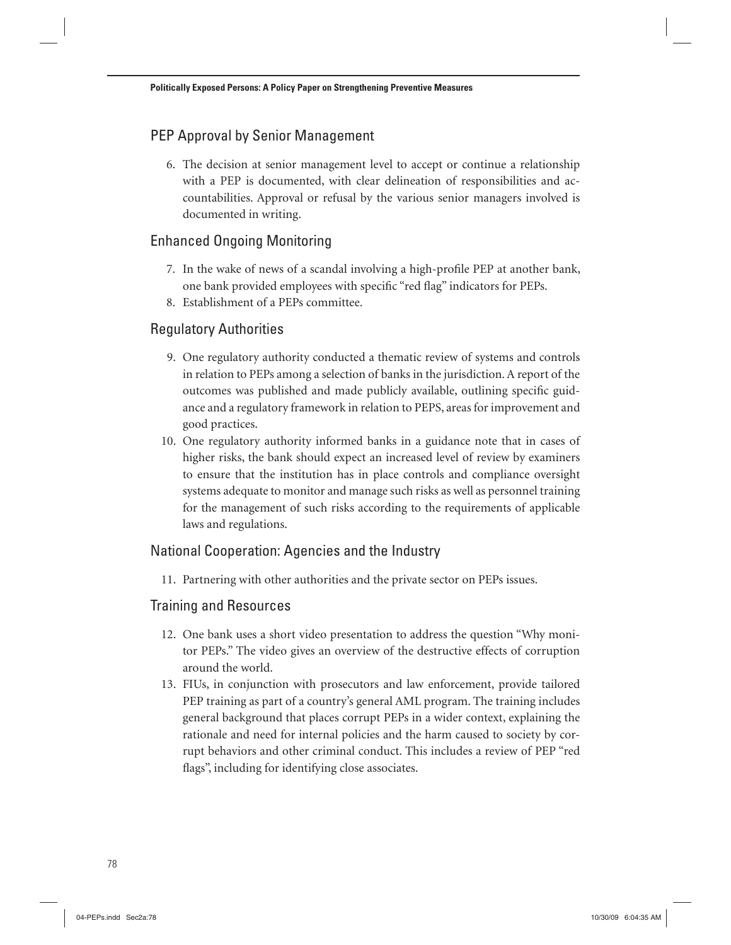# PEP Approval by Senior Management

6. The decision at senior management level to accept or continue a relationship with a PEP is documented, with clear delineation of responsibilities and accountabilities. Approval or refusal by the various senior managers involved is documented in writing.

## Enhanced Ongoing Monitoring

- 7. In the wake of news of a scandal involving a high-profile PEP at another bank, one bank provided employees with specific "red flag" indicators for PEPs.
- 8. Establishment of a PEPs committee.

#### Regulatory Authorities

- 9. One regulatory authority conducted a thematic review of systems and controls in relation to PEPs among a selection of banks in the jurisdiction. A report of the outcomes was published and made publicly available, outlining specific guidance and a regulatory framework in relation to PEPS, areas for improvement and good practices.
- 10. One regulatory authority informed banks in a guidance note that in cases of higher risks, the bank should expect an increased level of review by examiners to ensure that the institution has in place controls and compliance oversight systems adequate to monitor and manage such risks as well as personnel training for the management of such risks according to the requirements of applicable laws and regulations.

## National Cooperation: Agencies and the Industry

11. Partnering with other authorities and the private sector on PEPs issues.

## Training and Resources

- 12. One bank uses a short video presentation to address the question "Why monitor PEPs." The video gives an overview of the destructive effects of corruption around the world.
- 13. FIUs, in conjunction with prosecutors and law enforcement, provide tailored PEP training as part of a country's general AML program. The training includes general background that places corrupt PEPs in a wider context, explaining the rationale and need for internal policies and the harm caused to society by corrupt behaviors and other criminal conduct. This includes a review of PEP "red flags", including for identifying close associates.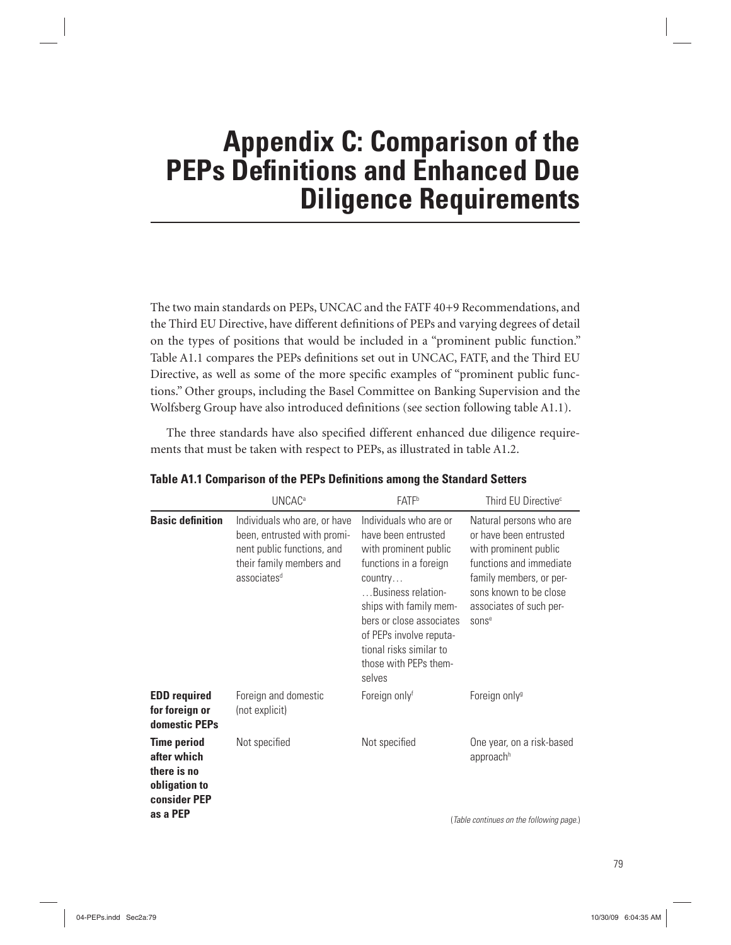# **Appendix C: Comparison of the PEPs Definitions and Enhanced Due Diligence Requirements**

The two main standards on PEPs, UNCAC and the FATF 40+9 Recommendations, and the Third EU Directive, have different definitions of PEPs and varying degrees of detail on the types of positions that would be included in a "prominent public function." Table A1.1 compares the PEPs definitions set out in UNCAC, FATF, and the Third EU Directive, as well as some of the more specific examples of "prominent public functions." Other groups, including the Basel Committee on Banking Supervision and the Wolfsberg Group have also introduced definitions (see section following table A1.1).

The three standards have also specified different enhanced due diligence requirements that must be taken with respect to PEPs, as illustrated in table A1.2.

|                                                                                               | <b>UNCAC</b> <sup>a</sup>                                                                                                                        | FATFb                                                                                                                                                                                                                                                                            | Third EU Directive <sup>c</sup>                                                                                                                                                                   |
|-----------------------------------------------------------------------------------------------|--------------------------------------------------------------------------------------------------------------------------------------------------|----------------------------------------------------------------------------------------------------------------------------------------------------------------------------------------------------------------------------------------------------------------------------------|---------------------------------------------------------------------------------------------------------------------------------------------------------------------------------------------------|
| <b>Basic definition</b>                                                                       | Individuals who are, or have<br>been, entrusted with promi-<br>nent public functions, and<br>their family members and<br>associates <sup>d</sup> | Individuals who are or<br>have been entrusted<br>with prominent public<br>functions in a foreign<br>country<br>Business relation-<br>ships with family mem-<br>bers or close associates<br>of PEPs involve reputa-<br>tional risks similar to<br>those with PEPs them-<br>selves | Natural persons who are<br>or have been entrusted<br>with prominent public<br>functions and immediate<br>family members, or per-<br>sons known to be close<br>associates of such per-<br>$S0$ nse |
| <b>EDD</b> required<br>for foreign or<br>domestic PEPs                                        | Foreign and domestic<br>(not explicit)                                                                                                           | Foreign onlyf                                                                                                                                                                                                                                                                    | Foreign only <sup>g</sup>                                                                                                                                                                         |
| <b>Time period</b><br>after which<br>there is no<br>obligation to<br>consider PEP<br>as a PEP | Not specified                                                                                                                                    | Not specified                                                                                                                                                                                                                                                                    | One year, on a risk-based<br>approachh<br>(Table continues on the following page.)                                                                                                                |
|                                                                                               |                                                                                                                                                  |                                                                                                                                                                                                                                                                                  |                                                                                                                                                                                                   |

**Table A1.1 Comparison of the PEPs Definitions among the Standard Setters**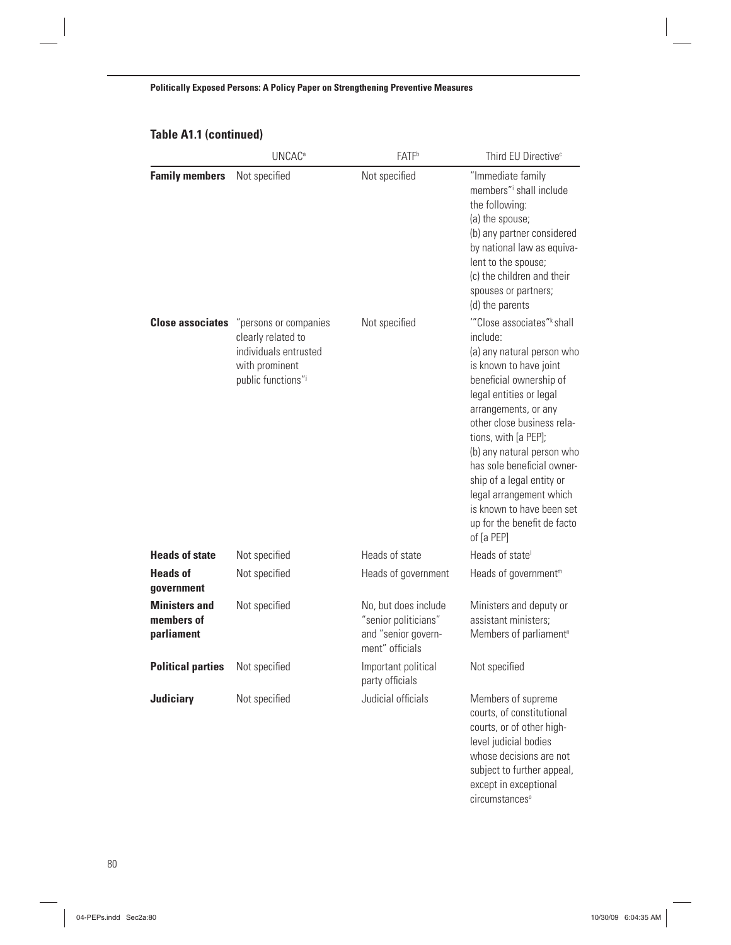|                                                  | <b>UNCAC</b> <sup>a</sup>                                                                                    | FATFb                                                                                  | Third EU Directive <sup>c</sup>                                                                                                                                                                                                                                                                                                                                                                                                |
|--------------------------------------------------|--------------------------------------------------------------------------------------------------------------|----------------------------------------------------------------------------------------|--------------------------------------------------------------------------------------------------------------------------------------------------------------------------------------------------------------------------------------------------------------------------------------------------------------------------------------------------------------------------------------------------------------------------------|
| <b>Family members</b>                            | Not specified                                                                                                | Not specified                                                                          | "Immediate family<br>members" shall include<br>the following:<br>(a) the spouse;<br>(b) any partner considered<br>by national law as equiva-<br>lent to the spouse;<br>(c) the children and their<br>spouses or partners;<br>(d) the parents                                                                                                                                                                                   |
| <b>Close associates</b>                          | "persons or companies<br>clearly related to<br>individuals entrusted<br>with prominent<br>public functions"i | Not specified                                                                          | "Close associates" shall<br>include:<br>(a) any natural person who<br>is known to have joint<br>beneficial ownership of<br>legal entities or legal<br>arrangements, or any<br>other close business rela-<br>tions, with [a PEP];<br>(b) any natural person who<br>has sole beneficial owner-<br>ship of a legal entity or<br>legal arrangement which<br>is known to have been set<br>up for the benefit de facto<br>of [a PEP] |
| <b>Heads of state</b>                            | Not specified                                                                                                | Heads of state                                                                         | Heads of state <sup>1</sup>                                                                                                                                                                                                                                                                                                                                                                                                    |
| <b>Heads of</b><br>government                    | Not specified                                                                                                | Heads of government                                                                    | Heads of government <sup>m</sup>                                                                                                                                                                                                                                                                                                                                                                                               |
| <b>Ministers and</b><br>members of<br>parliament | Not specified                                                                                                | No, but does include<br>"senior politicians"<br>and "senior govern-<br>ment" officials | Ministers and deputy or<br>assistant ministers;<br>Members of parliament <sup>n</sup>                                                                                                                                                                                                                                                                                                                                          |
| <b>Political parties</b>                         | Not specified                                                                                                | Important political<br>party officials                                                 | Not specified                                                                                                                                                                                                                                                                                                                                                                                                                  |
| <b>Judiciary</b>                                 | Not specified                                                                                                | Judicial officials                                                                     | Members of supreme<br>courts, of constitutional<br>courts, or of other high-<br>level judicial bodies<br>whose decisions are not<br>subject to further appeal,                                                                                                                                                                                                                                                                 |

 except in exceptional circumstances<sup>o</sup>

#### **Table A1.1 (continued)**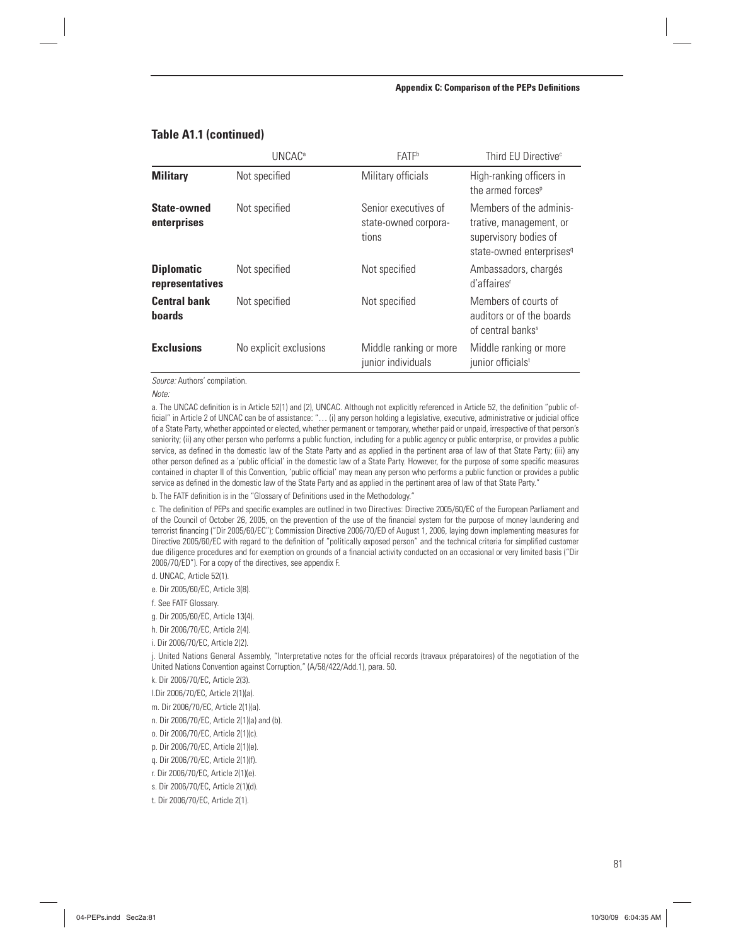|                                      | <b>UNCAC</b> <sup>a</sup> | FATFb                                                 | Third EU Directive <sup>c</sup>                                                                                     |
|--------------------------------------|---------------------------|-------------------------------------------------------|---------------------------------------------------------------------------------------------------------------------|
| <b>Military</b>                      | Not specified             | Military officials                                    | High-ranking officers in<br>the armed forces <sup>p</sup>                                                           |
| State-owned<br>enterprises           | Not specified             | Senior executives of<br>state-owned corpora-<br>tions | Members of the adminis-<br>trative, management, or<br>supervisory bodies of<br>state-owned enterprises <sup>q</sup> |
| <b>Diplomatic</b><br>representatives | Not specified             | Not specified                                         | Ambassadors, chargés<br>d'affaires <sup>r</sup>                                                                     |
| <b>Central bank</b><br><b>boards</b> | Not specified             | Not specified                                         | Members of courts of<br>auditors or of the boards<br>of central banks <sup>s</sup>                                  |
| <b>Exclusions</b>                    | No explicit exclusions    | Middle ranking or more<br>junior individuals          | Middle ranking or more<br>junior officials <sup>t</sup>                                                             |

#### **Table A1.1 (continued)**

*Source:* Authors' compilation.

*Note:* 

a. The UNCAC definition is in Article 52(1) and (2), UNCAC. Although not explicitly referenced in Article 52, the definition "public official" in Article 2 of UNCAC can be of assistance: "... (i) any person holding a legislative, executive, administrative or judicial office of a State Party, whether appointed or elected, whether permanent or temporary, whether paid or unpaid, irrespective of that person's seniority; (ii) any other person who performs a public function, including for a public agency or public enterprise, or provides a public service, as defined in the domestic law of the State Party and as applied in the pertinent area of law of that State Party; (iii) any other person defined as a 'public official' in the domestic law of a State Party. However, for the purpose of some specific measures contained in chapter II of this Convention, 'public official' may mean any person who performs a public function or provides a public service as defined in the domestic law of the State Party and as applied in the pertinent area of law of that State Party."

b. The FATF definition is in the "Glossary of Definitions used in the Methodology."

c. The definition of PEPs and specific examples are outlined in two Directives: Directive 2005/60/EC of the European Parliament and of the Council of October 26, 2005, on the prevention of the use of the financial system for the purpose of money laundering and terrorist financing ("Dir 2005/60/EC"); Commission Directive 2006/70/ED of August 1, 2006, laying down implementing measures for Directive 2005/60/EC with regard to the definition of "politically exposed person" and the technical criteria for simplified customer due diligence procedures and for exemption on grounds of a financial activity conducted on an occasional or very limited basis ("Dir 2006/70/ED"). For a copy of the directives, see appendix F.

d. UNCAC, Article 52(1).

e. Dir 2005/60/EC, Article 3(8).

f. See FATF Glossary.

g. Dir 2005/60/EC, Article 13(4).

h. Dir 2006/70/EC, Article 2(4).

i. Dir 2006/70/EC, Article 2(2).

j. United Nations General Assembly, "Interpretative notes for the official records (travaux préparatoires) of the negotiation of the United Nations Convention against Corruption," (A/58/422/Add.1), para. 50.

k. Dir 2006/70/EC, Article 2(3).

l.Dir 2006/70/EC, Article 2(1)(a).

m. Dir 2006/70/EC, Article 2(1)(a).

n. Dir 2006/70/EC, Article 2(1)(a) and (b).

o. Dir 2006/70/EC, Article 2(1)(c).

p. Dir 2006/70/EC, Article 2(1)(e).

q. Dir 2006/70/EC, Article 2(1)(f).

r. Dir 2006/70/EC, Article 2(1)(e).

s. Dir 2006/70/EC, Article 2(1)(d).

t. Dir 2006/70/EC, Article 2(1).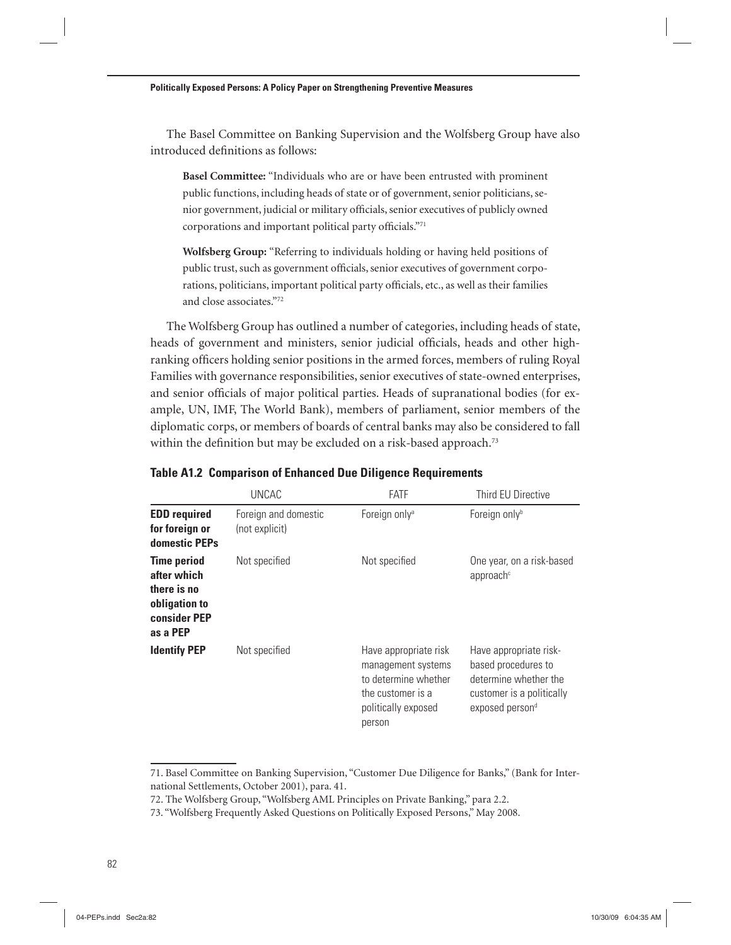The Basel Committee on Banking Supervision and the Wolfsberg Group have also introduced definitions as follows:

**Basel Committee:** "Individuals who are or have been entrusted with prominent public functions, including heads of state or of government, senior politicians, senior government, judicial or military officials, senior executives of publicly owned corporations and important political party officials."71

**Wolfsberg Group:** "Referring to individuals holding or having held positions of public trust, such as government officials, senior executives of government corporations, politicians, important political party officials, etc., as well as their families and close associates."72

The Wolfsberg Group has outlined a number of categories, including heads of state, heads of government and ministers, senior judicial officials, heads and other highranking officers holding senior positions in the armed forces, members of ruling Royal Families with governance responsibilities, senior executives of state-owned enterprises, and senior officials of major political parties. Heads of supranational bodies (for example, UN, IMF, The World Bank), members of parliament, senior members of the diplomatic corps, or members of boards of central banks may also be considered to fall within the definition but may be excluded on a risk-based approach.<sup>73</sup>

|                                                                                               | <b>UNCAC</b>                           | FATF                                                                                                                      | Third EU Directive                                                                                                                 |
|-----------------------------------------------------------------------------------------------|----------------------------------------|---------------------------------------------------------------------------------------------------------------------------|------------------------------------------------------------------------------------------------------------------------------------|
| <b>EDD</b> required<br>for foreign or<br>domestic PEPs                                        | Foreign and domestic<br>(not explicit) | Foreign only <sup>a</sup>                                                                                                 | Foreign onlyb                                                                                                                      |
| <b>Time period</b><br>after which<br>there is no<br>obligation to<br>consider PEP<br>as a PEP | Not specified                          | Not specified                                                                                                             | One year, on a risk-based<br>approach <sup>c</sup>                                                                                 |
| <b>Identify PEP</b>                                                                           | Not specified                          | Have appropriate risk<br>management systems<br>to determine whether<br>the customer is a<br>politically exposed<br>person | Have appropriate risk-<br>based procedures to<br>determine whether the<br>customer is a politically<br>exposed person <sup>d</sup> |

#### **Table A1.2 Comparison of Enhanced Due Diligence Requirements**

73. "Wolfsberg Frequently Asked Questions on Politically Exposed Persons," May 2008.

<sup>71.</sup> Basel Committee on Banking Supervision, "Customer Due Diligence for Banks," (Bank for International Settlements, October 2001), para. 41.

<sup>72.</sup> The Wolfsberg Group, "Wolfsberg AML Principles on Private Banking," para 2.2.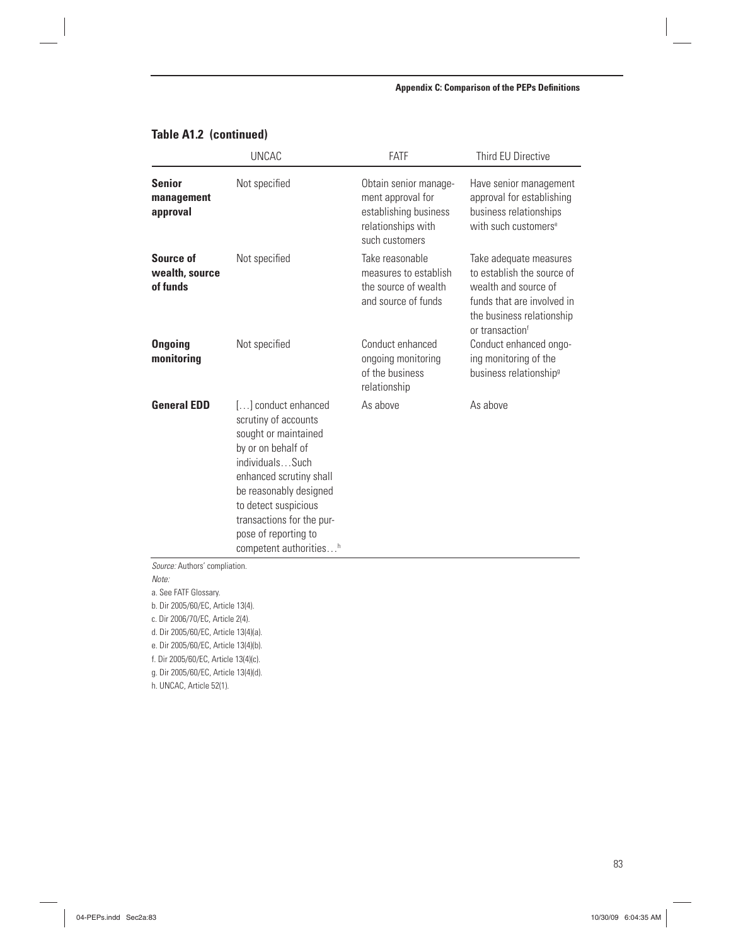|                                         | <b>UNCAC</b>                                                                                                                                                                                                                                                                         | FATF                                                                                                        | <b>Third EU Directive</b>                                                                                                                                              |
|-----------------------------------------|--------------------------------------------------------------------------------------------------------------------------------------------------------------------------------------------------------------------------------------------------------------------------------------|-------------------------------------------------------------------------------------------------------------|------------------------------------------------------------------------------------------------------------------------------------------------------------------------|
| <b>Senior</b><br>management<br>approval | Not specified                                                                                                                                                                                                                                                                        | Obtain senior manage-<br>ment approval for<br>establishing business<br>relationships with<br>such customers | Have senior management<br>approval for establishing<br>business relationships<br>with such customers <sup>e</sup>                                                      |
| Source of<br>wealth, source<br>of funds | Not specified                                                                                                                                                                                                                                                                        | Take reasonable<br>measures to establish<br>the source of wealth<br>and source of funds                     | Take adequate measures<br>to establish the source of<br>wealth and source of<br>funds that are involved in<br>the business relationship<br>or transaction <sup>f</sup> |
| <b>Ongoing</b><br>monitoring            | Not specified                                                                                                                                                                                                                                                                        | Conduct enhanced<br>ongoing monitoring<br>of the business<br>relationship                                   | Conduct enhanced ongo-<br>ing monitoring of the<br>business relationship <sup>9</sup>                                                                                  |
| <b>General EDD</b>                      | [] conduct enhanced<br>scrutiny of accounts<br>sought or maintained<br>by or on behalf of<br>individualsSuch<br>enhanced scrutiny shall<br>be reasonably designed<br>to detect suspicious<br>transactions for the pur-<br>pose of reporting to<br>competent authorities <sup>h</sup> | As above                                                                                                    | As above                                                                                                                                                               |

#### **Table A1.2 (continued)**

*Source:* Authors' compliation.

*Note:*

a. See FATF Glossary.

b. Dir 2005/60/EC, Article 13(4).

c. Dir 2006/70/EC, Article 2(4).

d. Dir 2005/60/EC, Article 13(4)(a).

e. Dir 2005/60/EC, Article 13(4)(b).

f. Dir 2005/60/EC, Article 13(4)(c).

g. Dir 2005/60/EC, Article 13(4)(d).

h. UNCAC, Article 52(1).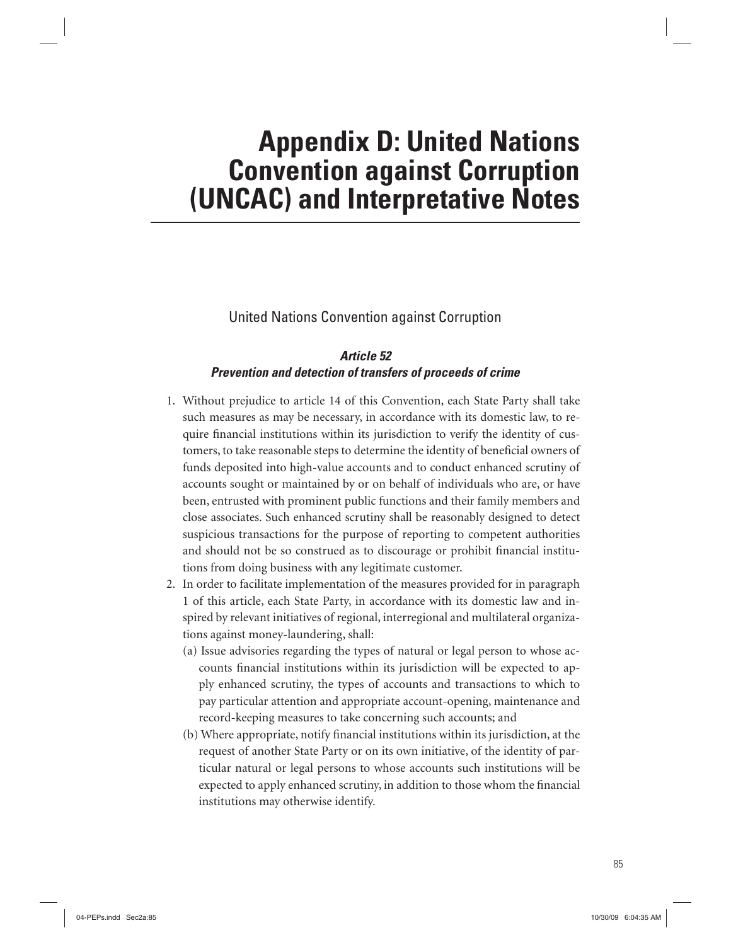# **Appendix D: United Nations Convention against Corruption (UNCAC) and Interpretative Notes**

United Nations Convention against Corruption

### *Article 52 Prevention and detection of transfers of proceeds of crime*

- 1. Without prejudice to article 14 of this Convention, each State Party shall take such measures as may be necessary, in accordance with its domestic law, to require financial institutions within its jurisdiction to verify the identity of customers, to take reasonable steps to determine the identity of beneficial owners of funds deposited into high-value accounts and to conduct enhanced scrutiny of accounts sought or maintained by or on behalf of individuals who are, or have been, entrusted with prominent public functions and their family members and close associates. Such enhanced scrutiny shall be reasonably designed to detect suspicious transactions for the purpose of reporting to competent authorities and should not be so construed as to discourage or prohibit financial institutions from doing business with any legitimate customer.
- 2. In order to facilitate implementation of the measures provided for in paragraph 1 of this article, each State Party, in accordance with its domestic law and inspired by relevant initiatives of regional, interregional and multilateral organizations against money-laundering, shall:
	- (a) Issue advisories regarding the types of natural or legal person to whose accounts financial institutions within its jurisdiction will be expected to apply enhanced scrutiny, the types of accounts and transactions to which to pay particular attention and appropriate account-opening, maintenance and record-keeping measures to take concerning such accounts; and
	- (b) Where appropriate, notify financial institutions within its jurisdiction, at the request of another State Party or on its own initiative, of the identity of particular natural or legal persons to whose accounts such institutions will be expected to apply enhanced scrutiny, in addition to those whom the financial institutions may otherwise identify.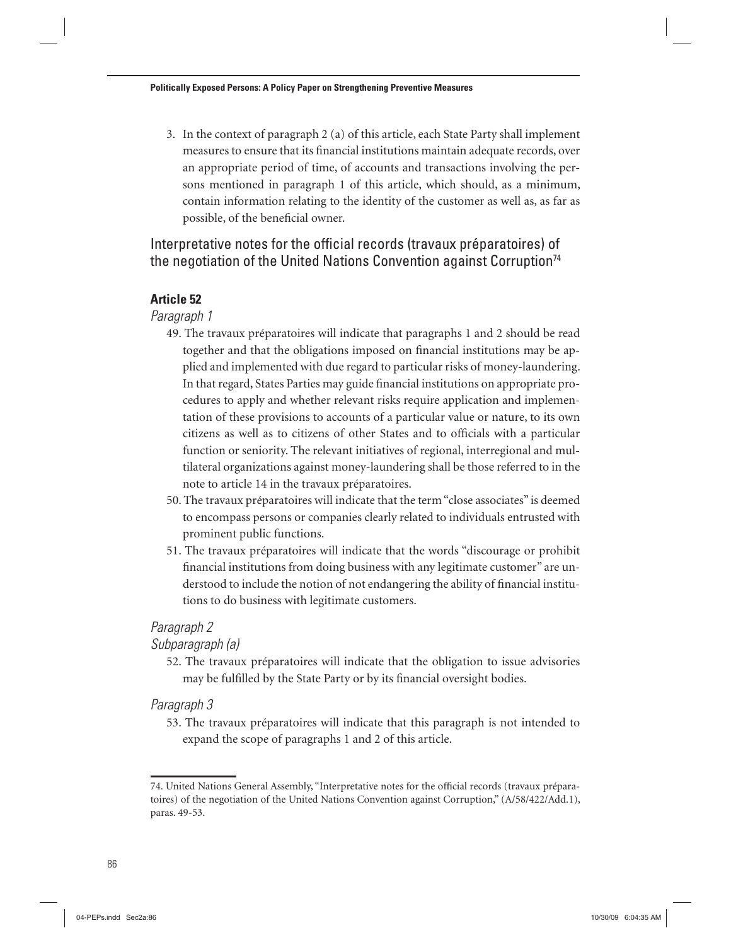3. In the context of paragraph 2 (a) of this article, each State Party shall implement measures to ensure that its financial institutions maintain adequate records, over an appropriate period of time, of accounts and transactions involving the persons mentioned in paragraph 1 of this article, which should, as a minimum, contain information relating to the identity of the customer as well as, as far as possible, of the beneficial owner.

#### Interpretative notes for the official records (travaux préparatoires) of the negotiation of the United Nations Convention against Corruption<sup>74</sup>

#### **Article 52**

*Paragraph 1*

- 49. The travaux préparatoires will indicate that paragraphs 1 and 2 should be read together and that the obligations imposed on financial institutions may be applied and implemented with due regard to particular risks of money-laundering. In that regard, States Parties may guide financial institutions on appropriate procedures to apply and whether relevant risks require application and implementation of these provisions to accounts of a particular value or nature, to its own citizens as well as to citizens of other States and to officials with a particular function or seniority. The relevant initiatives of regional, interregional and multilateral organizations against money-laundering shall be those referred to in the note to article 14 in the travaux préparatoires.
- 50. The travaux préparatoires will indicate that the term "close associates" is deemed to encompass persons or companies clearly related to individuals entrusted with prominent public functions.
- 51. The travaux préparatoires will indicate that the words "discourage or prohibit financial institutions from doing business with any legitimate customer" are understood to include the notion of not endangering the ability of financial institutions to do business with legitimate customers.

# *Paragraph 2*

#### *Subparagraph (a)*

52. The travaux préparatoires will indicate that the obligation to issue advisories may be fulfilled by the State Party or by its financial oversight bodies.

#### *Paragraph 3*

53. The travaux préparatoires will indicate that this paragraph is not intended to expand the scope of paragraphs 1 and 2 of this article.

<sup>74.</sup> United Nations General Assembly, "Interpretative notes for the official records (travaux préparatoires) of the negotiation of the United Nations Convention against Corruption," (A/58/422/Add.1), paras. 49-53.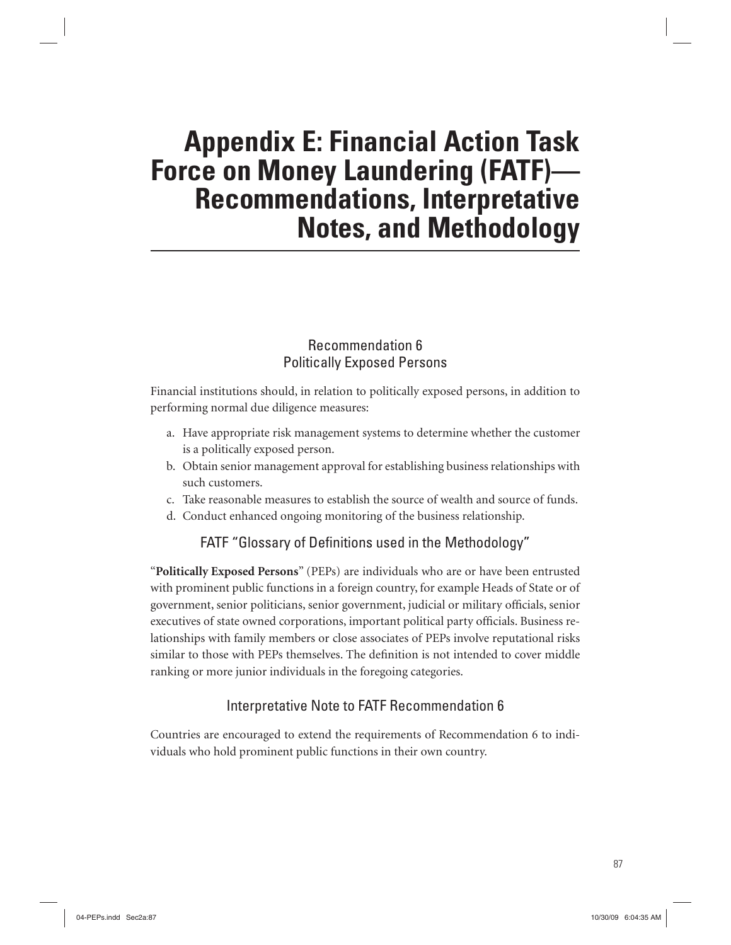# **Appendix E: Financial Action Task Force on Money Laundering (FATF)— Recommendations, Interpretative Notes, and Methodology**

## Recommendation 6 Politically Exposed Persons

Financial institutions should, in relation to politically exposed persons, in addition to performing normal due diligence measures:

- a. Have appropriate risk management systems to determine whether the customer is a politically exposed person.
- b. Obtain senior management approval for establishing business relationships with such customers.
- c. Take reasonable measures to establish the source of wealth and source of funds.
- d. Conduct enhanced ongoing monitoring of the business relationship.

## FATF "Glossary of Definitions used in the Methodology"

"**Politically Exposed Persons**" (PEPs) are individuals who are or have been entrusted with prominent public functions in a foreign country, for example Heads of State or of government, senior politicians, senior government, judicial or military officials, senior executives of state owned corporations, important political party officials. Business relationships with family members or close associates of PEPs involve reputational risks similar to those with PEPs themselves. The definition is not intended to cover middle ranking or more junior individuals in the foregoing categories.

# Interpretative Note to FATF Recommendation 6

Countries are encouraged to extend the requirements of Recommendation 6 to individuals who hold prominent public functions in their own country.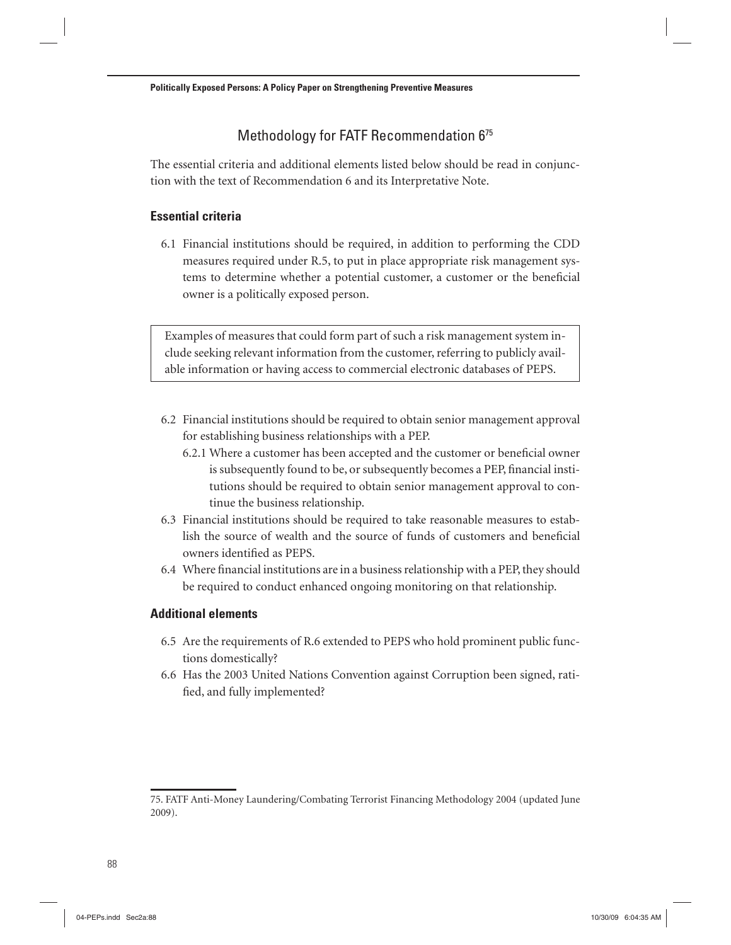# Methodology for FATF Recommendation 675

The essential criteria and additional elements listed below should be read in conjunction with the text of Recommendation 6 and its Interpretative Note.

#### **Essential criteria**

6.1 Financial institutions should be required, in addition to performing the CDD measures required under R.5, to put in place appropriate risk management systems to determine whether a potential customer, a customer or the beneficial owner is a politically exposed person.

Examples of measures that could form part of such a risk management system include seeking relevant information from the customer, referring to publicly available information or having access to commercial electronic databases of PEPS.

- 6.2 Financial institutions should be required to obtain senior management approval for establishing business relationships with a PEP.
	- 6.2.1 Where a customer has been accepted and the customer or beneficial owner is subsequently found to be, or subsequently becomes a PEP, financial institutions should be required to obtain senior management approval to continue the business relationship.
- 6.3 Financial institutions should be required to take reasonable measures to establish the source of wealth and the source of funds of customers and beneficial owners identified as PEPS.
- 6.4 Where financial institutions are in a business relationship with a PEP, they should be required to conduct enhanced ongoing monitoring on that relationship.

#### **Additional elements**

- 6.5 Are the requirements of R.6 extended to PEPS who hold prominent public functions domestically?
- 6.6 Has the 2003 United Nations Convention against Corruption been signed, ratified, and fully implemented?

<sup>75.</sup> FATF Anti-Money Laundering/Combating Terrorist Financing Methodology 2004 (updated June 2009).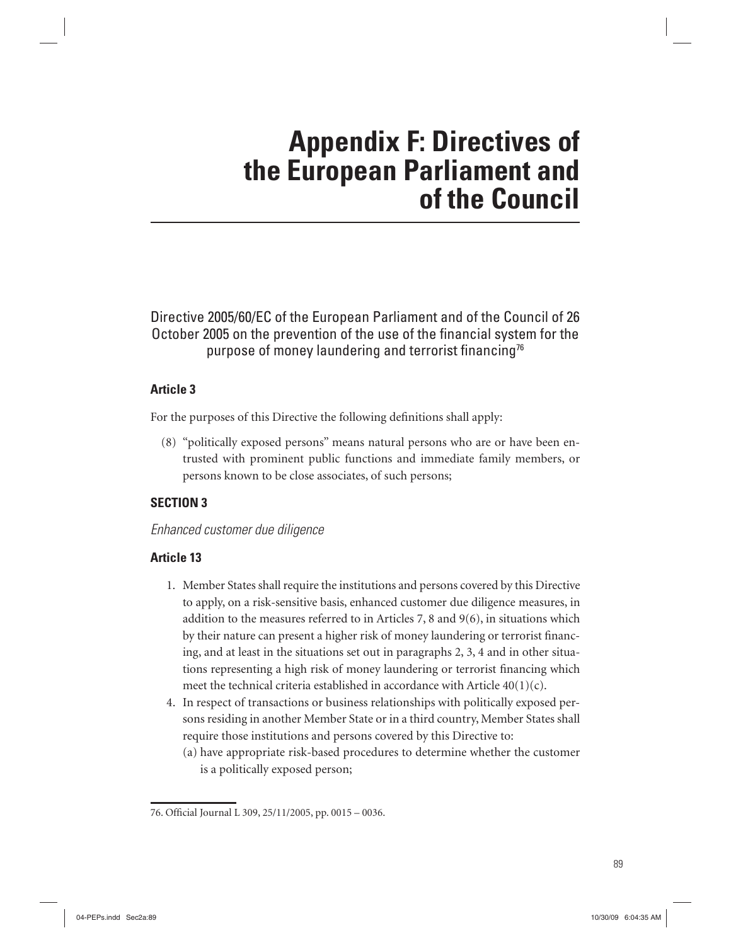# **Appendix F: Directives of the European Parliament and of the Council**

Directive 2005/60/EC of the European Parliament and of the Council of 26 October 2005 on the prevention of the use of the financial system for the purpose of money laundering and terrorist financing<sup>76</sup>

#### **Article 3**

For the purposes of this Directive the following definitions shall apply:

(8) "politically exposed persons" means natural persons who are or have been entrusted with prominent public functions and immediate family members, or persons known to be close associates, of such persons;

#### **SECTION 3**

#### *Enhanced customer due diligence*

#### **Article 13**

- 1. Member States shall require the institutions and persons covered by this Directive to apply, on a risk-sensitive basis, enhanced customer due diligence measures, in addition to the measures referred to in Articles 7, 8 and 9(6), in situations which by their nature can present a higher risk of money laundering or terrorist financing, and at least in the situations set out in paragraphs 2, 3, 4 and in other situations representing a high risk of money laundering or terrorist financing which meet the technical criteria established in accordance with Article  $40(1)(c)$ .
- 4. In respect of transactions or business relationships with politically exposed persons residing in another Member State or in a third country, Member States shall require those institutions and persons covered by this Directive to:
	- (a) have appropriate risk-based procedures to determine whether the customer is a politically exposed person;

<sup>76.</sup> Official Journal L 309, 25/11/2005, pp. 0015 - 0036.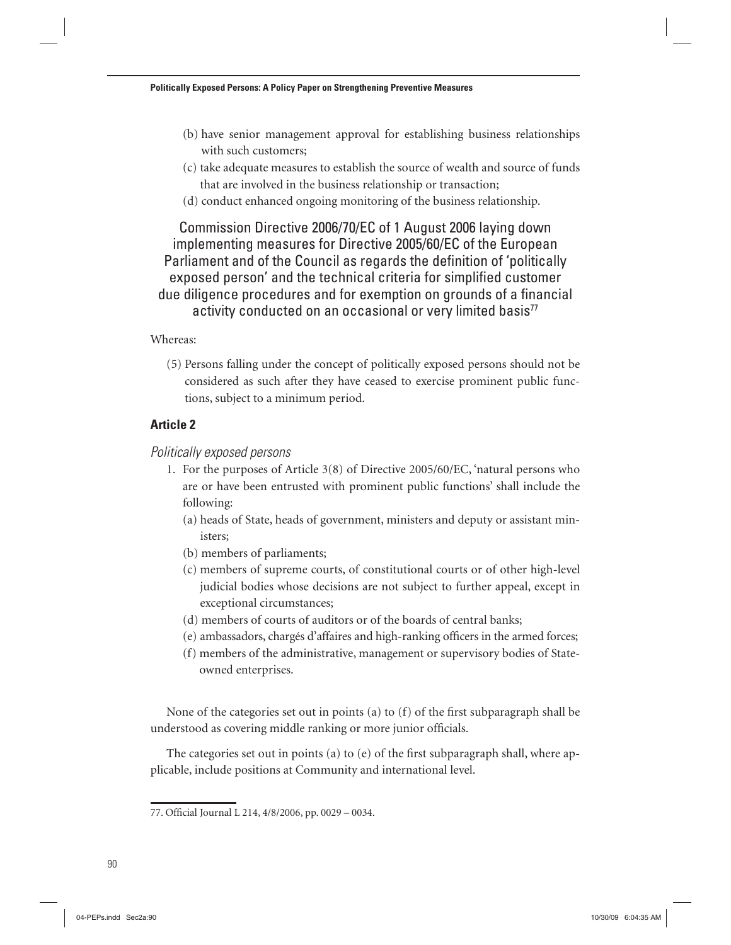- (b) have senior management approval for establishing business relationships with such customers;
- (c) take adequate measures to establish the source of wealth and source of funds that are involved in the business relationship or transaction;
- (d) conduct enhanced ongoing monitoring of the business relationship.

Commission Directive 2006/70/EC of 1 August 2006 laying down implementing measures for Directive 2005/60/EC of the European Parliament and of the Council as regards the definition of 'politically exposed person' and the technical criteria for simplified customer due diligence procedures and for exemption on grounds of a financial activity conducted on an occasional or very limited basis $77$ 

#### Whereas:

(5) Persons falling under the concept of politically exposed persons should not be considered as such after they have ceased to exercise prominent public functions, subject to a minimum period.

# **Article 2**

## *Politically exposed persons*

- 1. For the purposes of Article 3(8) of Directive 2005/60/EC, 'natural persons who are or have been entrusted with prominent public functions' shall include the following:
	- (a) heads of State, heads of government, ministers and deputy or assistant ministers;
	- (b) members of parliaments;
	- (c) members of supreme courts, of constitutional courts or of other high-level judicial bodies whose decisions are not subject to further appeal, except in exceptional circumstances;
	- (d) members of courts of auditors or of the boards of central banks;
	- (e) ambassadors, chargés d'affaires and high-ranking officers in the armed forces;
	- (f) members of the administrative, management or supervisory bodies of Stateowned enterprises.

None of the categories set out in points (a) to  $(f)$  of the first subparagraph shall be understood as covering middle ranking or more junior officials.

The categories set out in points (a) to (e) of the first subparagraph shall, where applicable, include positions at Community and international level.

<sup>77.</sup> Official Journal L 214, 4/8/2006, pp. 0029 - 0034.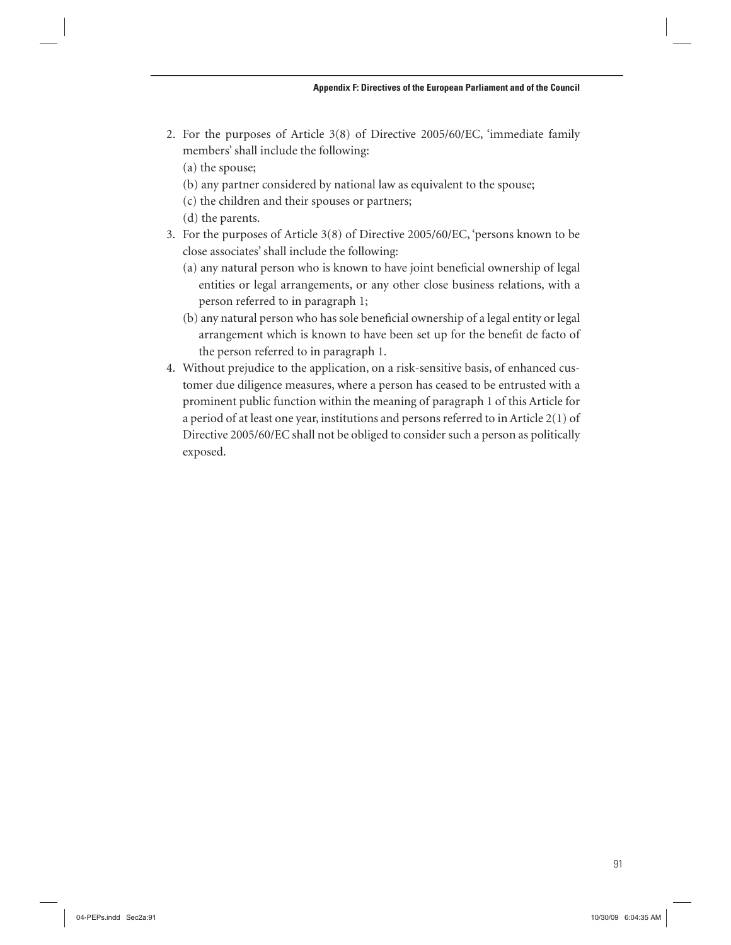- 2. For the purposes of Article 3(8) of Directive 2005/60/EC, 'immediate family members' shall include the following:
	- (a) the spouse;
	- (b) any partner considered by national law as equivalent to the spouse;
	- (c) the children and their spouses or partners;
	- (d) the parents.
- 3. For the purposes of Article 3(8) of Directive 2005/60/EC, 'persons known to be close associates' shall include the following:
	- (a) any natural person who is known to have joint beneficial ownership of legal entities or legal arrangements, or any other close business relations, with a person referred to in paragraph 1;
	- (b) any natural person who has sole beneficial ownership of a legal entity or legal arrangement which is known to have been set up for the benefit de facto of the person referred to in paragraph 1.
- 4. Without prejudice to the application, on a risk-sensitive basis, of enhanced customer due diligence measures, where a person has ceased to be entrusted with a prominent public function within the meaning of paragraph 1 of this Article for a period of at least one year, institutions and persons referred to in Article 2(1) of Directive 2005/60/EC shall not be obliged to consider such a person as politically exposed.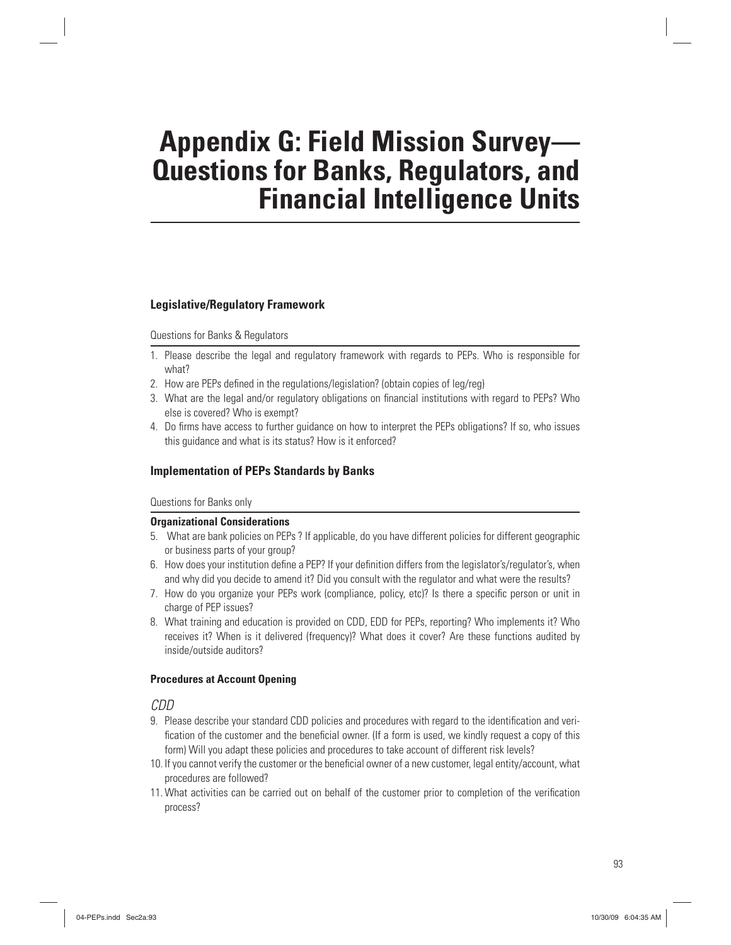# **Appendix G: Field Mission Survey— Questions for Banks, Regulators, and Financial Intelligence Units**

## **Legislative/Regulatory Framework**

#### Questions for Banks & Regulators

- 1. Please describe the legal and regulatory framework with regards to PEPs. Who is responsible for what?
- 2. How are PEPs defined in the regulations/legislation? (obtain copies of leg/reg)
- 3. What are the legal and/or regulatory obligations on financial institutions with regard to PEPs? Who else is covered? Who is exempt?
- 4. Do firms have access to further quidance on how to interpret the PEPs obligations? If so, who issues this guidance and what is its status? How is it enforced?

## **Implementation of PEPs Standards by Banks**

#### Questions for Banks only

#### **Organizational Considerations**

- 5. What are bank policies on PEPs ? If applicable, do you have different policies for different geographic or business parts of your group?
- 6. How does your institution define a PEP? If your definition differs from the legislator's/regulator's, when and why did you decide to amend it? Did you consult with the regulator and what were the results?
- 7. How do you organize your PEPs work (compliance, policy, etc)? Is there a specific person or unit in charge of PEP issues?
- 8. What training and education is provided on CDD, EDD for PEPs, reporting? Who implements it? Who receives it? When is it delivered (frequency)? What does it cover? Are these functions audited by inside/outside auditors?

#### **Procedures at Account Opening**

## *CDD*

- 9. Please describe your standard CDD policies and procedures with regard to the identification and verification of the customer and the beneficial owner. (If a form is used, we kindly request a copy of this form) Will you adapt these policies and procedures to take account of different risk levels?
- 10. If you cannot verify the customer or the beneficial owner of a new customer, legal entity/account, what procedures are followed?
- 11. What activities can be carried out on behalf of the customer prior to completion of the verification process?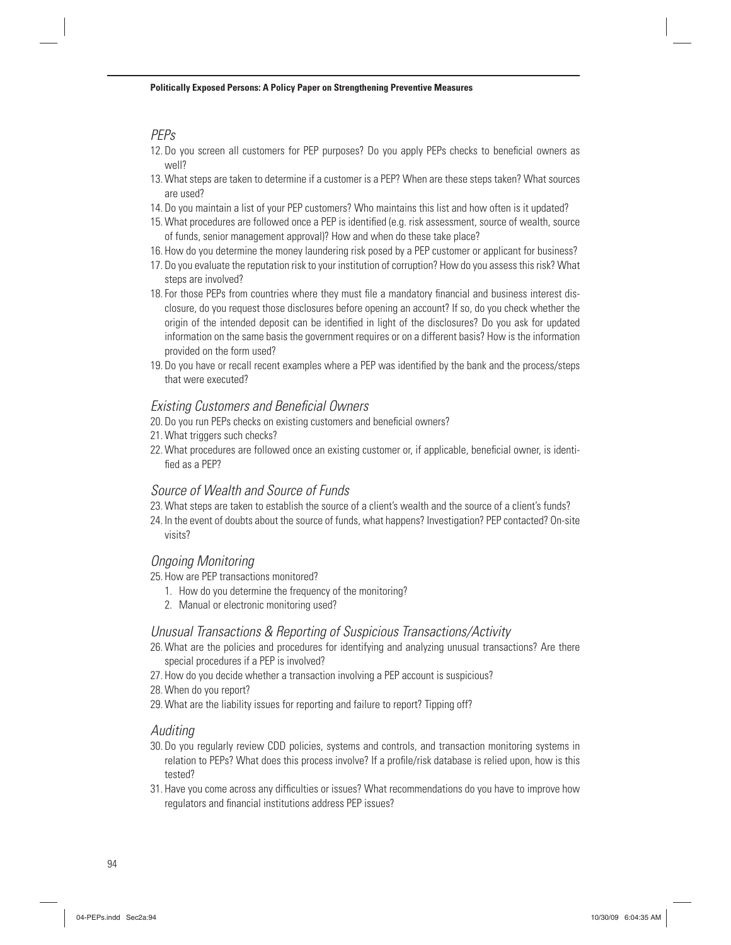## *PEPs*

- 12. Do you screen all customers for PEP purposes? Do you apply PEPs checks to beneficial owners as well?
- 13. What steps are taken to determine if a customer is a PEP? When are these steps taken? What sources are used?
- 14. Do you maintain a list of your PEP customers? Who maintains this list and how often is it updated?
- 15. What procedures are followed once a PEP is identified (e.g. risk assessment, source of wealth, source of funds, senior management approval)? How and when do these take place?
- 16. How do you determine the money laundering risk posed by a PEP customer or applicant for business?
- 17. Do you evaluate the reputation risk to your institution of corruption? How do you assess this risk? What steps are involved?
- 18. For those PEPs from countries where they must file a mandatory financial and business interest disclosure, do you request those disclosures before opening an account? If so, do you check whether the origin of the intended deposit can be identified in light of the disclosures? Do you ask for updated information on the same basis the government requires or on a different basis? How is the information provided on the form used?
- 19. Do you have or recall recent examples where a PEP was identified by the bank and the process/steps that were executed?

## *Existing Customers and Beneficial Owners*

- 20. Do you run PEPs checks on existing customers and beneficial owners?
- 21. What triggers such checks?
- 22. What procedures are followed once an existing customer or, if applicable, beneficial owner, is identified as a PEP?

## *Source of Wealth and Source of Funds*

- 23. What steps are taken to establish the source of a client's wealth and the source of a client's funds?
- 24. In the event of doubts about the source of funds, what happens? Investigation? PEP contacted? On-site visits?

## *Ongoing Monitoring*

25. How are PEP transactions monitored?

- 1. How do you determine the frequency of the monitoring?
- 2. Manual or electronic monitoring used?

## *Unusual Transactions & Reporting of Suspicious Transactions/Activity*

- 26. What are the policies and procedures for identifying and analyzing unusual transactions? Are there special procedures if a PEP is involved?
- 27. How do you decide whether a transaction involving a PEP account is suspicious?
- 28. When do you report?
- 29. What are the liability issues for reporting and failure to report? Tipping off?

## *Auditing*

- 30. Do you regularly review CDD policies, systems and controls, and transaction monitoring systems in relation to PEPs? What does this process involve? If a profile/risk database is relied upon, how is this tested?
- 31. Have you come across any difficulties or issues? What recommendations do you have to improve how regulators and financial institutions address PEP issues?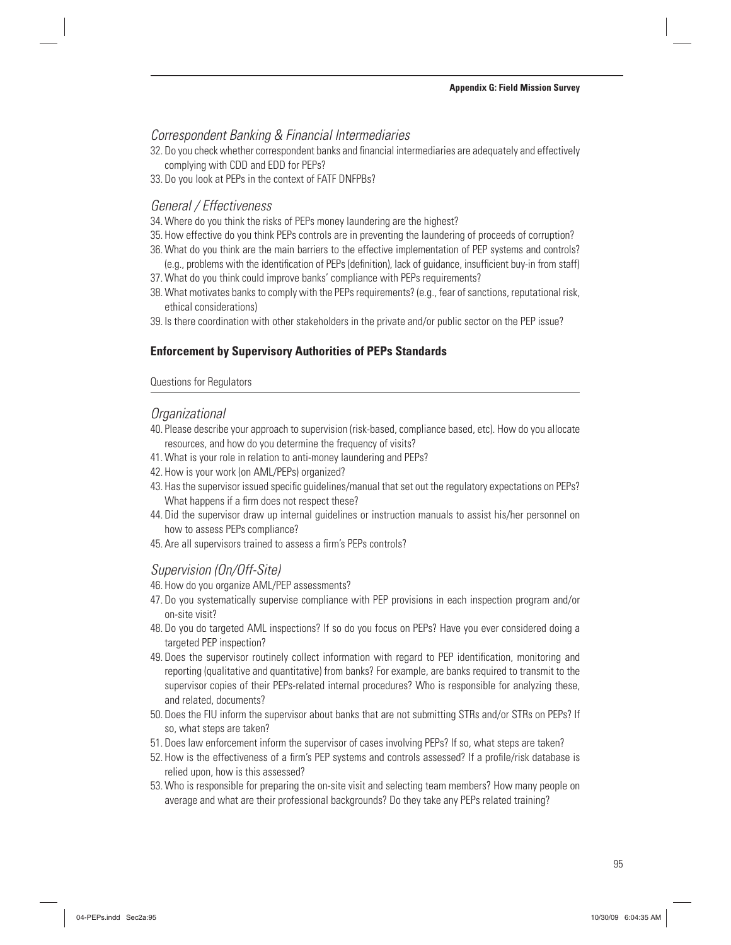## *Correspondent Banking & Financial Intermediaries*

- 32. Do you check whether correspondent banks and financial intermediaries are adequately and effectively complying with CDD and EDD for PEPs?
- 33. Do you look at PEPs in the context of FATF DNFPBs?

#### *General / Effectiveness*

- 34. Where do you think the risks of PEPs money laundering are the highest?
- 35. How effective do you think PEPs controls are in preventing the laundering of proceeds of corruption?
- 36. What do you think are the main barriers to the effective implementation of PEP systems and controls? (e.g., problems with the identification of PEPs (definition), lack of quidance, insufficient buy-in from staff)
- 37. What do you think could improve banks' compliance with PEPs requirements?
- 38. What motivates banks to comply with the PEPs requirements? (e.g., fear of sanctions, reputational risk, ethical considerations)
- 39. Is there coordination with other stakeholders in the private and/or public sector on the PEP issue?

#### **Enforcement by Supervisory Authorities of PEPs Standards**

Questions for Regulators

## *Organizational*

- 40. Please describe your approach to supervision (risk-based, compliance based, etc). How do you allocate resources, and how do you determine the frequency of visits?
- 41. What is your role in relation to anti-money laundering and PEPs?
- 42. How is your work (on AML/PEPs) organized?
- 43. Has the supervisor issued specific guidelines/manual that set out the regulatory expectations on PEPs? What happens if a firm does not respect these?
- 44. Did the supervisor draw up internal guidelines or instruction manuals to assist his/her personnel on how to assess PEPs compliance?
- 45. Are all supervisors trained to assess a firm's PEPs controls?

# *Supervision (On/Off-Site)*

- 46. How do you organize AML/PEP assessments?
- 47. Do you systematically supervise compliance with PEP provisions in each inspection program and/or on-site visit?
- 48. Do you do targeted AML inspections? If so do you focus on PEPs? Have you ever considered doing a targeted PEP inspection?
- 49. Does the supervisor routinely collect information with regard to PEP identification, monitoring and reporting (qualitative and quantitative) from banks? For example, are banks required to transmit to the supervisor copies of their PEPs-related internal procedures? Who is responsible for analyzing these, and related, documents?
- 50. Does the FIU inform the supervisor about banks that are not submitting STRs and/or STRs on PEPs? If so, what steps are taken?
- 51. Does law enforcement inform the supervisor of cases involving PEPs? If so, what steps are taken?
- 52. How is the effectiveness of a firm's PEP systems and controls assessed? If a profile/risk database is relied upon, how is this assessed?
- 53. Who is responsible for preparing the on-site visit and selecting team members? How many people on average and what are their professional backgrounds? Do they take any PEPs related training?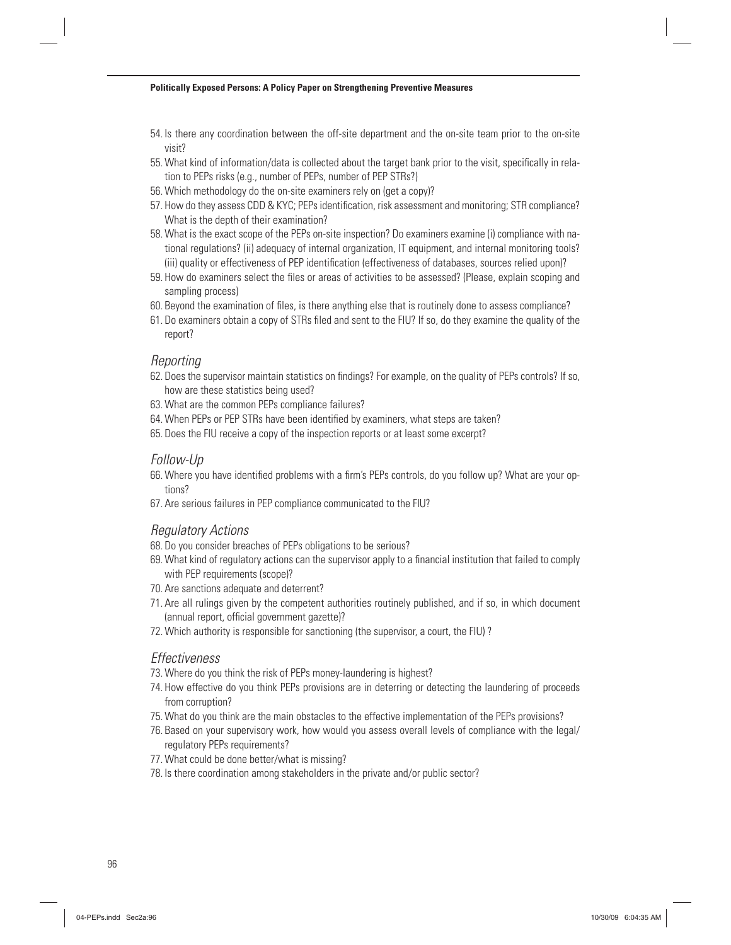- 54. Is there any coordination between the off-site department and the on-site team prior to the on-site visit?
- 55. What kind of information/data is collected about the target bank prior to the visit, specifically in relation to PEPs risks (e.g., number of PEPs, number of PEP STRs?)
- 56. Which methodology do the on-site examiners rely on (get a copy)?
- 57. How do they assess CDD & KYC; PEPs identification, risk assessment and monitoring; STR compliance? What is the depth of their examination?
- 58. What is the exact scope of the PEPs on-site inspection? Do examiners examine (i) compliance with national regulations? (ii) adequacy of internal organization, IT equipment, and internal monitoring tools? (iii) quality or effectiveness of PEP identification (effectiveness of databases, sources relied upon)?
- 59. How do examiners select the files or areas of activities to be assessed? (Please, explain scoping and sampling process)
- 60. Beyond the examination of files, is there anything else that is routinely done to assess compliance?
- 61. Do examiners obtain a copy of STRs filed and sent to the FIU? If so, do they examine the quality of the report?

## *Reporting*

- 62. Does the supervisor maintain statistics on findings? For example, on the quality of PEPs controls? If so, how are these statistics being used?
- 63. What are the common PEPs compliance failures?
- 64. When PEPs or PEP STRs have been identified by examiners, what steps are taken?
- 65. Does the FIU receive a copy of the inspection reports or at least some excerpt?

#### *Follow-Up*

- 66. Where you have identified problems with a firm's PEPs controls, do you follow up? What are your options?
- 67. Are serious failures in PEP compliance communicated to the FIU?

#### *Regulatory Actions*

- 68. Do you consider breaches of PEPs obligations to be serious?
- 69. What kind of regulatory actions can the supervisor apply to a financial institution that failed to comply with PEP requirements (scope)?
- 70. Are sanctions adequate and deterrent?
- 71. Are all rulings given by the competent authorities routinely published, and if so, in which document (annual report, official government gazette)?
- 72. Which authority is responsible for sanctioning (the supervisor, a court, the FIU) ?

#### *Effectiveness*

- 73. Where do you think the risk of PEPs money-laundering is highest?
- 74. How effective do you think PEPs provisions are in deterring or detecting the laundering of proceeds from corruption?
- 75. What do you think are the main obstacles to the effective implementation of the PEPs provisions?
- 76. Based on your supervisory work, how would you assess overall levels of compliance with the legal/ regulatory PEPs requirements?
- 77. What could be done better/what is missing?
- 78. Is there coordination among stakeholders in the private and/or public sector?